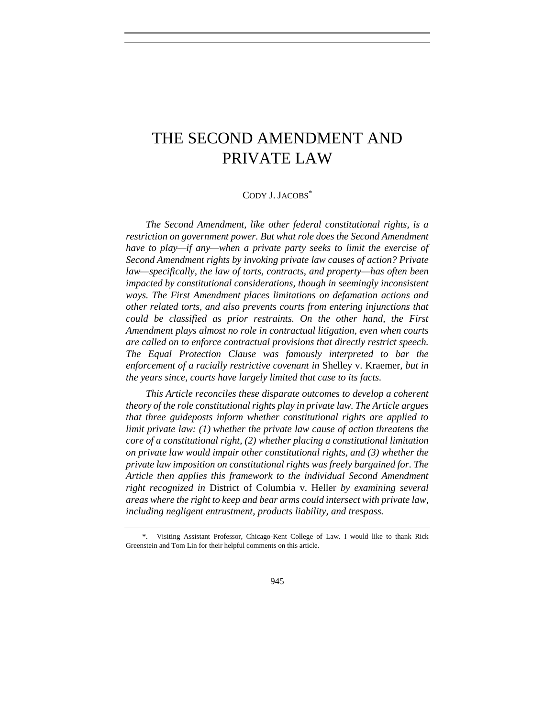# THE SECOND AMENDMENT AND PRIVATE LAW

## CODY J. JACOBS\*

*The Second Amendment, like other federal constitutional rights, is a restriction on government power. But what role does the Second Amendment have to play—if any—when a private party seeks to limit the exercise of Second Amendment rights by invoking private law causes of action? Private law—specifically, the law of torts, contracts, and property—has often been impacted by constitutional considerations, though in seemingly inconsistent ways. The First Amendment places limitations on defamation actions and other related torts, and also prevents courts from entering injunctions that could be classified as prior restraints. On the other hand, the First Amendment plays almost no role in contractual litigation, even when courts are called on to enforce contractual provisions that directly restrict speech. The Equal Protection Clause was famously interpreted to bar the enforcement of a racially restrictive covenant in* Shelley v. Kraemer*, but in the years since, courts have largely limited that case to its facts.*

*This Article reconciles these disparate outcomes to develop a coherent theory of the role constitutional rights play in private law. The Article argues that three guideposts inform whether constitutional rights are applied to limit private law: (1) whether the private law cause of action threatens the core of a constitutional right, (2) whether placing a constitutional limitation on private law would impair other constitutional rights, and (3) whether the private law imposition on constitutional rights was freely bargained for. The Article then applies this framework to the individual Second Amendment right recognized in* District of Columbia v. Heller *by examining several areas where the right to keep and bear arms could intersect with private law, including negligent entrustment, products liability, and trespass.*

<sup>\*.</sup> Visiting Assistant Professor, Chicago-Kent College of Law. I would like to thank Rick Greenstein and Tom Lin for their helpful comments on this article.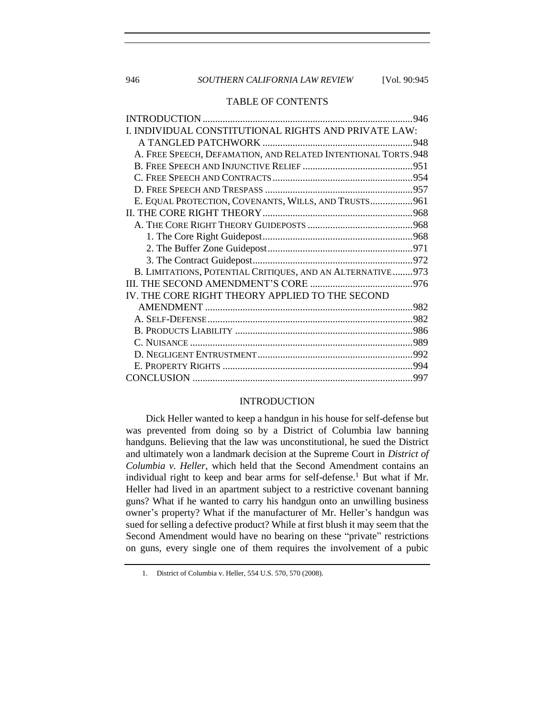# 946 **SOUTHERN CALIFORNIA LAW REVIEW** [Vol. 90:945

# TABLE OF CONTENTS

| I. INDIVIDUAL CONSTITUTIONAL RIGHTS AND PRIVATE LAW:           |  |
|----------------------------------------------------------------|--|
|                                                                |  |
| A. FREE SPEECH, DEFAMATION, AND RELATED INTENTIONAL TORTS. 948 |  |
|                                                                |  |
|                                                                |  |
|                                                                |  |
| E. EQUAL PROTECTION, COVENANTS, WILLS, AND TRUSTS 961          |  |
|                                                                |  |
|                                                                |  |
|                                                                |  |
|                                                                |  |
|                                                                |  |
| B. LIMITATIONS, POTENTIAL CRITIQUES, AND AN ALTERNATIVE973     |  |
|                                                                |  |
| IV. THE CORE RIGHT THEORY APPLIED TO THE SECOND                |  |
|                                                                |  |
|                                                                |  |
|                                                                |  |
|                                                                |  |
|                                                                |  |
|                                                                |  |
|                                                                |  |
|                                                                |  |

## INTRODUCTION

<span id="page-1-0"></span>Dick Heller wanted to keep a handgun in his house for self-defense but was prevented from doing so by a District of Columbia law banning handguns. Believing that the law was unconstitutional, he sued the District and ultimately won a landmark decision at the Supreme Court in *District of Columbia v. Heller*, which held that the Second Amendment contains an individual right to keep and bear arms for self-defense.<sup>1</sup> But what if Mr. Heller had lived in an apartment subject to a restrictive covenant banning guns? What if he wanted to carry his handgun onto an unwilling business owner's property? What if the manufacturer of Mr. Heller's handgun was sued for selling a defective product? While at first blush it may seem that the Second Amendment would have no bearing on these "private" restrictions on guns, every single one of them requires the involvement of a pubic

<sup>1.</sup> District of Columbia v. Heller, 554 U.S. 570, 570 (2008).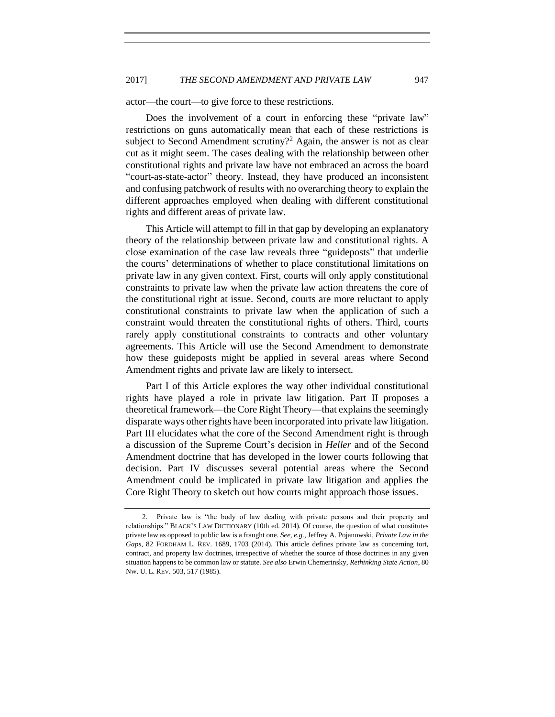actor—the court—to give force to these restrictions.

Does the involvement of a court in enforcing these "private law" restrictions on guns automatically mean that each of these restrictions is subject to Second Amendment scrutiny?<sup>2</sup> Again, the answer is not as clear cut as it might seem. The cases dealing with the relationship between other constitutional rights and private law have not embraced an across the board "court-as-state-actor" theory. Instead, they have produced an inconsistent and confusing patchwork of results with no overarching theory to explain the different approaches employed when dealing with different constitutional rights and different areas of private law.

This Article will attempt to fill in that gap by developing an explanatory theory of the relationship between private law and constitutional rights. A close examination of the case law reveals three "guideposts" that underlie the courts' determinations of whether to place constitutional limitations on private law in any given context. First, courts will only apply constitutional constraints to private law when the private law action threatens the core of the constitutional right at issue. Second, courts are more reluctant to apply constitutional constraints to private law when the application of such a constraint would threaten the constitutional rights of others. Third, courts rarely apply constitutional constraints to contracts and other voluntary agreements. This Article will use the Second Amendment to demonstrate how these guideposts might be applied in several areas where Second Amendment rights and private law are likely to intersect.

Part I of this Article explores the way other individual constitutional rights have played a role in private law litigation. Part II proposes a theoretical framework—the Core Right Theory—that explains the seemingly disparate ways other rights have been incorporated into private law litigation. Part III elucidates what the core of the Second Amendment right is through a discussion of the Supreme Court's decision in *Heller* and of the Second Amendment doctrine that has developed in the lower courts following that decision. Part IV discusses several potential areas where the Second Amendment could be implicated in private law litigation and applies the Core Right Theory to sketch out how courts might approach those issues.

<span id="page-2-0"></span>

<sup>2.</sup> Private law is "the body of law dealing with private persons and their property and relationships." BLACK'S LAW DICTIONARY (10th ed. 2014). Of course, the question of what constitutes private law as opposed to public law is a fraught one. *See, e.g.*, Jeffrey A. Pojanowski, *Private Law in the Gaps*, 82 FORDHAM L. REV. 1689, 1703 (2014). This article defines private law as concerning tort, contract, and property law doctrines, irrespective of whether the source of those doctrines in any given situation happens to be common law or statute. *See also* Erwin Chemerinsky, *Rethinking State Action*, 80 NW. U. L. REV. 503, 517 (1985).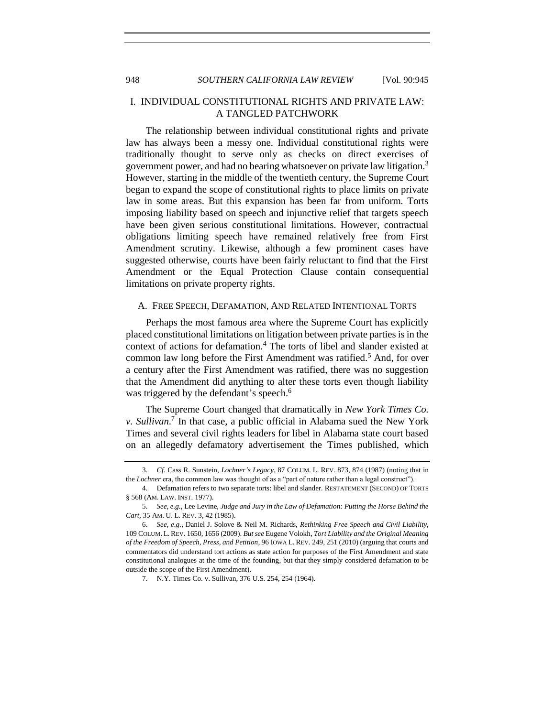# <span id="page-3-0"></span>I. INDIVIDUAL CONSTITUTIONAL RIGHTS AND PRIVATE LAW: A TANGLED PATCHWORK

The relationship between individual constitutional rights and private law has always been a messy one. Individual constitutional rights were traditionally thought to serve only as checks on direct exercises of government power, and had no bearing whatsoever on private law litigation.<sup>3</sup> However, starting in the middle of the twentieth century, the Supreme Court began to expand the scope of constitutional rights to place limits on private law in some areas. But this expansion has been far from uniform. Torts imposing liability based on speech and injunctive relief that targets speech have been given serious constitutional limitations. However, contractual obligations limiting speech have remained relatively free from First Amendment scrutiny. Likewise, although a few prominent cases have suggested otherwise, courts have been fairly reluctant to find that the First Amendment or the Equal Protection Clause contain consequential limitations on private property rights.

#### <span id="page-3-1"></span>A. FREE SPEECH, DEFAMATION, AND RELATED INTENTIONAL TORTS

Perhaps the most famous area where the Supreme Court has explicitly placed constitutional limitations on litigation between private parties is in the context of actions for defamation.<sup>4</sup> The torts of libel and slander existed at common law long before the First Amendment was ratified.<sup>5</sup> And, for over a century after the First Amendment was ratified, there was no suggestion that the Amendment did anything to alter these torts even though liability was triggered by the defendant's speech.<sup>6</sup>

<span id="page-3-2"></span>The Supreme Court changed that dramatically in *New York Times Co. v. Sullivan*. 7 In that case, a public official in Alabama sued the New York Times and several civil rights leaders for libel in Alabama state court based on an allegedly defamatory advertisement the Times published, which

<sup>3.</sup> *Cf.* Cass R. Sunstein, *Lochner's Legacy*, 87 COLUM. L. REV. 873, 874 (1987) (noting that in the *Lochner* era, the common law was thought of as a "part of nature rather than a legal construct").

<sup>4.</sup> Defamation refers to two separate torts: libel and slander. RESTATEMENT (SECOND) OF TORTS § 568 (AM. LAW. INST. 1977).

<sup>5.</sup> *See, e.g.*, Lee Levine, *Judge and Jury in the Law of Defamation: Putting the Horse Behind the Cart*, 35 AM. U. L. REV. 3, 42 (1985).

<sup>6.</sup> *See, e.g.*, Daniel J. Solove & Neil M. Richards, *Rethinking Free Speech and Civil Liability*, 109 COLUM. L. REV. 1650, 1656 (2009). *But see* Eugene Volokh, *Tort Liability and the Original Meaning of the Freedom of Speech, Press, and Petition*, 96 IOWA L. REV. 249, 251 (2010) (arguing that courts and commentators did understand tort actions as state action for purposes of the First Amendment and state constitutional analogues at the time of the founding, but that they simply considered defamation to be outside the scope of the First Amendment).

<sup>7.</sup> N.Y. Times Co. v. Sullivan, 376 U.S. 254, 254 (1964).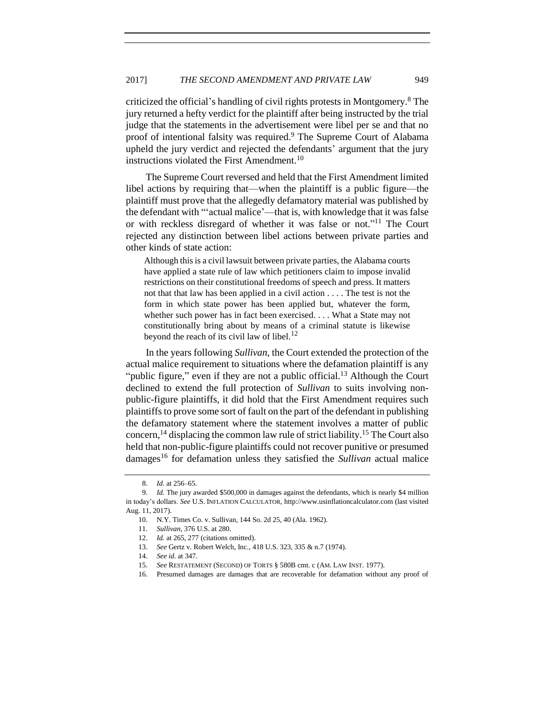criticized the official's handling of civil rights protests in Montgomery.<sup>8</sup> The jury returned a hefty verdict for the plaintiff after being instructed by the trial judge that the statements in the advertisement were libel per se and that no proof of intentional falsity was required.<sup>9</sup> The Supreme Court of Alabama upheld the jury verdict and rejected the defendants' argument that the jury instructions violated the First Amendment.<sup>10</sup>

The Supreme Court reversed and held that the First Amendment limited libel actions by requiring that—when the plaintiff is a public figure—the plaintiff must prove that the allegedly defamatory material was published by the defendant with "'actual malice'—that is, with knowledge that it was false or with reckless disregard of whether it was false or not." <sup>11</sup> The Court rejected any distinction between libel actions between private parties and other kinds of state action:

Although this is a civil lawsuit between private parties, the Alabama courts have applied a state rule of law which petitioners claim to impose invalid restrictions on their constitutional freedoms of speech and press. It matters not that that law has been applied in a civil action . . . . The test is not the form in which state power has been applied but, whatever the form, whether such power has in fact been exercised. . . . What a State may not constitutionally bring about by means of a criminal statute is likewise beyond the reach of its civil law of libel.<sup>12</sup>

In the years following *Sullivan*, the Court extended the protection of the actual malice requirement to situations where the defamation plaintiff is any "public figure," even if they are not a public official.<sup>13</sup> Although the Court declined to extend the full protection of *Sullivan* to suits involving nonpublic-figure plaintiffs, it did hold that the First Amendment requires such plaintiffs to prove some sort of fault on the part of the defendant in publishing the defamatory statement where the statement involves a matter of public concern,  $^{14}$  displacing the common law rule of strict liability.<sup>15</sup> The Court also held that non-public-figure plaintiffs could not recover punitive or presumed damages<sup>16</sup> for defamation unless they satisfied the *Sullivan* actual malice

<sup>8.</sup> *Id.* at 256–65.

<sup>9.</sup> *Id.* The jury awarded \$500,000 in damages against the defendants, which is nearly \$4 million in today's dollars. *See* U.S. INFLATION CALCULATOR, http://www.usinflationcalculator.com (last visited Aug. 11, 2017).

<sup>10.</sup> N.Y. Times Co. v. Sullivan, 144 So. 2d 25, 40 (Ala. 1962).

<sup>11.</sup> *Sullivan*, 376 U.S. at 280.

<sup>12.</sup> *Id.* at 265, 277 (citations omitted).

<sup>13.</sup> *See* Gertz v. Robert Welch, Inc., 418 U.S. 323, 335 & n.7 (1974).

<sup>14.</sup> *See id.* at 347.

<sup>15.</sup> *See* RESTATEMENT (SECOND) OF TORTS § 580B cmt. c (AM. LAW INST. 1977).

<sup>16.</sup> Presumed damages are damages that are recoverable for defamation without any proof of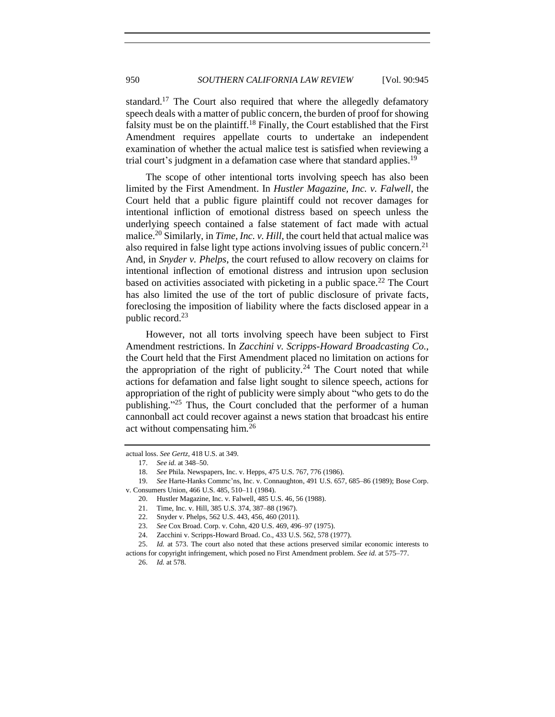standard.<sup>17</sup> The Court also required that where the allegedly defamatory speech deals with a matter of public concern, the burden of proof for showing falsity must be on the plaintiff.<sup>18</sup> Finally, the Court established that the First Amendment requires appellate courts to undertake an independent examination of whether the actual malice test is satisfied when reviewing a trial court's judgment in a defamation case where that standard applies.<sup>19</sup>

The scope of other intentional torts involving speech has also been limited by the First Amendment. In *Hustler Magazine, Inc. v. Falwell*, the Court held that a public figure plaintiff could not recover damages for intentional infliction of emotional distress based on speech unless the underlying speech contained a false statement of fact made with actual malice. <sup>20</sup> Similarly, in *Time, Inc. v. Hill*, the court held that actual malice was also required in false light type actions involving issues of public concern. 21 And, in *Snyder v. Phelps*, the court refused to allow recovery on claims for intentional inflection of emotional distress and intrusion upon seclusion based on activities associated with picketing in a public space.<sup>22</sup> The Court has also limited the use of the tort of public disclosure of private facts, foreclosing the imposition of liability where the facts disclosed appear in a public record.<sup>23</sup>

However, not all torts involving speech have been subject to First Amendment restrictions. In *Zacchini v. Scripps-Howard Broadcasting Co.*, the Court held that the First Amendment placed no limitation on actions for the appropriation of the right of publicity.<sup>24</sup> The Court noted that while actions for defamation and false light sought to silence speech, actions for appropriation of the right of publicity were simply about "who gets to do the publishing."<sup>25</sup> Thus, the Court concluded that the performer of a human cannonball act could recover against a news station that broadcast his entire act without compensating him.<sup>26</sup>

actual loss. *See Gertz*, 418 U.S. at 349.

- 19. *See* Harte-Hanks Commc'ns, Inc. v. Connaughton, 491 U.S. 657, 685–86 (1989); Bose Corp. v. Consumers Union, 466 U.S. 485, 510–11 (1984).
	- 20. Hustler Magazine, Inc. v. Falwell, 485 U.S. 46, 56 (1988).

actions for copyright infringement, which posed no First Amendment problem. *See id.* at 575–77.

<sup>17.</sup> *See id.* at 348–50.

<sup>18.</sup> *See* Phila. Newspapers, Inc. v. Hepps, 475 U.S. 767, 776 (1986).

<sup>21.</sup> Time, Inc. v. Hill, 385 U.S. 374, 387–88 (1967).

<sup>22.</sup> Snyder v. Phelps, 562 U.S. 443, 456, 460 (2011).

<sup>23.</sup> *See* Cox Broad. Corp. v. Cohn, 420 U.S. 469, 496–97 (1975).

<sup>24.</sup> Zacchini v. Scripps-Howard Broad. Co., 433 U.S. 562, 578 (1977).

<sup>25.</sup> *Id.* at 573. The court also noted that these actions preserved similar economic interests to

<sup>26.</sup> *Id.* at 578.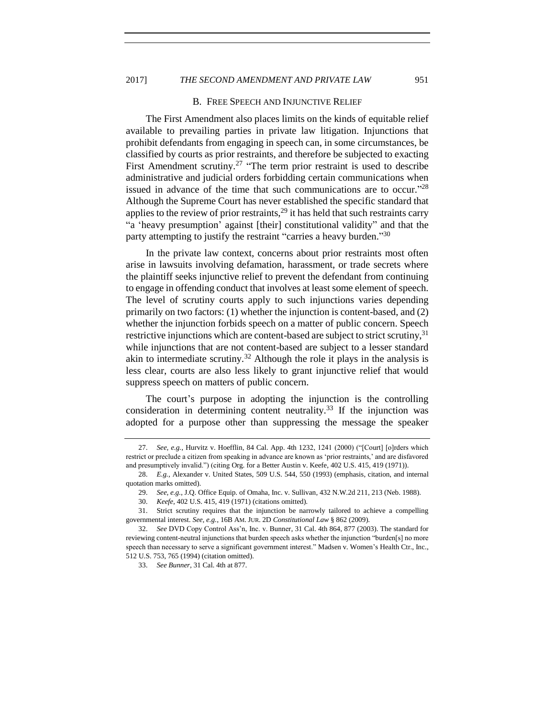## 2017] *THE SECOND AMENDMENT AND PRIVATE LAW* 951

#### B. FREE SPEECH AND INJUNCTIVE RELIEF

<span id="page-6-0"></span>The First Amendment also places limits on the kinds of equitable relief available to prevailing parties in private law litigation. Injunctions that prohibit defendants from engaging in speech can, in some circumstances, be classified by courts as prior restraints, and therefore be subjected to exacting First Amendment scrutiny.<sup>27</sup> "The term prior restraint is used to describe administrative and judicial orders forbidding certain communications when issued in advance of the time that such communications are to occur."<sup>28</sup> Although the Supreme Court has never established the specific standard that applies to the review of prior restraints,  $2<sup>9</sup>$  it has held that such restraints carry "a 'heavy presumption' against [their] constitutional validity" and that the party attempting to justify the restraint "carries a heavy burden."30

In the private law context, concerns about prior restraints most often arise in lawsuits involving defamation, harassment, or trade secrets where the plaintiff seeks injunctive relief to prevent the defendant from continuing to engage in offending conduct that involves at least some element of speech. The level of scrutiny courts apply to such injunctions varies depending primarily on two factors: (1) whether the injunction is content-based, and (2) whether the injunction forbids speech on a matter of public concern. Speech restrictive injunctions which are content-based are subject to strict scrutiny,<sup>31</sup> while injunctions that are not content-based are subject to a lesser standard akin to intermediate scrutiny.<sup>32</sup> Although the role it plays in the analysis is less clear, courts are also less likely to grant injunctive relief that would suppress speech on matters of public concern.

The court's purpose in adopting the injunction is the controlling consideration in determining content neutrality.<sup>33</sup> If the injunction was adopted for a purpose other than suppressing the message the speaker

<sup>27.</sup> *See, e.g.*, Hurvitz v. Hoefflin, 84 Cal. App. 4th 1232, 1241 (2000) ("[Court] [o]rders which restrict or preclude a citizen from speaking in advance are known as 'prior restraints,' and are disfavored and presumptively invalid.") (citing Org. for a Better Austin v. Keefe, 402 U.S. 415, 419 (1971)).

<sup>28.</sup> *E.g.*, Alexander v. United States, 509 U.S. 544, 550 (1993) (emphasis, citation, and internal quotation marks omitted).

<sup>29.</sup> *See, e.g.*, J.Q. Office Equip. of Omaha, Inc. v. Sullivan, 432 N.W.2d 211, 213 (Neb. 1988).

<sup>30.</sup> *Keefe*, 402 U.S. 415, 419 (1971) (citations omitted).

<sup>31.</sup> Strict scrutiny requires that the injunction be narrowly tailored to achieve a compelling governmental interest. *See, e.g.*, 16B AM. JUR. 2D *Constitutional Law* § 862 (2009).

<sup>32.</sup> *See* DVD Copy Control Ass'n, Inc. v. Bunner, 31 Cal. 4th 864, 877 (2003). The standard for reviewing content-neutral injunctions that burden speech asks whether the injunction "burden[s] no more speech than necessary to serve a significant government interest." Madsen v. Women's Health Ctr., Inc., 512 U.S. 753, 765 (1994) (citation omitted).

<sup>33.</sup> *See Bunner*, 31 Cal. 4th at 877.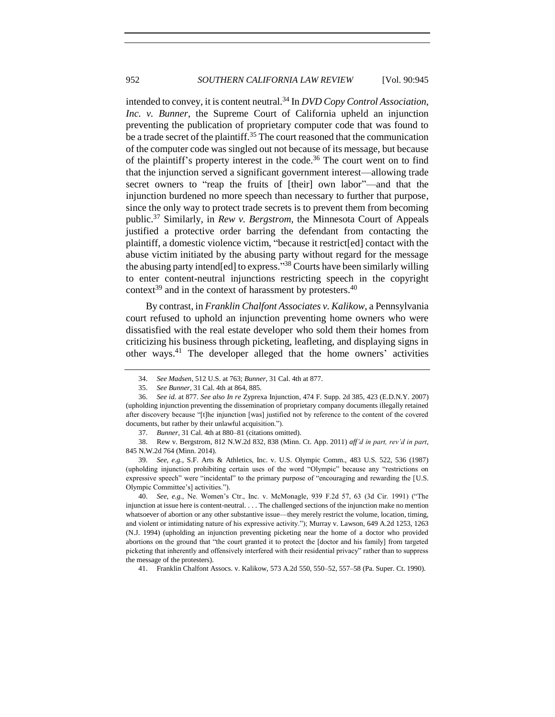intended to convey, it is content neutral.<sup>34</sup> In *DVD Copy Control Association, Inc. v. Bunner*, the Supreme Court of California upheld an injunction preventing the publication of proprietary computer code that was found to be a trade secret of the plaintiff.<sup>35</sup> The court reasoned that the communication of the computer code was singled out not because of its message, but because of the plaintiff's property interest in the code.<sup>36</sup> The court went on to find that the injunction served a significant government interest—allowing trade secret owners to "reap the fruits of [their] own labor"—and that the injunction burdened no more speech than necessary to further that purpose, since the only way to protect trade secrets is to prevent them from becoming public.<sup>37</sup> Similarly, in *Rew v. Bergstrom*, the Minnesota Court of Appeals justified a protective order barring the defendant from contacting the plaintiff, a domestic violence victim, "because it restrict[ed] contact with the abuse victim initiated by the abusing party without regard for the message the abusing party intend[ed] to express." <sup>38</sup> Courts have been similarly willing to enter content-neutral injunctions restricting speech in the copyright context<sup>39</sup> and in the context of harassment by protesters.<sup>40</sup>

By contrast, in *Franklin Chalfont Associates v. Kalikow*, a Pennsylvania court refused to uphold an injunction preventing home owners who were dissatisfied with the real estate developer who sold them their homes from criticizing his business through picketing, leafleting, and displaying signs in other ways.<sup>41</sup> The developer alleged that the home owners' activities

39. *See, e.g.*, S.F. Arts & Athletics, Inc. v. U.S. Olympic Comm., 483 U.S. 522, 536 (1987) (upholding injunction prohibiting certain uses of the word "Olympic" because any "restrictions on expressive speech" were "incidental" to the primary purpose of "encouraging and rewarding the [U.S. Olympic Committee's] activities.").

40. *See, e.g.*, Ne. Women's Ctr., Inc. v. McMonagle, 939 F.2d 57, 63 (3d Cir. 1991) ("The injunction at issue here is content-neutral. . . . The challenged sections of the injunction make no mention whatsoever of abortion or any other substantive issue—they merely restrict the volume, location, timing, and violent or intimidating nature of his expressive activity."); Murray v. Lawson, 649 A.2d 1253, 1263 (N.J. 1994) (upholding an injunction preventing picketing near the home of a doctor who provided abortions on the ground that "the court granted it to protect the [doctor and his family] from targeted picketing that inherently and offensively interfered with their residential privacy" rather than to suppress the message of the protesters).

41. Franklin Chalfont Assocs. v. Kalikow, 573 A.2d 550, 550–52, 557–58 (Pa. Super. Ct. 1990).

<sup>34.</sup> *See Madsen*, 512 U.S. at 763; *Bunner*, 31 Cal. 4th at 877.

<sup>35.</sup> *See Bunner*, 31 Cal. 4th at 864, 885.

<sup>36.</sup> *See id.* at 877. *See also In re* Zyprexa Injunction, 474 F. Supp. 2d 385, 423 (E.D.N.Y. 2007) (upholding injunction preventing the dissemination of proprietary company documents illegally retained after discovery because "[t]he injunction [was] justified not by reference to the content of the covered documents, but rather by their unlawful acquisition.").

<sup>37.</sup> *Bunner*, 31 Cal. 4th at 880–81 (citations omitted).

<sup>38.</sup> Rew v. Bergstrom, 812 N.W.2d 832, 838 (Minn. Ct. App. 2011) *aff'd in part, rev'd in part*, 845 N.W.2d 764 (Minn. 2014).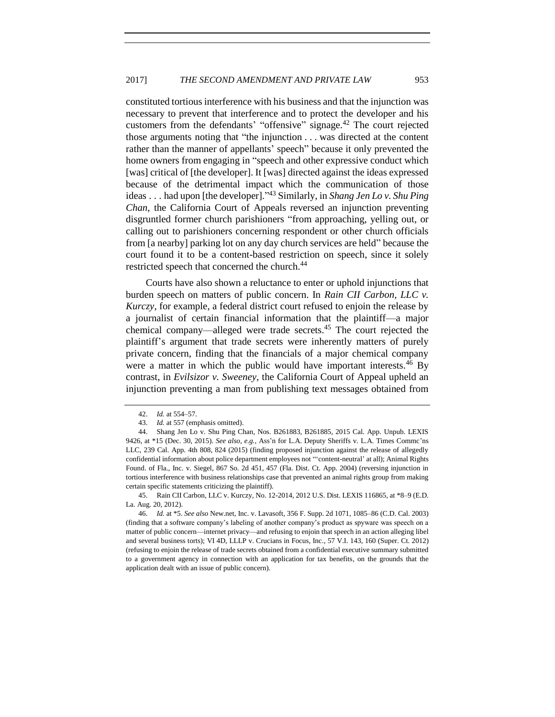constituted tortious interference with his business and that the injunction was necessary to prevent that interference and to protect the developer and his customers from the defendants' "offensive" signage. $42$  The court rejected those arguments noting that "the injunction . . . was directed at the content rather than the manner of appellants' speech" because it only prevented the home owners from engaging in "speech and other expressive conduct which [was] critical of [the developer]. It [was] directed against the ideas expressed because of the detrimental impact which the communication of those ideas . . . had upon [the developer]." <sup>43</sup> Similarly, in *Shang Jen Lo v. Shu Ping Chan*, the California Court of Appeals reversed an injunction preventing disgruntled former church parishioners "from approaching, yelling out, or calling out to parishioners concerning respondent or other church officials from [a nearby] parking lot on any day church services are held" because the court found it to be a content-based restriction on speech, since it solely restricted speech that concerned the church.<sup>44</sup>

Courts have also shown a reluctance to enter or uphold injunctions that burden speech on matters of public concern. In *Rain CII Carbon, LLC v. Kurczy*, for example, a federal district court refused to enjoin the release by a journalist of certain financial information that the plaintiff—a major chemical company—alleged were trade secrets.<sup>45</sup> The court rejected the plaintiff's argument that trade secrets were inherently matters of purely private concern, finding that the financials of a major chemical company were a matter in which the public would have important interests.  $46\,$  By contrast, in *Evilsizor v. Sweeney*, the California Court of Appeal upheld an injunction preventing a man from publishing text messages obtained from

<sup>42.</sup> *Id.* at 554–57.

<sup>43.</sup> *Id.* at 557 (emphasis omitted).

<sup>44.</sup> Shang Jen Lo v. Shu Ping Chan, Nos. B261883, B261885, 2015 Cal. App. Unpub. LEXIS 9426, at \*15 (Dec. 30, 2015). *See also, e.g.*, Ass'n for L.A. Deputy Sheriffs v. L.A. Times Commc'ns LLC, 239 Cal. App. 4th 808, 824 (2015) (finding proposed injunction against the release of allegedly confidential information about police department employees not "'content-neutral' at all); Animal Rights Found. of Fla., Inc. v. Siegel, 867 So. 2d 451, 457 (Fla. Dist. Ct. App. 2004) (reversing injunction in tortious interference with business relationships case that prevented an animal rights group from making certain specific statements criticizing the plaintiff).

<sup>45.</sup> Rain CII Carbon, LLC v. Kurczy, No. 12-2014, 2012 U.S. Dist. LEXIS 116865, at \*8–9 (E.D. La. Aug. 20, 2012).

<sup>46.</sup> *Id.* at \*5. *See also* New.net, Inc. v. Lavasoft, 356 F. Supp. 2d 1071, 1085–86 (C.D. Cal. 2003) (finding that a software company's labeling of another company's product as spyware was speech on a matter of public concern—internet privacy—and refusing to enjoin that speech in an action alleging libel and several business torts); VI 4D, LLLP v. Crucians in Focus, Inc., 57 V.I. 143, 160 (Super. Ct. 2012) (refusing to enjoin the release of trade secrets obtained from a confidential executive summary submitted to a government agency in connection with an application for tax benefits, on the grounds that the application dealt with an issue of public concern).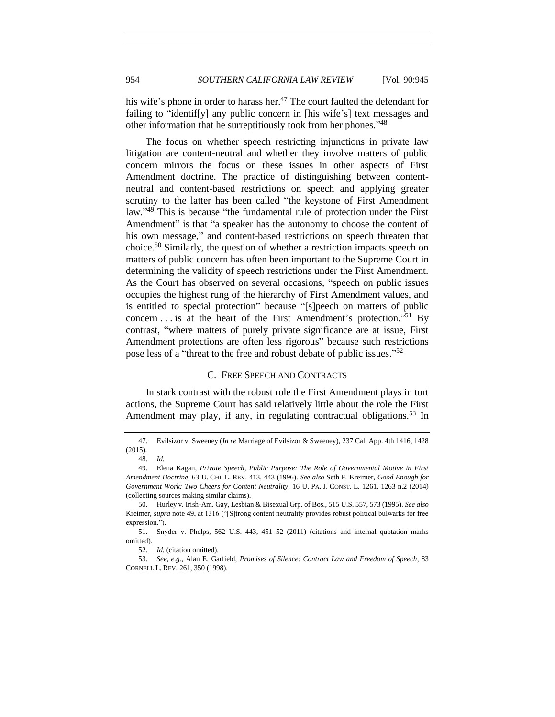his wife's phone in order to harass her.<sup>47</sup> The court faulted the defendant for failing to "identif[y] any public concern in [his wife's] text messages and other information that he surreptitiously took from her phones."<sup>48</sup>

<span id="page-9-1"></span>The focus on whether speech restricting injunctions in private law litigation are content-neutral and whether they involve matters of public concern mirrors the focus on these issues in other aspects of First Amendment doctrine. The practice of distinguishing between contentneutral and content-based restrictions on speech and applying greater scrutiny to the latter has been called "the keystone of First Amendment law."<sup>49</sup> This is because "the fundamental rule of protection under the First Amendment" is that "a speaker has the autonomy to choose the content of his own message," and content-based restrictions on speech threaten that choice.<sup>50</sup> Similarly, the question of whether a restriction impacts speech on matters of public concern has often been important to the Supreme Court in determining the validity of speech restrictions under the First Amendment. As the Court has observed on several occasions, "speech on public issues occupies the highest rung of the hierarchy of First Amendment values, and is entitled to special protection" because "[s]peech on matters of public concern . . . is at the heart of the First Amendment's protection."<sup>51</sup> By contrast, "where matters of purely private significance are at issue, First Amendment protections are often less rigorous" because such restrictions pose less of a "threat to the free and robust debate of public issues."<sup>52</sup>

## <span id="page-9-2"></span>C. FREE SPEECH AND CONTRACTS

<span id="page-9-0"></span>In stark contrast with the robust role the First Amendment plays in tort actions, the Supreme Court has said relatively little about the role the First Amendment may play, if any, in regulating contractual obligations.<sup>53</sup> In

<sup>47.</sup> Evilsizor v. Sweeney (*In re* Marriage of Evilsizor & Sweeney), 237 Cal. App. 4th 1416, 1428 (2015).

<sup>48.</sup> *Id.*

<sup>49.</sup> Elena Kagan, *Private Speech, Public Purpose: The Role of Governmental Motive in First Amendment Doctrine*, 63 U. CHI. L. REV. 413, 443 (1996). *See also* Seth F. Kreimer, *Good Enough for Government Work: Two Cheers for Content Neutrality*, 16 U. PA. J. CONST. L. 1261, 1263 n.2 (2014) (collecting sources making similar claims).

<sup>50.</sup> Hurley v. Irish-Am. Gay, Lesbian & Bisexual Grp. of Bos., 515 U.S. 557, 573 (1995). *See also* Kreimer, *supra* note [49,](#page-9-1) at 1316 ("[S]trong content neutrality provides robust political bulwarks for free expression.").

<sup>51.</sup> Snyder v. Phelps, 562 U.S. 443, 451–52 (2011) (citations and internal quotation marks omitted).

<sup>52.</sup> *Id.* (citation omitted).

<sup>53.</sup> *See, e.g.*, Alan E. Garfield, *Promises of Silence: Contract Law and Freedom of Speech*, 83 CORNELL L. REV. 261, 350 (1998).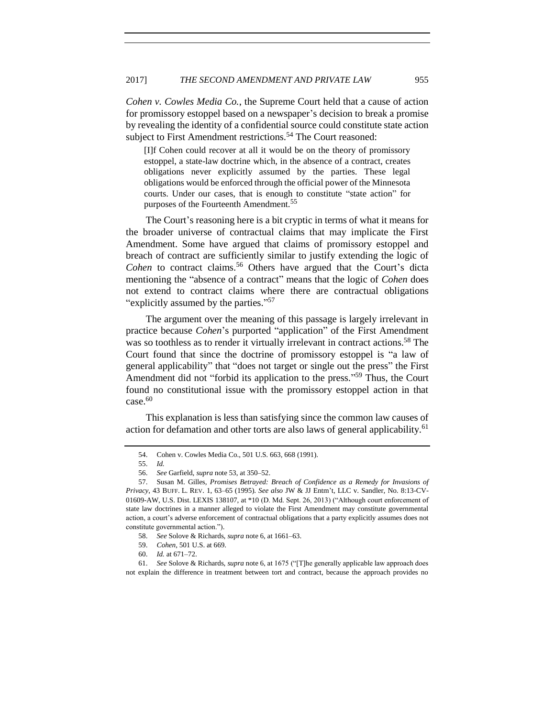*Cohen v. Cowles Media Co.*, the Supreme Court held that a cause of action for promissory estoppel based on a newspaper's decision to break a promise by revealing the identity of a confidential source could constitute state action subject to First Amendment restrictions.<sup>54</sup> The Court reasoned:

[I]f Cohen could recover at all it would be on the theory of promissory estoppel, a state-law doctrine which, in the absence of a contract, creates obligations never explicitly assumed by the parties. These legal obligations would be enforced through the official power of the Minnesota courts. Under our cases, that is enough to constitute "state action" for purposes of the Fourteenth Amendment.<sup>55</sup>

The Court's reasoning here is a bit cryptic in terms of what it means for the broader universe of contractual claims that may implicate the First Amendment. Some have argued that claims of promissory estoppel and breach of contract are sufficiently similar to justify extending the logic of Cohen to contract claims.<sup>56</sup> Others have argued that the Court's dicta mentioning the "absence of a contract" means that the logic of *Cohen* does not extend to contract claims where there are contractual obligations "explicitly assumed by the parties."<sup>57</sup>

The argument over the meaning of this passage is largely irrelevant in practice because *Cohen*'s purported "application" of the First Amendment was so toothless as to render it virtually irrelevant in contract actions.<sup>58</sup> The Court found that since the doctrine of promissory estoppel is "a law of general applicability" that "does not target or single out the press" the First Amendment did not "forbid its application to the press."<sup>59</sup> Thus, the Court found no constitutional issue with the promissory estoppel action in that case.<sup>60</sup>

This explanation is less than satisfying since the common law causes of action for defamation and other torts are also laws of general applicability.<sup>61</sup>

<sup>54.</sup> Cohen v. Cowles Media Co., 501 U.S. 663, 668 (1991).

<sup>55.</sup> *Id.*

<sup>56.</sup> *See* Garfield, *supra* note [53,](#page-9-2) at 350–52.

<sup>57.</sup> Susan M. Gilles, *Promises Betrayed: Breach of Confidence as a Remedy for Invasions of Privacy*, 43 BUFF. L. REV. 1, 63–65 (1995). *See also* JW & JJ Entm't, LLC v. Sandler, No. 8:13-CV-01609-AW, U.S. Dist. LEXIS 138107, at \*10 (D. Md. Sept. 26, 2013) ("Although court enforcement of state law doctrines in a manner alleged to violate the First Amendment may constitute governmental action, a court's adverse enforcement of contractual obligations that a party explicitly assumes does not constitute governmental action.").

<sup>58.</sup> *See* Solove & Richards, *supra* not[e 6,](#page-3-2) at 1661–63.

<sup>59.</sup> *Cohen*, 501 U.S. at 669.

<sup>60.</sup> *Id.* at 671–72.

<sup>61.</sup> *See* Solove & Richards, *supra* not[e 6,](#page-3-2) at 1675 ("[T]he generally applicable law approach does not explain the difference in treatment between tort and contract, because the approach provides no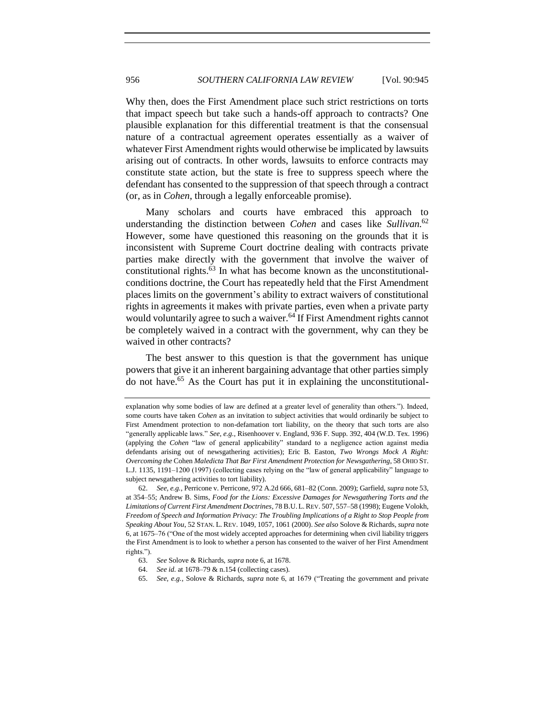Why then, does the First Amendment place such strict restrictions on torts that impact speech but take such a hands-off approach to contracts? One plausible explanation for this differential treatment is that the consensual nature of a contractual agreement operates essentially as a waiver of whatever First Amendment rights would otherwise be implicated by lawsuits arising out of contracts. In other words, lawsuits to enforce contracts may constitute state action, but the state is free to suppress speech where the defendant has consented to the suppression of that speech through a contract (or, as in *Cohen*, through a legally enforceable promise).

Many scholars and courts have embraced this approach to understanding the distinction between *Cohen* and cases like *Sullivan*. 62 However, some have questioned this reasoning on the grounds that it is inconsistent with Supreme Court doctrine dealing with contracts private parties make directly with the government that involve the waiver of constitutional rights.<sup>63</sup> In what has become known as the unconstitutionalconditions doctrine, the Court has repeatedly held that the First Amendment places limits on the government's ability to extract waivers of constitutional rights in agreements it makes with private parties, even when a private party would voluntarily agree to such a waiver.<sup>64</sup> If First Amendment rights cannot be completely waived in a contract with the government, why can they be waived in other contracts?

The best answer to this question is that the government has unique powers that give it an inherent bargaining advantage that other parties simply do not have.<sup>65</sup> As the Court has put it in explaining the unconstitutional-

65. *See, e.g.*, Solove & Richards, *supra* note [6,](#page-3-2) at 1679 ("Treating the government and private

explanation why some bodies of law are defined at a greater level of generality than others."). Indeed, some courts have taken *Cohen* as an invitation to subject activities that would ordinarily be subject to First Amendment protection to non-defamation tort liability, on the theory that such torts are also "generally applicable laws." *See, e.g.*, Risenhoover v. England, 936 F. Supp. 392, 404 (W.D. Tex. 1996) (applying the *Cohen* "law of general applicability" standard to a negligence action against media defendants arising out of newsgathering activities); Eric B. Easton, *Two Wrongs Mock A Right: Overcoming the* Cohen *Maledicta That Bar First Amendment Protection for Newsgathering*, 58 OHIO ST. L.J. 1135, 1191–1200 (1997) (collecting cases relying on the "law of general applicability" language to subject newsgathering activities to tort liability).

<sup>62.</sup> *See, e.g.*, Perricone v. Perricone, 972 A.2d 666, 681–82 (Conn. 2009); Garfield, *supra* note [53,](#page-9-2)  at 354–55; Andrew B. Sims, *Food for the Lions: Excessive Damages for Newsgathering Torts and the Limitations of Current First Amendment Doctrines*, 78 B.U. L. REV. 507, 557–58 (1998); Eugene Volokh, *Freedom of Speech and Information Privacy: The Troubling Implications of a Right to Stop People from Speaking About You*, 52 STAN. L. REV. 1049, 1057, 1061 (2000). *See also* Solove & Richards, *supra* note [6,](#page-3-2) at 1675–76 ("One of the most widely accepted approaches for determining when civil liability triggers the First Amendment is to look to whether a person has consented to the waiver of her First Amendment rights.").

<sup>63.</sup> *See* Solove & Richards, *supra* not[e 6,](#page-3-2) at 1678.

<sup>64.</sup> *See id.* at 1678–79 & n.154 (collecting cases).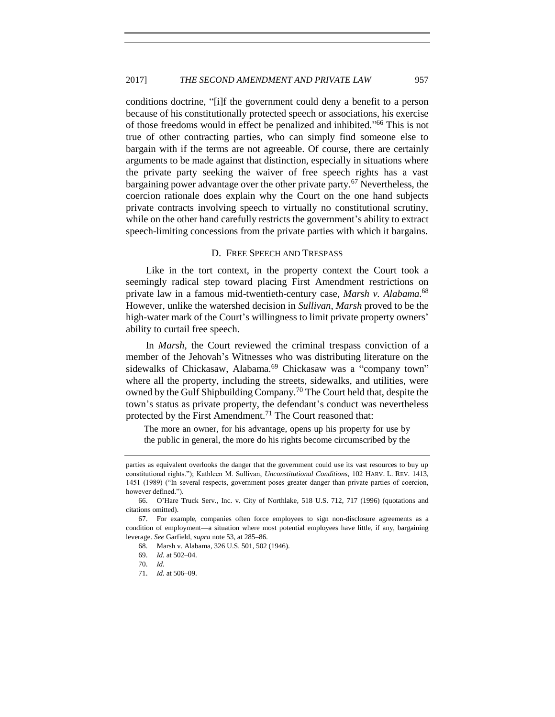conditions doctrine, "[i]f the government could deny a benefit to a person because of his constitutionally protected speech or associations, his exercise of those freedoms would in effect be penalized and inhibited." <sup>66</sup> This is not true of other contracting parties, who can simply find someone else to bargain with if the terms are not agreeable. Of course, there are certainly arguments to be made against that distinction, especially in situations where the private party seeking the waiver of free speech rights has a vast bargaining power advantage over the other private party.<sup>67</sup> Nevertheless, the coercion rationale does explain why the Court on the one hand subjects private contracts involving speech to virtually no constitutional scrutiny, while on the other hand carefully restricts the government's ability to extract speech-limiting concessions from the private parties with which it bargains.

## D. FREE SPEECH AND TRESPASS

<span id="page-12-0"></span>Like in the tort context, in the property context the Court took a seemingly radical step toward placing First Amendment restrictions on private law in a famous mid-twentieth-century case, *Marsh v. Alabama*. 68 However, unlike the watershed decision in *Sullivan*, *Marsh* proved to be the high-water mark of the Court's willingness to limit private property owners' ability to curtail free speech.

In *Marsh*, the Court reviewed the criminal trespass conviction of a member of the Jehovah's Witnesses who was distributing literature on the sidewalks of Chickasaw, Alabama.<sup>69</sup> Chickasaw was a "company town" where all the property, including the streets, sidewalks, and utilities, were owned by the Gulf Shipbuilding Company.<sup>70</sup> The Court held that, despite the town's status as private property, the defendant's conduct was nevertheless protected by the First Amendment.<sup>71</sup> The Court reasoned that:

The more an owner, for his advantage, opens up his property for use by the public in general, the more do his rights become circumscribed by the

parties as equivalent overlooks the danger that the government could use its vast resources to buy up constitutional rights."); Kathleen M. Sullivan, *Unconstitutional Conditions*, 102 HARV. L. REV. 1413, 1451 (1989) ("In several respects, government poses greater danger than private parties of coercion, however defined.").

<sup>66.</sup> O'Hare Truck Serv., Inc. v. City of Northlake, 518 U.S. 712, 717 (1996) (quotations and citations omitted).

<sup>67.</sup> For example, companies often force employees to sign non-disclosure agreements as a condition of employment—a situation where most potential employees have little, if any, bargaining leverage. *See* Garfield, *supra* note [53,](#page-9-2) at 285–86.

<sup>68.</sup> Marsh v. Alabama, 326 U.S. 501, 502 (1946).

<sup>69.</sup> *Id.* at 502–04.

<sup>70.</sup> *Id.*

<sup>71.</sup> *Id.* at 506–09.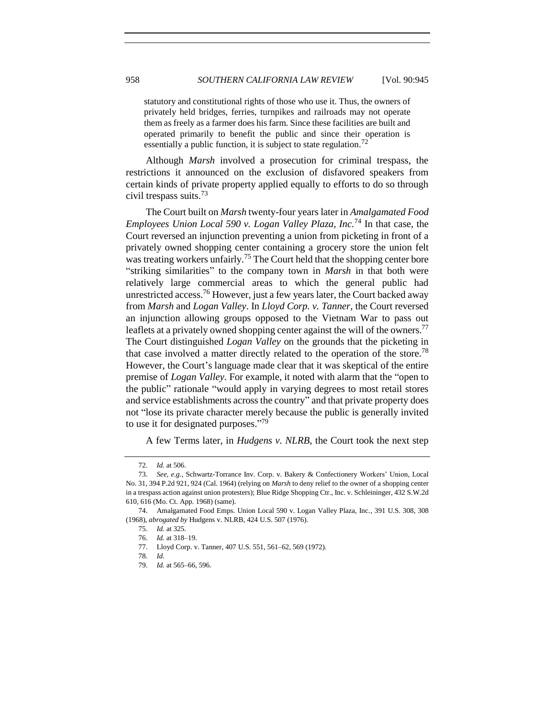statutory and constitutional rights of those who use it. Thus, the owners of privately held bridges, ferries, turnpikes and railroads may not operate them as freely as a farmer does his farm. Since these facilities are built and operated primarily to benefit the public and since their operation is essentially a public function, it is subject to state regulation.<sup>72</sup>

Although *Marsh* involved a prosecution for criminal trespass, the restrictions it announced on the exclusion of disfavored speakers from certain kinds of private property applied equally to efforts to do so through civil trespass suits.<sup>73</sup>

The Court built on *Marsh* twenty-four years later in *Amalgamated Food Employees Union Local 590 v. Logan Valley Plaza, Inc.*<sup>74</sup> In that case, the Court reversed an injunction preventing a union from picketing in front of a privately owned shopping center containing a grocery store the union felt was treating workers unfairly.<sup>75</sup> The Court held that the shopping center bore "striking similarities" to the company town in *Marsh* in that both were relatively large commercial areas to which the general public had unrestricted access.<sup>76</sup> However, just a few years later, the Court backed away from *Marsh* and *Logan Valley*. In *Lloyd Corp. v. Tanner*, the Court reversed an injunction allowing groups opposed to the Vietnam War to pass out leaflets at a privately owned shopping center against the will of the owners.<sup>77</sup> The Court distinguished *Logan Valley* on the grounds that the picketing in that case involved a matter directly related to the operation of the store.<sup>78</sup> However, the Court's language made clear that it was skeptical of the entire premise of *Logan Valley*. For example, it noted with alarm that the "open to the public" rationale "would apply in varying degrees to most retail stores and service establishments across the country" and that private property does not "lose its private character merely because the public is generally invited to use it for designated purposes."<sup>79</sup>

A few Terms later, in *Hudgens v. NLRB*, the Court took the next step

<sup>72.</sup> *Id.* at 506.

<sup>73.</sup> *See, e.g.*, Schwartz-Torrance Inv. Corp. v. Bakery & Confectionery Workers' Union, Local No. 31, 394 P.2d 921, 924 (Cal. 1964) (relying on *Marsh* to deny relief to the owner of a shopping center in a trespass action against union protesters); Blue Ridge Shopping Ctr., Inc. v. Schleininger, 432 S.W.2d 610, 616 (Mo. Ct. App. 1968) (same).

<sup>74.</sup> Amalgamated Food Emps. Union Local 590 v. Logan Valley Plaza, Inc., 391 U.S. 308, 308 (1968), *abrogated by* Hudgens v. NLRB, 424 U.S. 507 (1976).

<sup>75.</sup> *Id.* at 325.

<sup>76.</sup> *Id.* at 318–19.

<sup>77.</sup> Lloyd Corp. v. Tanner, 407 U.S. 551, 561–62, 569 (1972).

<sup>78.</sup> *Id.*

<sup>79.</sup> *Id.* at 565–66, 596.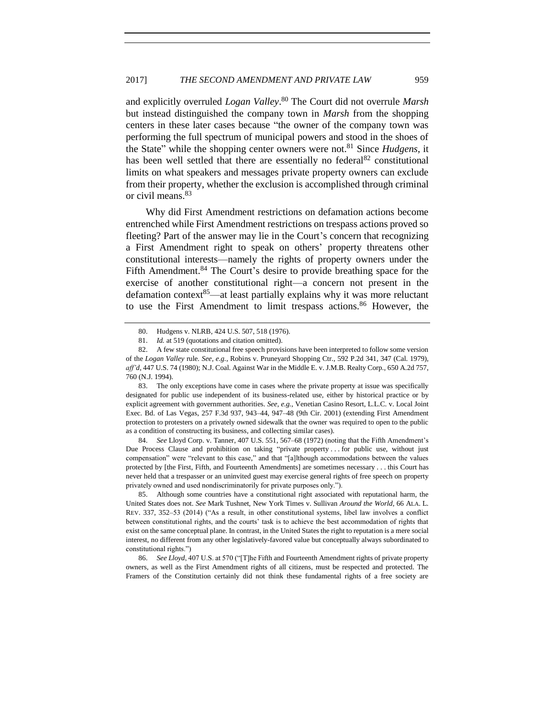and explicitly overruled *Logan Valley*. <sup>80</sup> The Court did not overrule *Marsh* but instead distinguished the company town in *Marsh* from the shopping centers in these later cases because "the owner of the company town was performing the full spectrum of municipal powers and stood in the shoes of the State" while the shopping center owners were not.<sup>81</sup> Since *Hudgens*, it has been well settled that there are essentially no federal<sup>82</sup> constitutional limits on what speakers and messages private property owners can exclude from their property, whether the exclusion is accomplished through criminal or civil means.<sup>83</sup>

Why did First Amendment restrictions on defamation actions become entrenched while First Amendment restrictions on trespass actions proved so fleeting? Part of the answer may lie in the Court's concern that recognizing a First Amendment right to speak on others' property threatens other constitutional interests—namely the rights of property owners under the Fifth Amendment.<sup>84</sup> The Court's desire to provide breathing space for the exercise of another constitutional right—a concern not present in the defamation context<sup>85</sup>—at least partially explains why it was more reluctant to use the First Amendment to limit trespass actions.<sup>86</sup> However, the

83. The only exceptions have come in cases where the private property at issue was specifically designated for public use independent of its business-related use, either by historical practice or by explicit agreement with government authorities. *See, e.g.*, Venetian Casino Resort, L.L.C. v. Local Joint Exec. Bd. of Las Vegas, 257 F.3d 937, 943–44, 947–48 (9th Cir. 2001) (extending First Amendment protection to protesters on a privately owned sidewalk that the owner was required to open to the public as a condition of constructing its business, and collecting similar cases).

84. *See* Lloyd Corp. v. Tanner, 407 U.S. 551, 567–68 (1972) (noting that the Fifth Amendment's Due Process Clause and prohibition on taking "private property . . . for public use, without just compensation" were "relevant to this case," and that "[a]lthough accommodations between the values protected by [the First, Fifth, and Fourteenth Amendments] are sometimes necessary . . . this Court has never held that a trespasser or an uninvited guest may exercise general rights of free speech on property privately owned and used nondiscriminatorily for private purposes only.").

85. Although some countries have a constitutional right associated with reputational harm, the United States does not. *See* Mark Tushnet, New York Times v. Sullivan *Around the World*, 66 ALA. L. REV. 337, 352–53 (2014) ("As a result, in other constitutional systems, libel law involves a conflict between constitutional rights, and the courts' task is to achieve the best accommodation of rights that exist on the same conceptual plane. In contrast, in the United States the right to reputation is a mere social interest, no different from any other legislatively-favored value but conceptually always subordinated to constitutional rights.")

86. *See Lloyd*, 407 U.S. at 570 ("[T]he Fifth and Fourteenth Amendment rights of private property owners, as well as the First Amendment rights of all citizens, must be respected and protected. The Framers of the Constitution certainly did not think these fundamental rights of a free society are

<sup>80.</sup> Hudgens v. NLRB, 424 U.S. 507, 518 (1976).

<sup>81.</sup> *Id.* at 519 (quotations and citation omitted).

<sup>82.</sup> A few state constitutional free speech provisions have been interpreted to follow some version of the *Logan Valley* rule. *See, e.g.*, Robins v. Pruneyard Shopping Ctr*.*, 592 P.2d 341, 347 (Cal. 1979), *aff'd*, 447 U.S. 74 (1980); N.J. Coal. Against War in the Middle E. v. J.M.B. Realty Corp., 650 A.2d 757, 760 (N.J. 1994).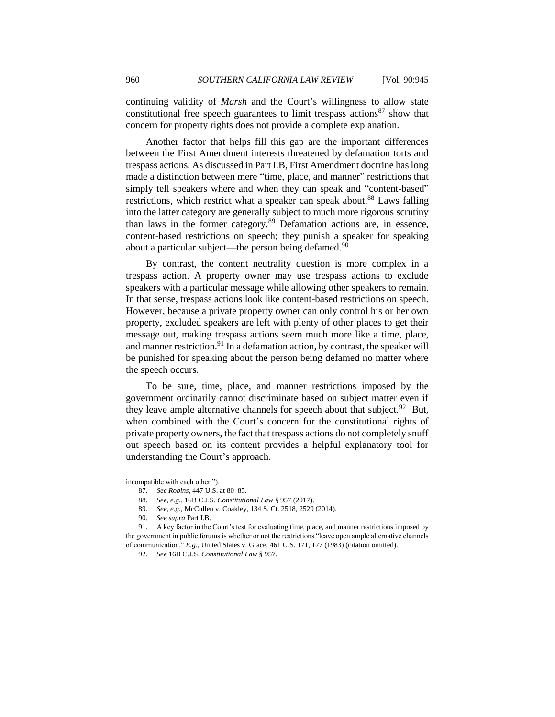continuing validity of *Marsh* and the Court's willingness to allow state constitutional free speech guarantees to limit trespass actions  $87 \text{ show that}$ concern for property rights does not provide a complete explanation.

Another factor that helps fill this gap are the important differences between the First Amendment interests threatened by defamation torts and trespass actions. As discussed in Part I.B, First Amendment doctrine has long made a distinction between mere "time, place, and manner" restrictions that simply tell speakers where and when they can speak and "content-based" restrictions, which restrict what a speaker can speak about.<sup>88</sup> Laws falling into the latter category are generally subject to much more rigorous scrutiny than laws in the former category.<sup>89</sup> Defamation actions are, in essence, content-based restrictions on speech; they punish a speaker for speaking about a particular subject—the person being defamed.<sup>90</sup>

By contrast, the content neutrality question is more complex in a trespass action. A property owner may use trespass actions to exclude speakers with a particular message while allowing other speakers to remain. In that sense, trespass actions look like content-based restrictions on speech. However, because a private property owner can only control his or her own property, excluded speakers are left with plenty of other places to get their message out, making trespass actions seem much more like a time, place, and manner restriction.<sup>91</sup> In a defamation action, by contrast, the speaker will be punished for speaking about the person being defamed no matter where the speech occurs.

To be sure, time, place, and manner restrictions imposed by the government ordinarily cannot discriminate based on subject matter even if they leave ample alternative channels for speech about that subject.<sup>92</sup> But, when combined with the Court's concern for the constitutional rights of private property owners, the fact that trespass actions do not completely snuff out speech based on its content provides a helpful explanatory tool for understanding the Court's approach.

incompatible with each other.").

<sup>87.</sup> *See Robins*, 447 U.S. at 80–85.

<sup>88.</sup> *See, e.g.*, 16B C.J.S. *Constitutional Law* § 957 (2017).

<sup>89.</sup> *See, e.g.*, McCullen v. Coakley, 134 S. Ct. 2518, 2529 (2014).

<sup>90.</sup> *See supra* Part I.B.

<sup>91.</sup> A key factor in the Court's test for evaluating time, place, and manner restrictions imposed by the government in public forums is whether or not the restrictions "leave open ample alternative channels of communication." *E.g.*, United States v. Grace, 461 U.S. 171, 177 (1983) (citation omitted).

<sup>92.</sup> *See* 16B C.J.S. *Constitutional Law* § 957.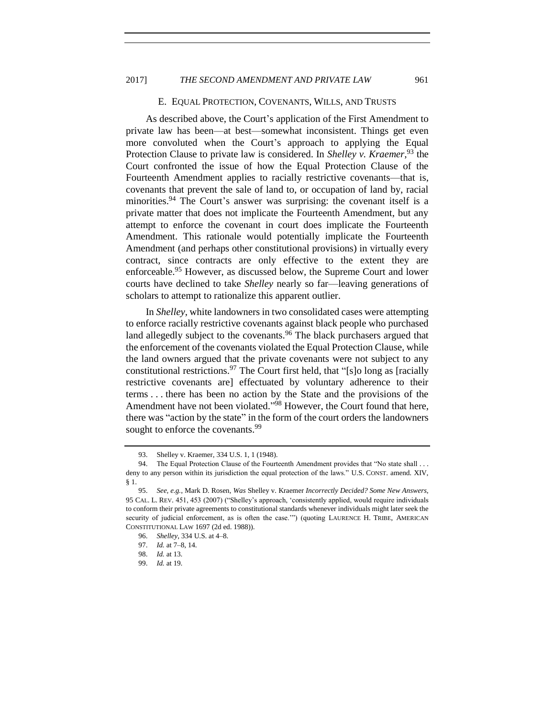## 2017] *THE SECOND AMENDMENT AND PRIVATE LAW* 961

#### E. EQUAL PROTECTION, COVENANTS, WILLS, AND TRUSTS

<span id="page-16-0"></span>As described above, the Court's application of the First Amendment to private law has been—at best—somewhat inconsistent. Things get even more convoluted when the Court's approach to applying the Equal Protection Clause to private law is considered. In *Shelley v. Kraemer*, <sup>93</sup> the Court confronted the issue of how the Equal Protection Clause of the Fourteenth Amendment applies to racially restrictive covenants—that is, covenants that prevent the sale of land to, or occupation of land by, racial minorities.<sup>94</sup> The Court's answer was surprising: the covenant itself is a private matter that does not implicate the Fourteenth Amendment, but any attempt to enforce the covenant in court does implicate the Fourteenth Amendment. This rationale would potentially implicate the Fourteenth Amendment (and perhaps other constitutional provisions) in virtually every contract, since contracts are only effective to the extent they are enforceable.<sup>95</sup> However, as discussed below, the Supreme Court and lower courts have declined to take *Shelley* nearly so far—leaving generations of scholars to attempt to rationalize this apparent outlier.

<span id="page-16-1"></span>In *Shelley*, white landowners in two consolidated cases were attempting to enforce racially restrictive covenants against black people who purchased land allegedly subject to the covenants.<sup>96</sup> The black purchasers argued that the enforcement of the covenants violated the Equal Protection Clause, while the land owners argued that the private covenants were not subject to any constitutional restrictions.  $97$  The Court first held, that "[s]o long as [racially restrictive covenants are] effectuated by voluntary adherence to their terms . . . there has been no action by the State and the provisions of the Amendment have not been violated."<sup>98</sup> However, the Court found that here, there was "action by the state" in the form of the court orders the landowners sought to enforce the covenants.<sup>99</sup>

<sup>93.</sup> Shelley v. Kraemer, 334 U.S. 1, 1 (1948).

<sup>94.</sup> The Equal Protection Clause of the Fourteenth Amendment provides that "No state shall . . . deny to any person within its jurisdiction the equal protection of the laws." U.S. CONST. amend. XIV, § 1.

<sup>95.</sup> *See, e.g.*, Mark D. Rosen, *Was* Shelley v. Kraemer *Incorrectly Decided? Some New Answers*, 95 CAL. L. REV. 451, 453 (2007) ("Shelley's approach, 'consistently applied, would require individuals to conform their private agreements to constitutional standards whenever individuals might later seek the security of judicial enforcement, as is often the case."") (quoting LAURENCE H. TRIBE, AMERICAN CONSTITUTIONAL LAW 1697 (2d ed. 1988)).

<sup>96.</sup> *Shelley*, 334 U.S. at 4–8.

<sup>97.</sup> *Id.* at 7–8, 14.

<sup>98.</sup> *Id.* at 13.

<sup>99.</sup> *Id.* at 19.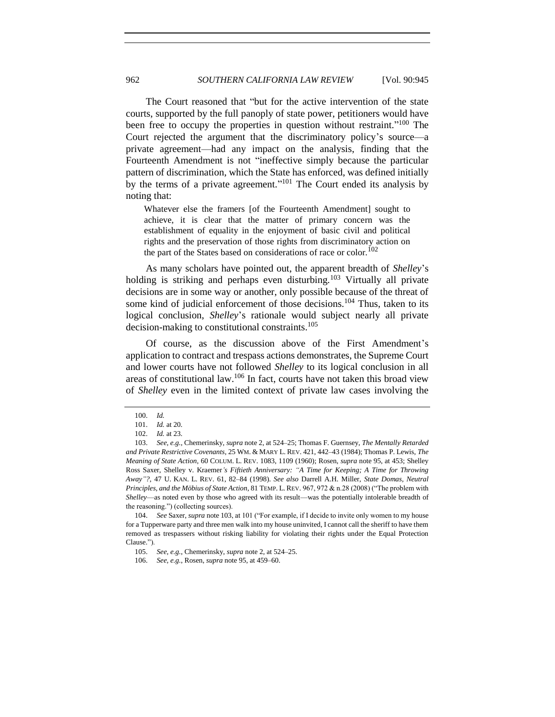The Court reasoned that "but for the active intervention of the state courts, supported by the full panoply of state power, petitioners would have been free to occupy the properties in question without restraint."<sup>100</sup> The Court rejected the argument that the discriminatory policy's source—a private agreement—had any impact on the analysis, finding that the Fourteenth Amendment is not "ineffective simply because the particular pattern of discrimination, which the State has enforced, was defined initially by the terms of a private agreement."<sup>101</sup> The Court ended its analysis by noting that:

<span id="page-17-0"></span>Whatever else the framers [of the Fourteenth Amendment] sought to achieve, it is clear that the matter of primary concern was the establishment of equality in the enjoyment of basic civil and political rights and the preservation of those rights from discriminatory action on the part of the States based on considerations of race or color.<sup>102</sup>

As many scholars have pointed out, the apparent breadth of *Shelley*'s holding is striking and perhaps even disturbing.<sup>103</sup> Virtually all private decisions are in some way or another, only possible because of the threat of some kind of judicial enforcement of those decisions.<sup>104</sup> Thus, taken to its logical conclusion, *Shelley*'s rationale would subject nearly all private decision-making to constitutional constraints.<sup>105</sup>

Of course, as the discussion above of the First Amendment's application to contract and trespass actions demonstrates, the Supreme Court and lower courts have not followed *Shelley* to its logical conclusion in all areas of constitutional law.<sup>106</sup> In fact, courts have not taken this broad view of *Shelley* even in the limited context of private law cases involving the

<sup>100.</sup> *Id.*

<sup>101.</sup> *Id.* at 20.

<sup>102.</sup> *Id.* at 23.

<sup>103.</sup> *See, e.g.*, Chemerinsky, *supra* not[e 2,](#page-2-0) at 524–25; Thomas F. Guernsey, *The Mentally Retarded and Private Restrictive Covenants*, 25 WM. & MARY L. REV. 421, 442–43 (1984); Thomas P. Lewis, *The Meaning of State Action*, 60 COLUM. L. REV. 1083, 1109 (1960); Rosen, *supra* note [95,](#page-16-1) at 453; Shelley Ross Saxer, Shelley v. Kraemer*'s Fiftieth Anniversary: "A Time for Keeping; A Time for Throwing Away"?*, 47 U. KAN. L. REV. 61, 82–84 (1998). *See also* Darrell A.H. Miller, *State Domas, Neutral Principles, and the Möbius of State Action*, 81 TEMP. L. REV. 967, 972 & n.28 (2008) ("The problem with *Shelley*—as noted even by those who agreed with its result—was the potentially intolerable breadth of the reasoning.") (collecting sources).

<sup>104.</sup> *See* Saxer, *supra* note [103,](#page-17-0) at 101 ("For example, if I decide to invite only women to my house for a Tupperware party and three men walk into my house uninvited, I cannot call the sheriff to have them removed as trespassers without risking liability for violating their rights under the Equal Protection Clause.").

<sup>105.</sup> *See, e.g.*, Chemerinsky, *supra* not[e 2,](#page-2-0) at 524–25.

<sup>106.</sup> *See, e.g.*, Rosen, *supra* note [95,](#page-16-1) at 459–60.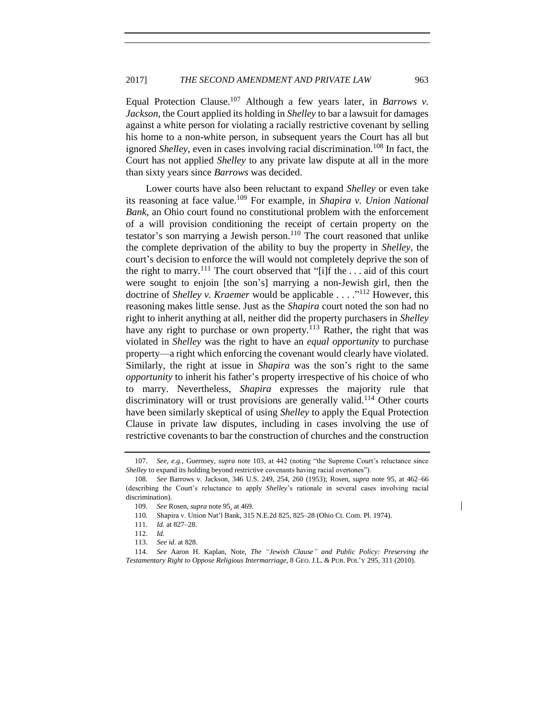Equal Protection Clause.<sup>107</sup> Although a few years later, in *Barrows v. Jackson*, the Court applied its holding in *Shelley* to bar a lawsuit for damages against a white person for violating a racially restrictive covenant by selling his home to a non-white person, in subsequent years the Court has all but ignored *Shelley*, even in cases involving racial discrimination.<sup>108</sup> In fact, the Court has not applied *Shelley* to any private law dispute at all in the more than sixty years since *Barrows* was decided.

Lower courts have also been reluctant to expand *Shelley* or even take its reasoning at face value.<sup>109</sup> For example, in *Shapira v. Union National Bank*, an Ohio court found no constitutional problem with the enforcement of a will provision conditioning the receipt of certain property on the testator's son marrying a Jewish person.<sup>110</sup> The court reasoned that unlike the complete deprivation of the ability to buy the property in *Shelley*, the court's decision to enforce the will would not completely deprive the son of the right to marry.<sup>111</sup> The court observed that "[i]f the  $\dots$  aid of this court were sought to enjoin [the son's] marrying a non-Jewish girl, then the doctrine of *Shelley v. Kraemer* would be applicable . . . ." <sup>112</sup> However, this reasoning makes little sense. Just as the *Shapira* court noted the son had no right to inherit anything at all, neither did the property purchasers in *Shelley* have any right to purchase or own property.<sup>113</sup> Rather, the right that was violated in *Shelley* was the right to have an *equal opportunity* to purchase property—a right which enforcing the covenant would clearly have violated. Similarly, the right at issue in *Shapira* was the son's right to the same *opportunity* to inherit his father's property irrespective of his choice of who to marry. Nevertheless, *Shapira* expresses the majority rule that discriminatory will or trust provisions are generally valid.<sup>114</sup> Other courts have been similarly skeptical of using *Shelley* to apply the Equal Protection Clause in private law disputes, including in cases involving the use of restrictive covenants to bar the construction of churches and the construction

<sup>107.</sup> *See, e.g.*, Guernsey, *supra* note [103,](#page-17-0) at 442 (noting "the Supreme Court's reluctance since *Shelley* to expand its holding beyond restrictive covenants having racial overtones").

<sup>108.</sup> *See* Barrows v. Jackson, 346 U.S. 249, 254, 260 (1953); Rosen, *supra* note [95,](#page-16-1) at 462–66 (describing the Court's reluctance to apply *Shelley*'s rationale in several cases involving racial discrimination).

<sup>109.</sup> *See* Rosen, *supra* not[e 95,](#page-16-1) at 469.

<sup>110.</sup> Shapira v. Union Nat'l Bank, 315 N.E.2d 825, 825–28 (Ohio Ct. Com. Pl. 1974).

<sup>111.</sup> *Id.* at 827–28.

<sup>112.</sup> *Id.*

<sup>113.</sup> *See id.* at 828.

<sup>114.</sup> *See* Aaron H. Kaplan, Note, *The "Jewish Clause" and Public Policy: Preserving the Testamentary Right to Oppose Religious Intermarriage*, 8 GEO. J.L. & PUB. POL'Y 295, 311 (2010).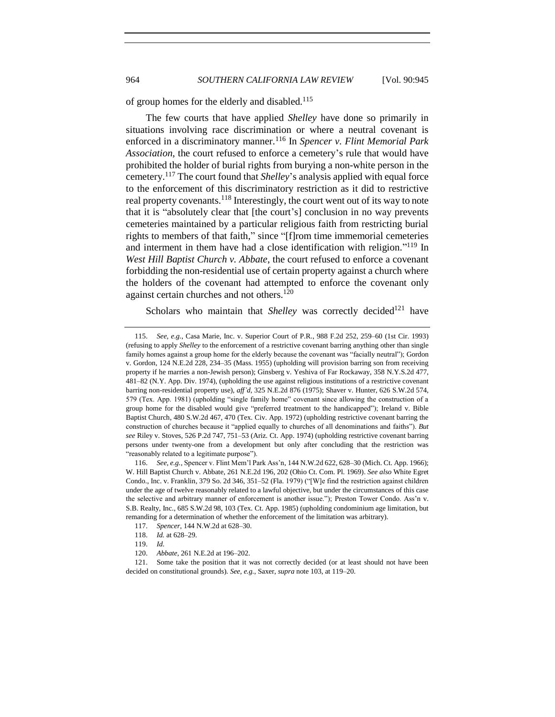of group homes for the elderly and disabled.<sup>115</sup>

The few courts that have applied *Shelley* have done so primarily in situations involving race discrimination or where a neutral covenant is enforced in a discriminatory manner.<sup>116</sup> In *Spencer v. Flint Memorial Park Association*, the court refused to enforce a cemetery's rule that would have prohibited the holder of burial rights from burying a non-white person in the cemetery.<sup>117</sup> The court found that *Shelley*'s analysis applied with equal force to the enforcement of this discriminatory restriction as it did to restrictive real property covenants.<sup>118</sup> Interestingly, the court went out of its way to note that it is "absolutely clear that [the court's] conclusion in no way prevents cemeteries maintained by a particular religious faith from restricting burial rights to members of that faith," since "[f]rom time immemorial cemeteries and interment in them have had a close identification with religion."<sup>119</sup> In *West Hill Baptist Church v. Abbate*, the court refused to enforce a covenant forbidding the non-residential use of certain property against a church where the holders of the covenant had attempted to enforce the covenant only against certain churches and not others.<sup>120</sup>

Scholars who maintain that *Shelley* was correctly decided<sup>121</sup> have

<sup>115.</sup> *See, e.g.*, Casa Marie, Inc. v. Superior Court of P.R., 988 F.2d 252, 259–60 (1st Cir. 1993) (refusing to apply *Shelley* to the enforcement of a restrictive covenant barring anything other than single family homes against a group home for the elderly because the covenant was "facially neutral"); Gordon v. Gordon, 124 N.E.2d 228, 234–35 (Mass. 1955) (upholding will provision barring son from receiving property if he marries a non-Jewish person); Ginsberg v. Yeshiva of Far Rockaway, 358 N.Y.S.2d 477, 481–82 (N.Y. App. Div. 1974), (upholding the use against religious institutions of a restrictive covenant barring non-residential property use), *aff'd*, 325 N.E.2d 876 (1975); Shaver v. Hunter, 626 S.W.2d 574, 579 (Tex. App. 1981) (upholding "single family home" covenant since allowing the construction of a group home for the disabled would give "preferred treatment to the handicapped"); Ireland v. Bible Baptist Church, 480 S.W.2d 467, 470 (Tex. Civ. App. 1972) (upholding restrictive covenant barring the construction of churches because it "applied equally to churches of all denominations and faiths"). *But see* Riley v. Stoves, 526 P.2d 747, 751–53 (Ariz. Ct. App. 1974) (upholding restrictive covenant barring persons under twenty-one from a development but only after concluding that the restriction was "reasonably related to a legitimate purpose").

<sup>116.</sup> *See, e.g.*, Spencer v. Flint Mem'l Park Ass'n, 144 N.W.2d 622, 628–30 (Mich. Ct. App. 1966); W. Hill Baptist Church v. Abbate, 261 N.E.2d 196, 202 (Ohio Ct. Com. Pl. 1969). *See also* White Egret Condo., Inc. v. Franklin, 379 So. 2d 346, 351–52 (Fla. 1979) ("[W]e find the restriction against children under the age of twelve reasonably related to a lawful objective, but under the circumstances of this case the selective and arbitrary manner of enforcement is another issue."); Preston Tower Condo. Ass'n v. S.B. Realty, Inc., 685 S.W.2d 98, 103 (Tex. Ct. App. 1985) (upholding condominium age limitation, but remanding for a determination of whether the enforcement of the limitation was arbitrary).

<sup>117.</sup> *Spencer*, 144 N.W.2d at 628–30.

<sup>118.</sup> *Id.* at 628–29.

<sup>119.</sup> *Id.*

<sup>120.</sup> *Abbate*, 261 N.E.2d at 196–202.

<sup>121.</sup> Some take the position that it was not correctly decided (or at least should not have been decided on constitutional grounds). *See, e.g.*, Saxer, *supra* note [103,](#page-17-0) at 119–20.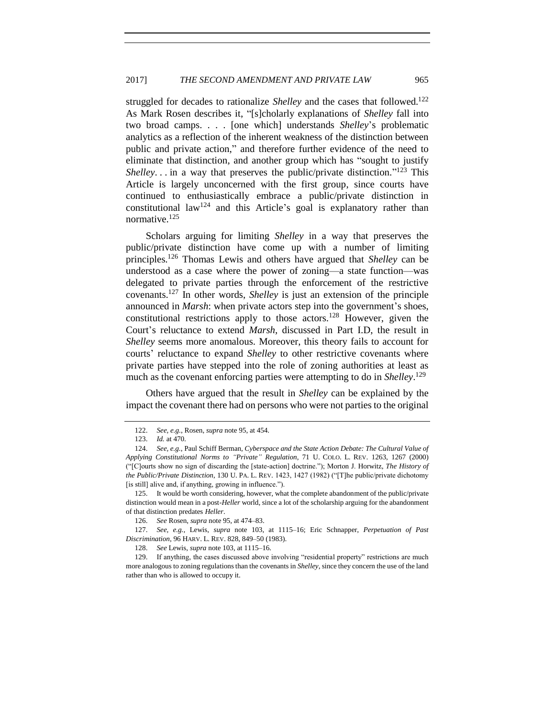struggled for decades to rationalize *Shelley* and the cases that followed.<sup>122</sup> As Mark Rosen describes it, "[s]cholarly explanations of *Shelley* fall into two broad camps. . . . [one which] understands *Shelley*'s problematic analytics as a reflection of the inherent weakness of the distinction between public and private action," and therefore further evidence of the need to eliminate that distinction, and another group which has "sought to justify Shelley... in a way that preserves the public/private distinction."<sup>123</sup> This Article is largely unconcerned with the first group, since courts have continued to enthusiastically embrace a public/private distinction in constitutional law<sup>124</sup> and this Article's goal is explanatory rather than normative.<sup>125</sup>

<span id="page-20-0"></span>Scholars arguing for limiting *Shelley* in a way that preserves the public/private distinction have come up with a number of limiting principles.<sup>126</sup> Thomas Lewis and others have argued that *Shelley* can be understood as a case where the power of zoning—a state function—was delegated to private parties through the enforcement of the restrictive covenants.<sup>127</sup> In other words, *Shelley* is just an extension of the principle announced in *Marsh*: when private actors step into the government's shoes, constitutional restrictions apply to those actors.<sup>128</sup> However, given the Court's reluctance to extend *Marsh*, discussed in Part I.D, the result in *Shelley* seems more anomalous. Moreover, this theory fails to account for courts' reluctance to expand *Shelley* to other restrictive covenants where private parties have stepped into the role of zoning authorities at least as much as the covenant enforcing parties were attempting to do in *Shelley*. 129

Others have argued that the result in *Shelley* can be explained by the impact the covenant there had on persons who were not parties to the original

127. *See, e.g.*, Lewis, *supra* note [103,](#page-17-0) at 1115–16; Eric Schnapper, *Perpetuation of Past Discrimination*, 96 HARV. L. REV. 828, 849–50 (1983).

<sup>122.</sup> *See, e.g.*, Rosen, *supra* note [95,](#page-16-1) at 454.

<sup>123.</sup> *Id.* at 470.

<sup>124.</sup> *See, e.g.*, Paul Schiff Berman, *Cyberspace and the State Action Debate: The Cultural Value of Applying Constitutional Norms to "Private" Regulation*, 71 U. COLO. L. REV. 1263, 1267 (2000) ("[C]ourts show no sign of discarding the [state-action] doctrine."); Morton J. Horwitz, *The History of the Public/Private Distinction*, 130 U. PA. L. REV. 1423, 1427 (1982) ("[T]he public/private dichotomy [is still] alive and, if anything, growing in influence.").

<sup>125.</sup> It would be worth considering, however, what the complete abandonment of the public/private distinction would mean in a post-*Heller* world, since a lot of the scholarship arguing for the abandonment of that distinction predates *Heller*.

<sup>126.</sup> *See* Rosen, *supra* note [95,](#page-16-1) at 474–83.

<sup>128.</sup> *See* Lewis, *supra* note [103,](#page-17-0) at 1115–16.

<sup>129.</sup> If anything, the cases discussed above involving "residential property" restrictions are much more analogous to zoning regulations than the covenants in *Shelley*, since they concern the use of the land rather than who is allowed to occupy it.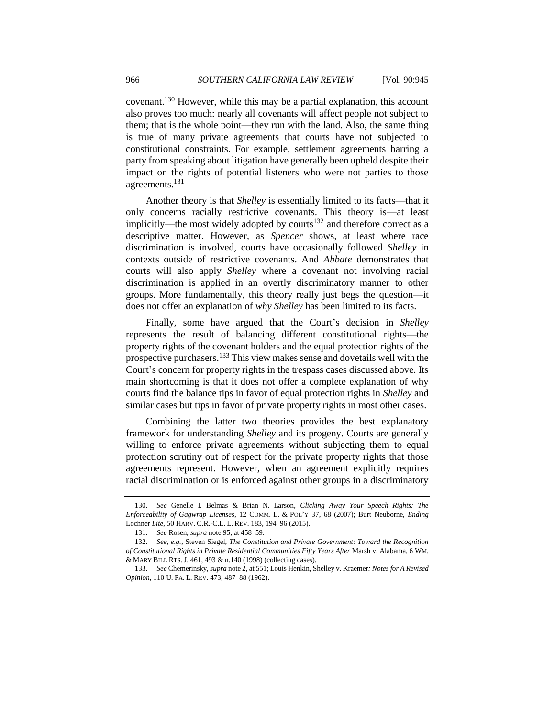<span id="page-21-0"></span>covenant.<sup>130</sup> However, while this may be a partial explanation, this account also proves too much: nearly all covenants will affect people not subject to them; that is the whole point—they run with the land. Also, the same thing is true of many private agreements that courts have not subjected to constitutional constraints. For example, settlement agreements barring a party from speaking about litigation have generally been upheld despite their impact on the rights of potential listeners who were not parties to those agreements.<sup>131</sup>

Another theory is that *Shelley* is essentially limited to its facts—that it only concerns racially restrictive covenants. This theory is—at least implicitly—the most widely adopted by courts<sup>132</sup> and therefore correct as a descriptive matter. However, as *Spencer* shows, at least where race discrimination is involved, courts have occasionally followed *Shelley* in contexts outside of restrictive covenants. And *Abbate* demonstrates that courts will also apply *Shelley* where a covenant not involving racial discrimination is applied in an overtly discriminatory manner to other groups. More fundamentally, this theory really just begs the question—it does not offer an explanation of *why Shelley* has been limited to its facts.

Finally, some have argued that the Court's decision in *Shelley* represents the result of balancing different constitutional rights—the property rights of the covenant holders and the equal protection rights of the prospective purchasers.<sup>133</sup> This view makes sense and dovetails well with the Court's concern for property rights in the trespass cases discussed above. Its main shortcoming is that it does not offer a complete explanation of why courts find the balance tips in favor of equal protection rights in *Shelley* and similar cases but tips in favor of private property rights in most other cases.

Combining the latter two theories provides the best explanatory framework for understanding *Shelley* and its progeny. Courts are generally willing to enforce private agreements without subjecting them to equal protection scrutiny out of respect for the private property rights that those agreements represent. However, when an agreement explicitly requires racial discrimination or is enforced against other groups in a discriminatory

<sup>130.</sup> *See* Genelle I. Belmas & Brian N. Larson, *Clicking Away Your Speech Rights: The Enforceability of Gagwrap Licenses*, 12 COMM. L. & POL'Y 37, 68 (2007); Burt Neuborne, *Ending*  Lochner *Lite*, 50 HARV. C.R.-C.L. L. REV. 183, 194–96 (2015).

<sup>131.</sup> *See* Rosen, *supra* note [95,](#page-16-1) at 458–59.

<sup>132.</sup> *See, e.g.*, Steven Siegel, *The Constitution and Private Government: Toward the Recognition of Constitutional Rights in Private Residential Communities Fifty Years After* Marsh v. Alabama, 6 WM. & MARY BILL RTS. J. 461, 493 & n.140 (1998) (collecting cases).

<sup>133.</sup> *See* Chemerinsky, *supra* not[e 2,](#page-2-0) at 551; Louis Henkin, Shelley v. Kraemer*: Notes for A Revised Opinion*, 110 U. PA. L. REV. 473, 487–88 (1962).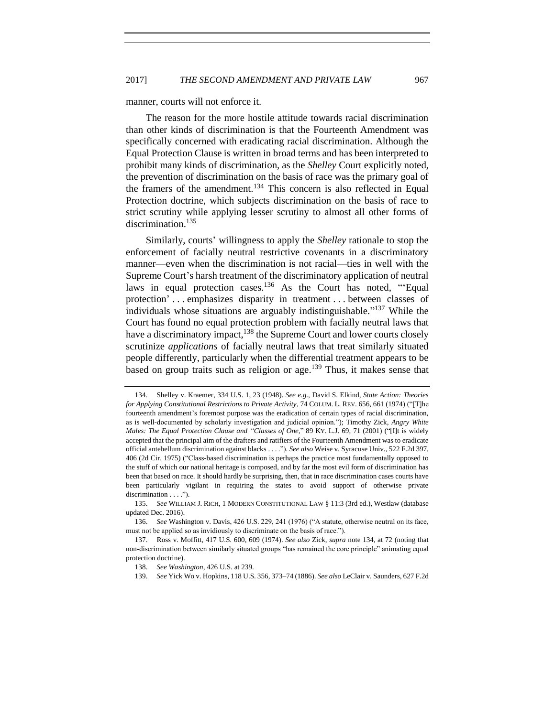manner, courts will not enforce it.

The reason for the more hostile attitude towards racial discrimination than other kinds of discrimination is that the Fourteenth Amendment was specifically concerned with eradicating racial discrimination. Although the Equal Protection Clause is written in broad terms and has been interpreted to prohibit many kinds of discrimination, as the *Shelley* Court explicitly noted, the prevention of discrimination on the basis of race was the primary goal of the framers of the amendment.<sup>134</sup> This concern is also reflected in Equal Protection doctrine, which subjects discrimination on the basis of race to strict scrutiny while applying lesser scrutiny to almost all other forms of discrimination.<sup>135</sup>

<span id="page-22-0"></span>Similarly, courts' willingness to apply the *Shelley* rationale to stop the enforcement of facially neutral restrictive covenants in a discriminatory manner—even when the discrimination is not racial—ties in well with the Supreme Court's harsh treatment of the discriminatory application of neutral laws in equal protection cases.<sup>136</sup> As the Court has noted, "Equal protection' . . . emphasizes disparity in treatment . . . between classes of individuals whose situations are arguably indistinguishable." <sup>137</sup> While the Court has found no equal protection problem with facially neutral laws that have a discriminatory impact,<sup>138</sup> the Supreme Court and lower courts closely scrutinize *applications* of facially neutral laws that treat similarly situated people differently, particularly when the differential treatment appears to be based on group traits such as religion or age.<sup>139</sup> Thus, it makes sense that

<sup>134.</sup> Shelley v. Kraemer, 334 U.S. 1, 23 (1948). *See e.g.*, David S. Elkind, *State Action: Theories for Applying Constitutional Restrictions to Private Activity*, 74 COLUM. L. REV. 656, 661 (1974) ("[T]he fourteenth amendment's foremost purpose was the eradication of certain types of racial discrimination, as is well-documented by scholarly investigation and judicial opinion."); Timothy Zick, *Angry White Males: The Equal Protection Clause and "Classes of One*," 89 KY. L.J. 69, 71 (2001) ("[I]t is widely accepted that the principal aim of the drafters and ratifiers of the Fourteenth Amendment was to eradicate official antebellum discrimination against blacks . . . ."). *See also* Weise v. Syracuse Univ., 522 F.2d 397, 406 (2d Cir. 1975) ("Class-based discrimination is perhaps the practice most fundamentally opposed to the stuff of which our national heritage is composed, and by far the most evil form of discrimination has been that based on race. It should hardly be surprising, then, that in race discrimination cases courts have been particularly vigilant in requiring the states to avoid support of otherwise private discrimination . . . .").

<sup>135.</sup> *See* WILLIAM J. RICH, 1 MODERN CONSTITUTIONAL LAW § 11:3 (3rd ed.), Westlaw (database updated Dec. 2016).

<sup>136.</sup> *See* Washington v. Davis, 426 U.S. 229, 241 (1976) ("A statute, otherwise neutral on its face, must not be applied so as invidiously to discriminate on the basis of race.").

<sup>137.</sup> Ross v. Moffitt, 417 U.S. 600, 609 (1974). *See also* Zick, *supra* note [134,](#page-22-0) at 72 (noting that non-discrimination between similarly situated groups "has remained the core principle" animating equal protection doctrine).

<sup>138.</sup> *See Washington*, 426 U.S. at 239.

<sup>139.</sup> *See* Yick Wo v. Hopkins, 118 U.S. 356, 373–74 (1886). *See also* LeClair v. Saunders, 627 F.2d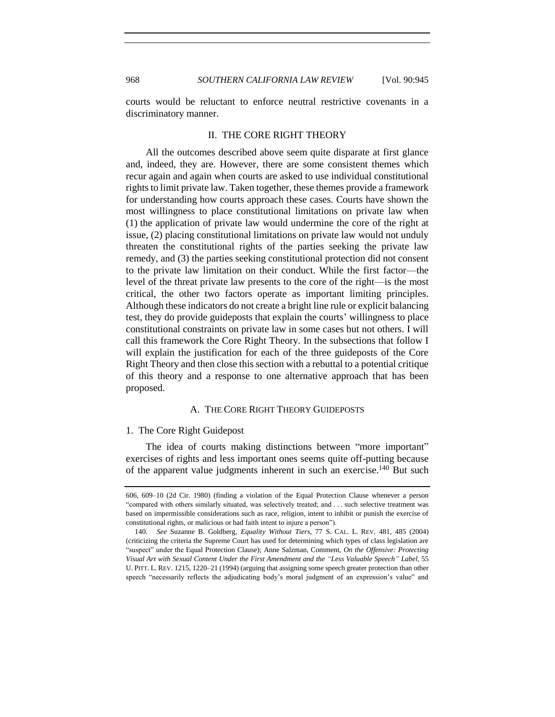<span id="page-23-0"></span>courts would be reluctant to enforce neutral restrictive covenants in a discriminatory manner.

## II. THE CORE RIGHT THEORY

All the outcomes described above seem quite disparate at first glance and, indeed, they are. However, there are some consistent themes which recur again and again when courts are asked to use individual constitutional rights to limit private law. Taken together, these themes provide a framework for understanding how courts approach these cases. Courts have shown the most willingness to place constitutional limitations on private law when (1) the application of private law would undermine the core of the right at issue, (2) placing constitutional limitations on private law would not unduly threaten the constitutional rights of the parties seeking the private law remedy, and (3) the parties seeking constitutional protection did not consent to the private law limitation on their conduct. While the first factor—the level of the threat private law presents to the core of the right—is the most critical, the other two factors operate as important limiting principles. Although these indicators do not create a bright line rule or explicit balancing test, they do provide guideposts that explain the courts' willingness to place constitutional constraints on private law in some cases but not others. I will call this framework the Core Right Theory. In the subsections that follow I will explain the justification for each of the three guideposts of the Core Right Theory and then close this section with a rebuttal to a potential critique of this theory and a response to one alternative approach that has been proposed.

## A. THE CORE RIGHT THEORY GUIDEPOSTS

#### <span id="page-23-2"></span><span id="page-23-1"></span>1. The Core Right Guidepost

The idea of courts making distinctions between "more important" exercises of rights and less important ones seems quite off-putting because of the apparent value judgments inherent in such an exercise.<sup>140</sup> But such

<sup>606, 609–10 (2</sup>d Cir. 1980) (finding a violation of the Equal Protection Clause whenever a person "compared with others similarly situated, was selectively treated; and . . . such selective treatment was based on impermissible considerations such as race, religion, intent to inhibit or punish the exercise of constitutional rights, or malicious or bad faith intent to injure a person").

<sup>140.</sup> *See* Suzanne B. Goldberg, *Equality Without Tiers*, 77 S. CAL. L. REV. 481, 485 (2004) (criticizing the criteria the Supreme Court has used for determining which types of class legislation are "suspect" under the Equal Protection Clause); Anne Salzman, Comment, *On the Offensive: Protecting Visual Art with Sexual Content Under the First Amendment and the "Less Valuable Speech" Label*, 55 U. PITT. L. REV. 1215, 1220–21 (1994) (arguing that assigning some speech greater protection than other speech "necessarily reflects the adjudicating body's moral judgment of an expression's value" and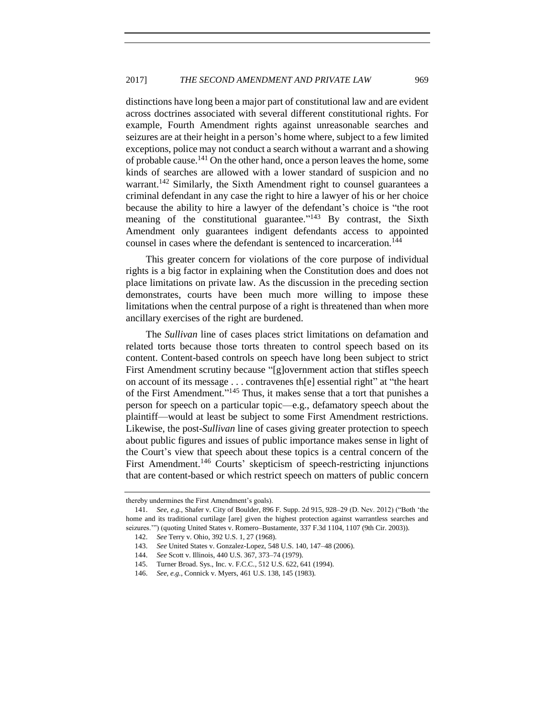distinctions have long been a major part of constitutional law and are evident across doctrines associated with several different constitutional rights. For example, Fourth Amendment rights against unreasonable searches and seizures are at their height in a person's home where, subject to a few limited exceptions, police may not conduct a search without a warrant and a showing of probable cause.<sup>141</sup> On the other hand, once a person leaves the home, some kinds of searches are allowed with a lower standard of suspicion and no warrant.<sup>142</sup> Similarly, the Sixth Amendment right to counsel guarantees a criminal defendant in any case the right to hire a lawyer of his or her choice because the ability to hire a lawyer of the defendant's choice is "the root meaning of the constitutional guarantee."<sup>143</sup> By contrast, the Sixth Amendment only guarantees indigent defendants access to appointed counsel in cases where the defendant is sentenced to incarceration.<sup>144</sup>

This greater concern for violations of the core purpose of individual rights is a big factor in explaining when the Constitution does and does not place limitations on private law. As the discussion in the preceding section demonstrates, courts have been much more willing to impose these limitations when the central purpose of a right is threatened than when more ancillary exercises of the right are burdened.

The *Sullivan* line of cases places strict limitations on defamation and related torts because those torts threaten to control speech based on its content. Content-based controls on speech have long been subject to strict First Amendment scrutiny because "[g]overnment action that stifles speech on account of its message . . . contravenes th[e] essential right" at "the heart of the First Amendment." <sup>145</sup> Thus, it makes sense that a tort that punishes a person for speech on a particular topic—e.g., defamatory speech about the plaintiff—would at least be subject to some First Amendment restrictions. Likewise, the post-*Sullivan* line of cases giving greater protection to speech about public figures and issues of public importance makes sense in light of the Court's view that speech about these topics is a central concern of the First Amendment.<sup>146</sup> Courts' skepticism of speech-restricting injunctions that are content-based or which restrict speech on matters of public concern

thereby undermines the First Amendment's goals).

<sup>141.</sup> *See, e.g.*, Shafer v. City of Boulder, 896 F. Supp. 2d 915, 928–29 (D. Nev. 2012) ("Both 'the home and its traditional curtilage [are] given the highest protection against warrantless searches and seizures."") (quoting United States v. Romero–Bustamente, 337 F.3d 1104, 1107 (9th Cir. 2003)).

<sup>142.</sup> *See* Terry v. Ohio, 392 U.S. 1, 27 (1968).

<sup>143.</sup> *See* United States v. Gonzalez-Lopez, 548 U.S. 140, 147–48 (2006).

<sup>144.</sup> *See* Scott v. Illinois, 440 U.S. 367, 373–74 (1979).

<sup>145.</sup> Turner Broad. Sys., Inc. v. F.C.C., 512 U.S. 622, 641 (1994).

<sup>146.</sup> *See, e.g.*, Connick v. Myers, 461 U.S. 138, 145 (1983).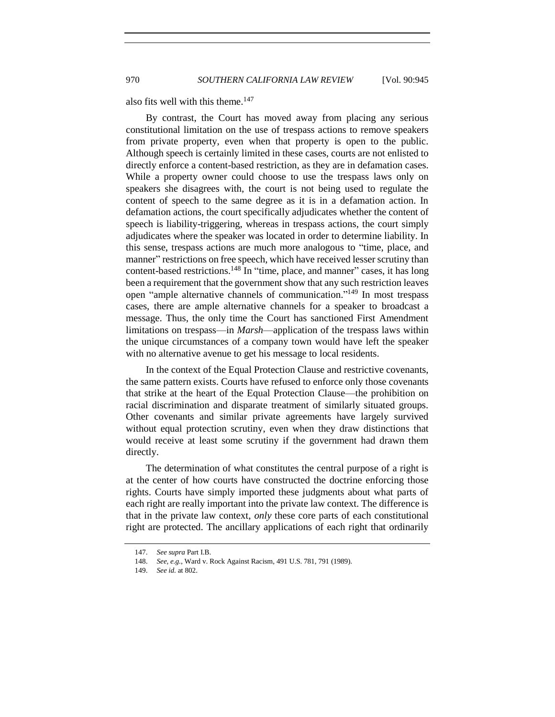also fits well with this theme.<sup>147</sup>

By contrast, the Court has moved away from placing any serious constitutional limitation on the use of trespass actions to remove speakers from private property, even when that property is open to the public. Although speech is certainly limited in these cases, courts are not enlisted to directly enforce a content-based restriction, as they are in defamation cases. While a property owner could choose to use the trespass laws only on speakers she disagrees with, the court is not being used to regulate the content of speech to the same degree as it is in a defamation action. In defamation actions, the court specifically adjudicates whether the content of speech is liability-triggering, whereas in trespass actions, the court simply adjudicates where the speaker was located in order to determine liability. In this sense, trespass actions are much more analogous to "time, place, and manner" restrictions on free speech, which have received lesser scrutiny than content-based restrictions.<sup>148</sup> In "time, place, and manner" cases, it has long been a requirement that the government show that any such restriction leaves open "ample alternative channels of communication." <sup>149</sup> In most trespass cases, there are ample alternative channels for a speaker to broadcast a message. Thus, the only time the Court has sanctioned First Amendment limitations on trespass—in *Marsh*—application of the trespass laws within the unique circumstances of a company town would have left the speaker with no alternative avenue to get his message to local residents.

In the context of the Equal Protection Clause and restrictive covenants, the same pattern exists. Courts have refused to enforce only those covenants that strike at the heart of the Equal Protection Clause—the prohibition on racial discrimination and disparate treatment of similarly situated groups. Other covenants and similar private agreements have largely survived without equal protection scrutiny, even when they draw distinctions that would receive at least some scrutiny if the government had drawn them directly.

The determination of what constitutes the central purpose of a right is at the center of how courts have constructed the doctrine enforcing those rights. Courts have simply imported these judgments about what parts of each right are really important into the private law context. The difference is that in the private law context, *only* these core parts of each constitutional right are protected. The ancillary applications of each right that ordinarily

<sup>147.</sup> *See supra* Part I.B.

<sup>148.</sup> *See, e.g.*, Ward v. Rock Against Racism, 491 U.S. 781, 791 (1989).

<sup>149.</sup> *See id.* at 802.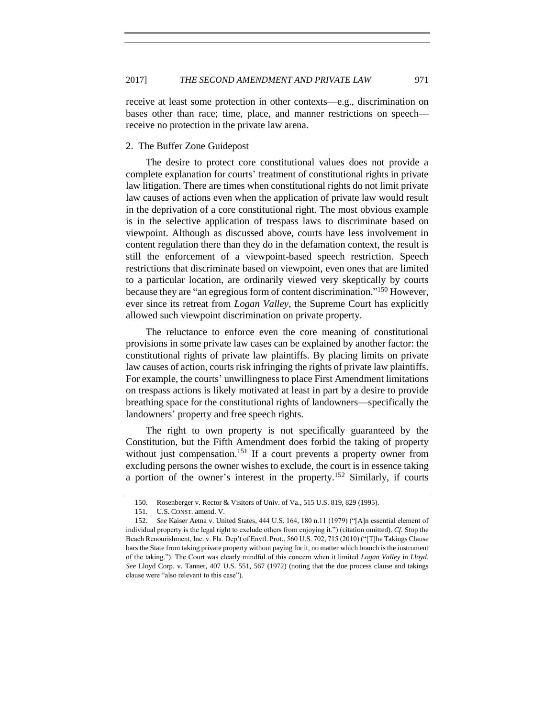receive at least some protection in other contexts—e.g., discrimination on bases other than race; time, place, and manner restrictions on speech receive no protection in the private law arena.

## <span id="page-26-0"></span>2. The Buffer Zone Guidepost

The desire to protect core constitutional values does not provide a complete explanation for courts' treatment of constitutional rights in private law litigation. There are times when constitutional rights do not limit private law causes of actions even when the application of private law would result in the deprivation of a core constitutional right. The most obvious example is in the selective application of trespass laws to discriminate based on viewpoint. Although as discussed above, courts have less involvement in content regulation there than they do in the defamation context, the result is still the enforcement of a viewpoint-based speech restriction. Speech restrictions that discriminate based on viewpoint, even ones that are limited to a particular location, are ordinarily viewed very skeptically by courts because they are "an egregious form of content discrimination."<sup>150</sup> However, ever since its retreat from *Logan Valley*, the Supreme Court has explicitly allowed such viewpoint discrimination on private property.

The reluctance to enforce even the core meaning of constitutional provisions in some private law cases can be explained by another factor: the constitutional rights of private law plaintiffs. By placing limits on private law causes of action, courts risk infringing the rights of private law plaintiffs. For example, the courts' unwillingness to place First Amendment limitations on trespass actions is likely motivated at least in part by a desire to provide breathing space for the constitutional rights of landowners—specifically the landowners' property and free speech rights.

The right to own property is not specifically guaranteed by the Constitution, but the Fifth Amendment does forbid the taking of property without just compensation.<sup>151</sup> If a court prevents a property owner from excluding persons the owner wishes to exclude, the court is in essence taking a portion of the owner's interest in the property.<sup>152</sup> Similarly, if courts

<sup>150.</sup> Rosenberger v. Rector & Visitors of Univ. of Va., 515 U.S. 819, 829 (1995).

<sup>151.</sup> U.S. CONST. amend. V.

<sup>152.</sup> *See* Kaiser Aetna v. United States, 444 U.S. 164, 180 n.11 (1979) ("[A]n essential element of individual property is the legal right to exclude others from enjoying it.") (citation omitted). *Cf.* Stop the Beach Renourishment, Inc. v. Fla. Dep't of Envtl. Prot*.*, 560 U.S. 702, 715 (2010) ("[T]he Takings Clause bars the State from taking private property without paying for it, no matter which branch is the instrument of the taking."). The Court was clearly mindful of this concern when it limited *Logan Valley* in *Lloyd*. *See* Lloyd Corp. v. Tanner, 407 U.S. 551, 567 (1972) (noting that the due process clause and takings clause were "also relevant to this case").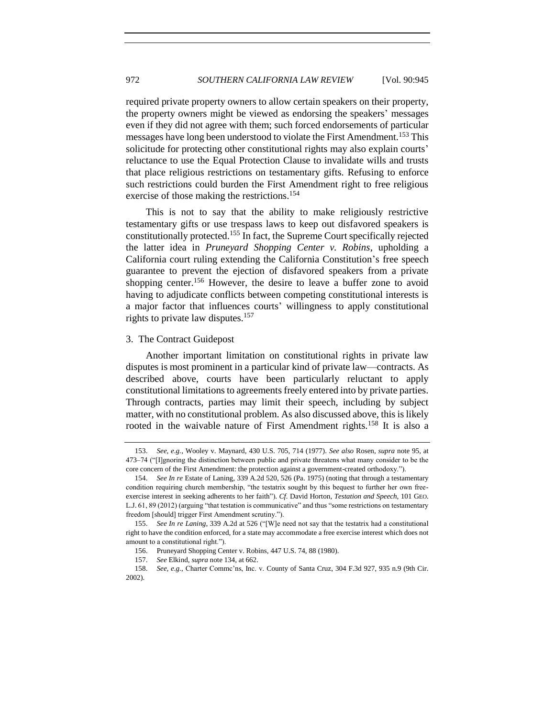required private property owners to allow certain speakers on their property, the property owners might be viewed as endorsing the speakers' messages even if they did not agree with them; such forced endorsements of particular messages have long been understood to violate the First Amendment.<sup>153</sup> This solicitude for protecting other constitutional rights may also explain courts' reluctance to use the Equal Protection Clause to invalidate wills and trusts that place religious restrictions on testamentary gifts. Refusing to enforce such restrictions could burden the First Amendment right to free religious exercise of those making the restrictions.<sup>154</sup>

This is not to say that the ability to make religiously restrictive testamentary gifts or use trespass laws to keep out disfavored speakers is constitutionally protected.<sup>155</sup> In fact, the Supreme Court specifically rejected the latter idea in *Pruneyard Shopping Center v. Robins*, upholding a California court ruling extending the California Constitution's free speech guarantee to prevent the ejection of disfavored speakers from a private shopping center.<sup>156</sup> However, the desire to leave a buffer zone to avoid having to adjudicate conflicts between competing constitutional interests is a major factor that influences courts' willingness to apply constitutional rights to private law disputes.<sup>157</sup>

#### <span id="page-27-0"></span>3. The Contract Guidepost

Another important limitation on constitutional rights in private law disputes is most prominent in a particular kind of private law—contracts. As described above, courts have been particularly reluctant to apply constitutional limitations to agreements freely entered into by private parties. Through contracts, parties may limit their speech, including by subject matter, with no constitutional problem. As also discussed above, this is likely rooted in the waivable nature of First Amendment rights.<sup>158</sup> It is also a

<sup>153.</sup> *See, e.g.*, Wooley v. Maynard, 430 U.S. 705, 714 (1977). *See also* Rosen, *supra* note [95,](#page-16-1) at 473–74 ("[I]gnoring the distinction between public and private threatens what many consider to be the core concern of the First Amendment: the protection against a government-created orthodoxy.").

<sup>154.</sup> *See In re* Estate of Laning, 339 A.2d 520, 526 (Pa. 1975) (noting that through a testamentary condition requiring church membership, "the testatrix sought by this bequest to further her own freeexercise interest in seeking adherents to her faith"). *Cf.* David Horton, *Testation and Speech*, 101 GEO. L.J. 61, 89 (2012) (arguing "that testation is communicative" and thus "some restrictions on testamentary freedom [should] trigger First Amendment scrutiny.").

<sup>155.</sup> *See In re Laning*, 339 A.2d at 526 ("[W]e need not say that the testatrix had a constitutional right to have the condition enforced, for a state may accommodate a free exercise interest which does not amount to a constitutional right.").

<sup>156.</sup> Pruneyard Shopping Center v. Robins, 447 U.S. 74, 88 (1980).

<sup>157.</sup> *See* Elkind, *supra* note [134,](#page-22-0) at 662.

<sup>158.</sup> *See, e.g.*, Charter Commc'ns, Inc. v. County of Santa Cruz, 304 F.3d 927, 935 n.9 (9th Cir. 2002).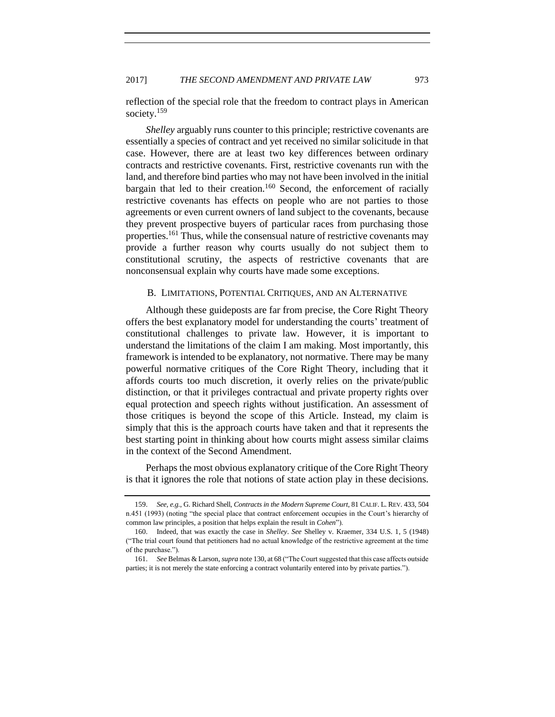## 2017] *THE SECOND AMENDMENT AND PRIVATE LAW* 973

reflection of the special role that the freedom to contract plays in American society.<sup>159</sup>

*Shelley* arguably runs counter to this principle; restrictive covenants are essentially a species of contract and yet received no similar solicitude in that case. However, there are at least two key differences between ordinary contracts and restrictive covenants. First, restrictive covenants run with the land, and therefore bind parties who may not have been involved in the initial bargain that led to their creation.<sup>160</sup> Second, the enforcement of racially restrictive covenants has effects on people who are not parties to those agreements or even current owners of land subject to the covenants, because they prevent prospective buyers of particular races from purchasing those properties.<sup>161</sup> Thus, while the consensual nature of restrictive covenants may provide a further reason why courts usually do not subject them to constitutional scrutiny, the aspects of restrictive covenants that are nonconsensual explain why courts have made some exceptions.

## <span id="page-28-0"></span>B. LIMITATIONS, POTENTIAL CRITIQUES, AND AN ALTERNATIVE

Although these guideposts are far from precise, the Core Right Theory offers the best explanatory model for understanding the courts' treatment of constitutional challenges to private law. However, it is important to understand the limitations of the claim I am making. Most importantly, this framework is intended to be explanatory, not normative. There may be many powerful normative critiques of the Core Right Theory, including that it affords courts too much discretion, it overly relies on the private/public distinction, or that it privileges contractual and private property rights over equal protection and speech rights without justification. An assessment of those critiques is beyond the scope of this Article. Instead, my claim is simply that this is the approach courts have taken and that it represents the best starting point in thinking about how courts might assess similar claims in the context of the Second Amendment.

Perhaps the most obvious explanatory critique of the Core Right Theory is that it ignores the role that notions of state action play in these decisions.

<sup>159.</sup> *See, e.g.*, G. Richard Shell, *Contracts in the Modern Supreme Court*, 81 CALIF. L. REV. 433, 504 n.451 (1993) (noting "the special place that contract enforcement occupies in the Court's hierarchy of common law principles, a position that helps explain the result in *Cohen*").

<sup>160.</sup> Indeed, that was exactly the case in *Shelley*. *See* Shelley v. Kraemer, 334 U.S. 1, 5 (1948) ("The trial court found that petitioners had no actual knowledge of the restrictive agreement at the time of the purchase.").

<sup>161.</sup> *See* Belmas & Larson, *supra* note [130,](#page-21-0) at 68 ("The Court suggested that this case affects outside parties; it is not merely the state enforcing a contract voluntarily entered into by private parties.").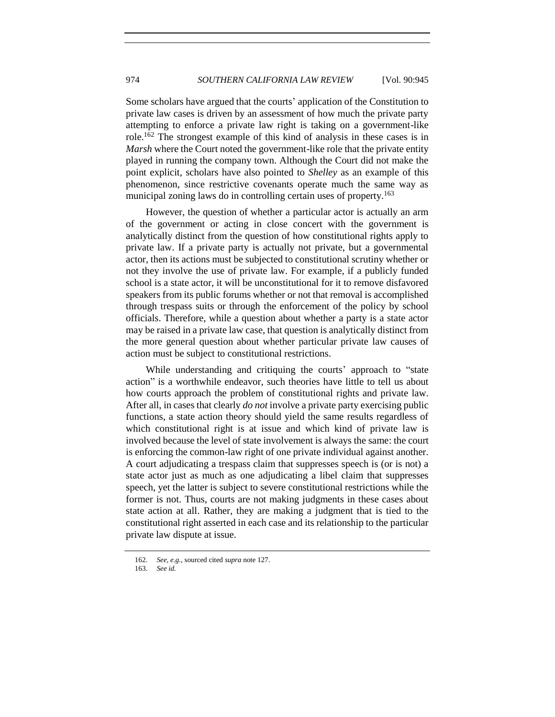Some scholars have argued that the courts' application of the Constitution to private law cases is driven by an assessment of how much the private party attempting to enforce a private law right is taking on a government-like role.<sup>162</sup> The strongest example of this kind of analysis in these cases is in *Marsh* where the Court noted the government-like role that the private entity played in running the company town. Although the Court did not make the point explicit, scholars have also pointed to *Shelley* as an example of this phenomenon, since restrictive covenants operate much the same way as municipal zoning laws do in controlling certain uses of property.<sup>163</sup>

However, the question of whether a particular actor is actually an arm of the government or acting in close concert with the government is analytically distinct from the question of how constitutional rights apply to private law. If a private party is actually not private, but a governmental actor, then its actions must be subjected to constitutional scrutiny whether or not they involve the use of private law. For example, if a publicly funded school is a state actor, it will be unconstitutional for it to remove disfavored speakers from its public forums whether or not that removal is accomplished through trespass suits or through the enforcement of the policy by school officials. Therefore, while a question about whether a party is a state actor may be raised in a private law case, that question is analytically distinct from the more general question about whether particular private law causes of action must be subject to constitutional restrictions.

While understanding and critiquing the courts' approach to "state action" is a worthwhile endeavor, such theories have little to tell us about how courts approach the problem of constitutional rights and private law. After all, in cases that clearly *do not* involve a private party exercising public functions, a state action theory should yield the same results regardless of which constitutional right is at issue and which kind of private law is involved because the level of state involvement is always the same: the court is enforcing the common-law right of one private individual against another. A court adjudicating a trespass claim that suppresses speech is (or is not) a state actor just as much as one adjudicating a libel claim that suppresses speech, yet the latter is subject to severe constitutional restrictions while the former is not. Thus, courts are not making judgments in these cases about state action at all. Rather, they are making a judgment that is tied to the constitutional right asserted in each case and its relationship to the particular private law dispute at issue.

<sup>162.</sup> *See, e.g.*, sourced cited *supra* note [127.](#page-20-0)

<sup>163.</sup> *See id.*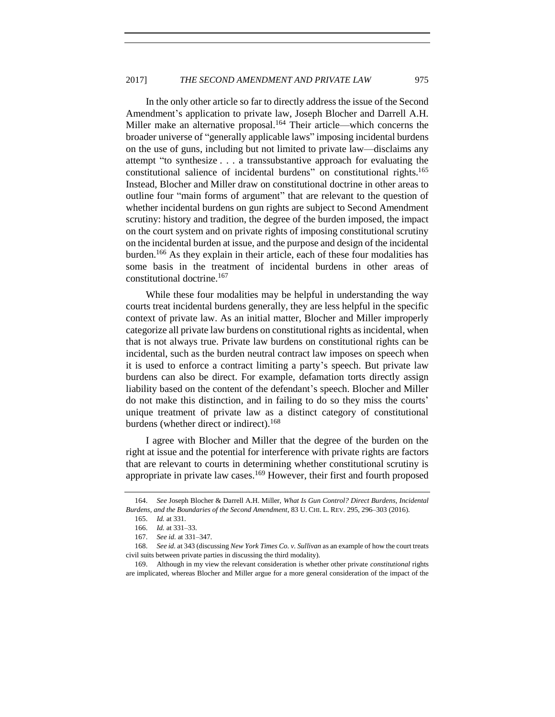In the only other article so far to directly address the issue of the Second Amendment's application to private law, Joseph Blocher and Darrell A.H. Miller make an alternative proposal.<sup>164</sup> Their article—which concerns the broader universe of "generally applicable laws" imposing incidental burdens on the use of guns, including but not limited to private law—disclaims any attempt "to synthesize . . . a transsubstantive approach for evaluating the constitutional salience of incidental burdens" on constitutional rights.<sup>165</sup> Instead, Blocher and Miller draw on constitutional doctrine in other areas to outline four "main forms of argument" that are relevant to the question of whether incidental burdens on gun rights are subject to Second Amendment scrutiny: history and tradition, the degree of the burden imposed, the impact on the court system and on private rights of imposing constitutional scrutiny on the incidental burden at issue, and the purpose and design of the incidental burden.<sup>166</sup> As they explain in their article, each of these four modalities has some basis in the treatment of incidental burdens in other areas of constitutional doctrine.<sup>167</sup>

While these four modalities may be helpful in understanding the way courts treat incidental burdens generally, they are less helpful in the specific context of private law. As an initial matter, Blocher and Miller improperly categorize all private law burdens on constitutional rights as incidental, when that is not always true. Private law burdens on constitutional rights can be incidental, such as the burden neutral contract law imposes on speech when it is used to enforce a contract limiting a party's speech. But private law burdens can also be direct. For example, defamation torts directly assign liability based on the content of the defendant's speech. Blocher and Miller do not make this distinction, and in failing to do so they miss the courts' unique treatment of private law as a distinct category of constitutional burdens (whether direct or indirect).<sup>168</sup>

I agree with Blocher and Miller that the degree of the burden on the right at issue and the potential for interference with private rights are factors that are relevant to courts in determining whether constitutional scrutiny is appropriate in private law cases.<sup>169</sup> However, their first and fourth proposed

<span id="page-30-0"></span>

<sup>164.</sup> *See* Joseph Blocher & Darrell A.H. Miller, *What Is Gun Control? Direct Burdens, Incidental Burdens, and the Boundaries of the Second Amendment*, 83 U. CHI. L. REV. 295, 296–303 (2016).

<sup>165.</sup> *Id.* at 331.

<sup>166.</sup> *Id.* at 331–33.

<sup>167.</sup> *See id.* at 331–347.

<sup>168.</sup> *See id.* at 343 (discussing *New York Times Co. v. Sullivan* as an example of how the court treats civil suits between private parties in discussing the third modality).

<sup>169.</sup> Although in my view the relevant consideration is whether other private *constitutional* rights are implicated, whereas Blocher and Miller argue for a more general consideration of the impact of the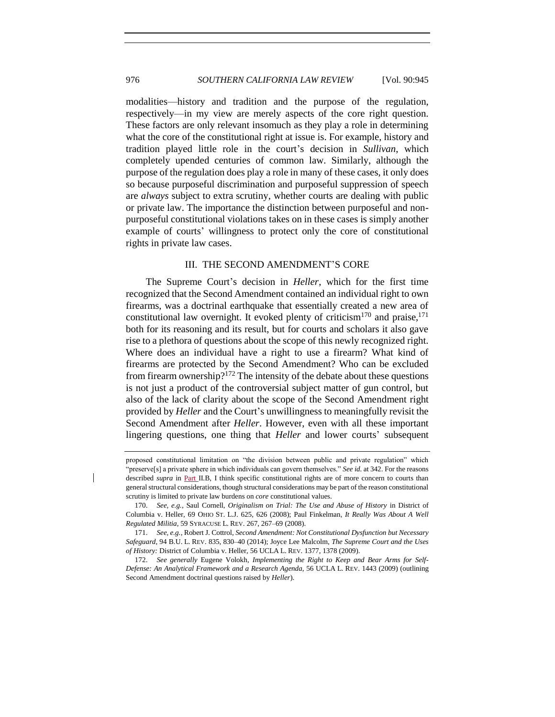modalities—history and tradition and the purpose of the regulation, respectively—in my view are merely aspects of the core right question. These factors are only relevant insomuch as they play a role in determining what the core of the constitutional right at issue is. For example, history and tradition played little role in the court's decision in *Sullivan*, which completely upended centuries of common law. Similarly, although the purpose of the regulation does play a role in many of these cases, it only does so because purposeful discrimination and purposeful suppression of speech are *always* subject to extra scrutiny, whether courts are dealing with public or private law. The importance the distinction between purposeful and nonpurposeful constitutional violations takes on in these cases is simply another example of courts' willingness to protect only the core of constitutional rights in private law cases.

## III.THE SECOND AMENDMENT'S CORE

<span id="page-31-0"></span>The Supreme Court's decision in *Heller*, which for the first time recognized that the Second Amendment contained an individual right to own firearms, was a doctrinal earthquake that essentially created a new area of constitutional law overnight. It evoked plenty of criticism<sup>170</sup> and praise,  $171$ both for its reasoning and its result, but for courts and scholars it also gave rise to a plethora of questions about the scope of this newly recognized right. Where does an individual have a right to use a firearm? What kind of firearms are protected by the Second Amendment? Who can be excluded from firearm ownership?<sup>172</sup> The intensity of the debate about these questions is not just a product of the controversial subject matter of gun control, but also of the lack of clarity about the scope of the Second Amendment right provided by *Heller* and the Court's unwillingness to meaningfully revisit the Second Amendment after *Heller*. However, even with all these important lingering questions, one thing that *Heller* and lower courts' subsequent

proposed constitutional limitation on "the division between public and private regulation" which "preserve[s] a private sphere in which individuals can govern themselves." *See id.* at 342. For the reasons described *supra* in Part II.B, I think specific constitutional rights are of more concern to courts than general structural considerations, though structural considerations may be part of the reason constitutional scrutiny is limited to private law burdens on *core* constitutional values.

<sup>170.</sup> *See, e.g.*, Saul Cornell, *Originalism on Trial: The Use and Abuse of History* in District of Columbia v. Heller, 69 OHIO ST. L.J. 625, 626 (2008); Paul Finkelman, *It Really Was About A Well Regulated Militia*, 59 SYRACUSE L. REV. 267, 267–69 (2008).

<sup>171.</sup> *See, e.g.*, Robert J. Cottrol, *Second Amendment: Not Constitutional Dysfunction but Necessary Safeguard*, 94 B.U. L. REV. 835, 830–40 (2014); Joyce Lee Malcolm, *The Supreme Court and the Uses of History:* District of Columbia v. Heller, 56 UCLA L. REV. 1377, 1378 (2009).

<sup>172.</sup> *See generally* Eugene Volokh, *Implementing the Right to Keep and Bear Arms for Self-Defense: An Analytical Framework and a Research Agenda*, 56 UCLA L. REV. 1443 (2009) (outlining Second Amendment doctrinal questions raised by *Heller*).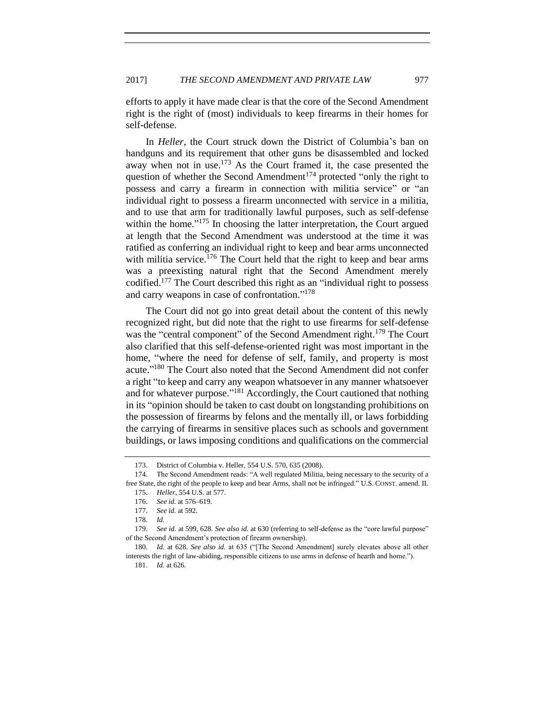efforts to apply it have made clear is that the core of the Second Amendment right is the right of (most) individuals to keep firearms in their homes for self-defense.

In *Heller*, the Court struck down the District of Columbia's ban on handguns and its requirement that other guns be disassembled and locked away when not in use.<sup>173</sup> As the Court framed it, the case presented the question of whether the Second Amendment<sup>174</sup> protected "only the right to possess and carry a firearm in connection with militia service" or "an individual right to possess a firearm unconnected with service in a militia, and to use that arm for traditionally lawful purposes, such as self-defense within the home."<sup>175</sup> In choosing the latter interpretation, the Court argued at length that the Second Amendment was understood at the time it was ratified as conferring an individual right to keep and bear arms unconnected with militia service.<sup>176</sup> The Court held that the right to keep and bear arms was a preexisting natural right that the Second Amendment merely codified.<sup>177</sup> The Court described this right as an "individual right to possess and carry weapons in case of confrontation."<sup>178</sup>

The Court did not go into great detail about the content of this newly recognized right, but did note that the right to use firearms for self-defense was the "central component" of the Second Amendment right.<sup>179</sup> The Court also clarified that this self-defense-oriented right was most important in the home, "where the need for defense of self, family, and property is most acute."<sup>180</sup> The Court also noted that the Second Amendment did not confer a right "to keep and carry any weapon whatsoever in any manner whatsoever and for whatever purpose."<sup>181</sup> Accordingly, the Court cautioned that nothing in its "opinion should be taken to cast doubt on longstanding prohibitions on the possession of firearms by felons and the mentally ill, or laws forbidding the carrying of firearms in sensitive places such as schools and government buildings, or laws imposing conditions and qualifications on the commercial

<sup>173.</sup> District of Columbia v. Heller, 554 U.S. 570, 635 (2008).

<sup>174.</sup> The Second Amendment reads: "A well regulated Militia, being necessary to the security of a free State, the right of the people to keep and bear Arms, shall not be infringed." U.S. CONST. amend. II.

<sup>175.</sup> *Heller*, 554 U.S. at 577.

<sup>176.</sup> *See id.* at 576–619.

<sup>177.</sup> *See id.* at 592.

<sup>178.</sup> *Id.*

<sup>179.</sup> *See id.* at 599, 628. *See also id.* at 630 (referring to self-defense as the "core lawful purpose" of the Second Amendment's protection of firearm ownership).

<sup>180.</sup> *Id.* at 628. *See also id.* at 635 ("[The Second Amendment] surely elevates above all other interests the right of law-abiding, responsible citizens to use arms in defense of hearth and home.").

<sup>181.</sup> *Id.* at 626.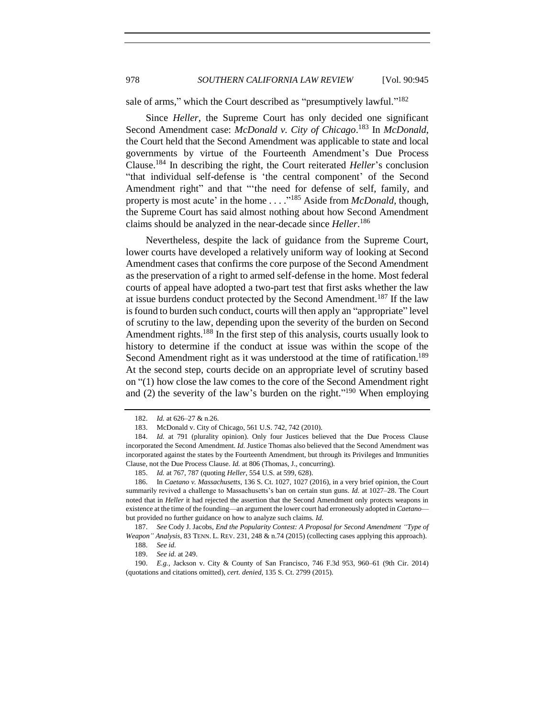sale of arms," which the Court described as "presumptively lawful."<sup>182</sup>

Since *Heller*, the Supreme Court has only decided one significant Second Amendment case: *McDonald v. City of Chicago*. <sup>183</sup> In *McDonald*, the Court held that the Second Amendment was applicable to state and local governments by virtue of the Fourteenth Amendment's Due Process Clause.<sup>184</sup> In describing the right, the Court reiterated *Heller*'s conclusion "that individual self-defense is 'the central component' of the Second Amendment right" and that "'the need for defense of self, family, and property is most acute' in the home . . . .<sup>"185</sup> Aside from *McDonald*, though, the Supreme Court has said almost nothing about how Second Amendment claims should be analyzed in the near-decade since *Heller*. 186

<span id="page-33-0"></span>Nevertheless, despite the lack of guidance from the Supreme Court, lower courts have developed a relatively uniform way of looking at Second Amendment cases that confirms the core purpose of the Second Amendment as the preservation of a right to armed self-defense in the home. Most federal courts of appeal have adopted a two-part test that first asks whether the law at issue burdens conduct protected by the Second Amendment.<sup>187</sup> If the law is found to burden such conduct, courts will then apply an "appropriate" level of scrutiny to the law, depending upon the severity of the burden on Second Amendment rights.<sup>188</sup> In the first step of this analysis, courts usually look to history to determine if the conduct at issue was within the scope of the Second Amendment right as it was understood at the time of ratification.<sup>189</sup> At the second step, courts decide on an appropriate level of scrutiny based on "(1) how close the law comes to the core of the Second Amendment right and (2) the severity of the law's burden on the right."<sup>190</sup> When employing

<sup>182.</sup> *Id.* at 626–27 & n.26.

<sup>183.</sup> McDonald v. City of Chicago, 561 U.S. 742, 742 (2010).

<sup>184.</sup> *Id.* at 791 (plurality opinion). Only four Justices believed that the Due Process Clause incorporated the Second Amendment. *Id.* Justice Thomas also believed that the Second Amendment was incorporated against the states by the Fourteenth Amendment, but through its Privileges and Immunities Clause, not the Due Process Clause. *Id.* at 806 (Thomas, J., concurring).

<sup>185.</sup> *Id.* at 767, 787 (quoting *Heller*, 554 U.S. at 599, 628).

<sup>186.</sup> In *Caetano v. Massachusetts*, 136 S. Ct. 1027, 1027 (2016), in a very brief opinion, the Court summarily revived a challenge to Massachusetts's ban on certain stun guns. *Id.* at 1027–28. The Court noted that in *Heller* it had rejected the assertion that the Second Amendment only protects weapons in existence at the time of the founding—an argument the lower court had erroneously adopted in *Caetano* but provided no further guidance on how to analyze such claims. *Id.*

<sup>187.</sup> *See* Cody J. Jacobs, *End the Popularity Contest: A Proposal for Second Amendment "Type of Weapon" Analysis*, 83 TENN. L. REV. 231, 248 & n.74 (2015) (collecting cases applying this approach). 188. *See id.*

<sup>189.</sup> *See id.* at 249.

<sup>190.</sup> *E.g.*, Jackson v. City & County of San Francisco, 746 F.3d 953, 960–61 (9th Cir. 2014) (quotations and citations omitted), *cert. denied*, 135 S. Ct. 2799 (2015).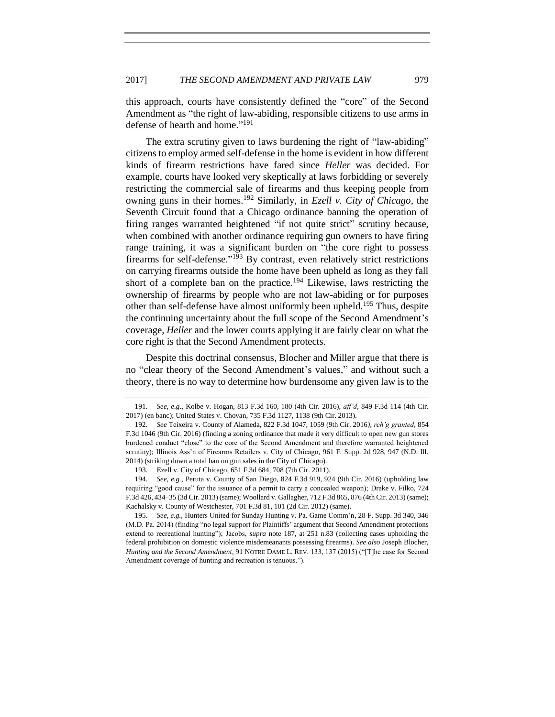this approach, courts have consistently defined the "core" of the Second Amendment as "the right of law-abiding, responsible citizens to use arms in defense of hearth and home." 191

The extra scrutiny given to laws burdening the right of "law-abiding" citizens to employ armed self-defense in the home is evident in how different kinds of firearm restrictions have fared since *Heller* was decided. For example, courts have looked very skeptically at laws forbidding or severely restricting the commercial sale of firearms and thus keeping people from owning guns in their homes.<sup>192</sup> Similarly, in *Ezell v. City of Chicago*, the Seventh Circuit found that a Chicago ordinance banning the operation of firing ranges warranted heightened "if not quite strict" scrutiny because, when combined with another ordinance requiring gun owners to have firing range training, it was a significant burden on "the core right to possess firearms for self-defense."<sup>193</sup> By contrast, even relatively strict restrictions on carrying firearms outside the home have been upheld as long as they fall short of a complete ban on the practice.<sup>194</sup> Likewise, laws restricting the ownership of firearms by people who are not law-abiding or for purposes other than self-defense have almost uniformly been upheld.<sup>195</sup> Thus, despite the continuing uncertainty about the full scope of the Second Amendment's coverage, *Heller* and the lower courts applying it are fairly clear on what the core right is that the Second Amendment protects.

Despite this doctrinal consensus, Blocher and Miller argue that there is no "clear theory of the Second Amendment's values," and without such a theory, there is no way to determine how burdensome any given law is to the

<sup>191.</sup> *See, e.g.*, Kolbe v. Hogan, 813 F.3d 160, 180 (4th Cir. 2016), *aff'd*, 849 F.3d 114 (4th Cir. 2017) (en banc); United States v. Chovan, 735 F.3d 1127, 1138 (9th Cir. 2013).

<sup>192.</sup> *See* Teixeira v. County of Alameda, 822 F.3d 1047, 1059 (9th Cir. 2016*), reh'g granted*, 854 F.3d 1046 (9th Cir. 2016) (finding a zoning ordinance that made it very difficult to open new gun stores burdened conduct "close" to the core of the Second Amendment and therefore warranted heightened scrutiny); Illinois Ass'n of Firearms Retailers v. City of Chicago, 961 F. Supp. 2d 928, 947 (N.D. Ill. 2014) (striking down a total ban on gun sales in the City of Chicago).

<sup>193.</sup> Ezell v. City of Chicago, 651 F.3d 684, 708 (7th Cir. 2011).

<sup>194.</sup> *See, e.g.*, Peruta v. County of San Diego, 824 F.3d 919, 924 (9th Cir. 2016) (upholding law requiring "good cause" for the issuance of a permit to carry a concealed weapon); Drake v. Filko, 724 F.3d 426, 434–35 (3d Cir. 2013) (same); Woollard v. Gallagher, 712 F.3d 865, 876 (4th Cir. 2013) (same); Kachalsky v. County of Westchester, 701 F.3d 81, 101 (2d Cir. 2012) (same).

<sup>195.</sup> *See, e.g.*, Hunters United for Sunday Hunting v. Pa. Game Comm'n, 28 F. Supp. 3d 340, 346 (M.D. Pa. 2014) (finding "no legal support for Plaintiffs' argument that Second Amendment protections extend to recreational hunting"); Jacobs, *supra* note [187,](#page-33-0) at 251 n.83 (collecting cases upholding the federal prohibition on domestic violence misdemeanants possessing firearms). *See also* Joseph Blocher, *Hunting and the Second Amendment*, 91 NOTRE DAME L. REV. 133, 137 (2015) ("[T]he case for Second Amendment coverage of hunting and recreation is tenuous.").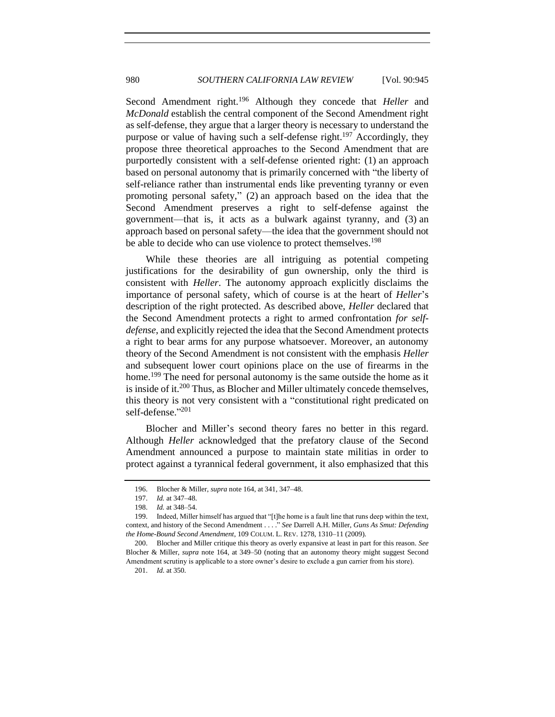Second Amendment right.<sup>196</sup> Although they concede that *Heller* and *McDonald* establish the central component of the Second Amendment right as self-defense, they argue that a larger theory is necessary to understand the purpose or value of having such a self-defense right.<sup>197</sup> Accordingly, they propose three theoretical approaches to the Second Amendment that are purportedly consistent with a self-defense oriented right: (1) an approach based on personal autonomy that is primarily concerned with "the liberty of self-reliance rather than instrumental ends like preventing tyranny or even promoting personal safety," (2) an approach based on the idea that the Second Amendment preserves a right to self-defense against the government—that is, it acts as a bulwark against tyranny, and (3) an approach based on personal safety—the idea that the government should not be able to decide who can use violence to protect themselves.<sup>198</sup>

While these theories are all intriguing as potential competing justifications for the desirability of gun ownership, only the third is consistent with *Heller*. The autonomy approach explicitly disclaims the importance of personal safety, which of course is at the heart of *Heller*'s description of the right protected. As described above, *Heller* declared that the Second Amendment protects a right to armed confrontation *for selfdefense*, and explicitly rejected the idea that the Second Amendment protects a right to bear arms for any purpose whatsoever. Moreover, an autonomy theory of the Second Amendment is not consistent with the emphasis *Heller* and subsequent lower court opinions place on the use of firearms in the home.<sup>199</sup> The need for personal autonomy is the same outside the home as it is inside of it.<sup>200</sup> Thus, as Blocher and Miller ultimately concede themselves, this theory is not very consistent with a "constitutional right predicated on self-defense." 201

Blocher and Miller's second theory fares no better in this regard. Although *Heller* acknowledged that the prefatory clause of the Second Amendment announced a purpose to maintain state militias in order to protect against a tyrannical federal government, it also emphasized that this

<sup>196.</sup> Blocher & Miller, *supra* note [164,](#page-30-0) at 341, 347–48.

<sup>197.</sup> *Id.* at 347–48.

<sup>198.</sup> *Id.* at 348–54.

<sup>199.</sup> Indeed, Miller himself has argued that "[t]he home is a fault line that runs deep within the text, context, and history of the Second Amendment . . . ." *See* Darrell A.H. Miller, *Guns As Smut: Defending the Home-Bound Second Amendment*, 109 COLUM. L. REV. 1278, 1310–11 (2009).

<sup>200.</sup> Blocher and Miller critique this theory as overly expansive at least in part for this reason. *See*  Blocher & Miller, *supra* note [164,](#page-30-0) at 349–50 (noting that an autonomy theory might suggest Second Amendment scrutiny is applicable to a store owner's desire to exclude a gun carrier from his store).

<sup>201.</sup> *Id.* at 350.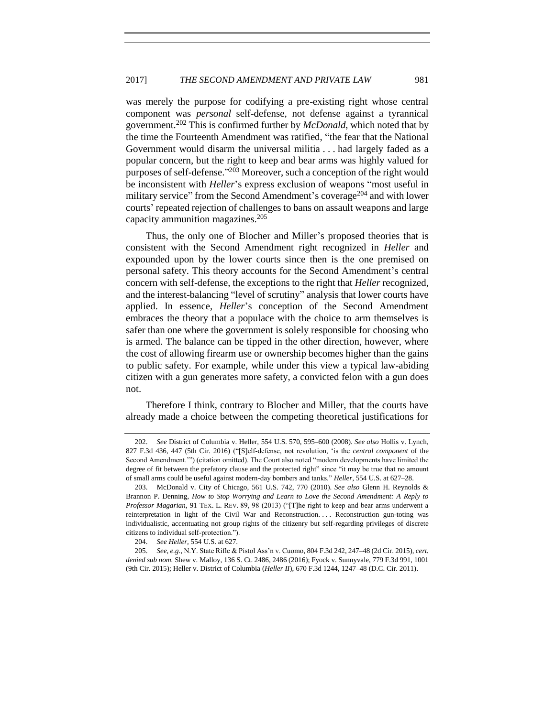was merely the purpose for codifying a pre-existing right whose central component was *personal* self-defense, not defense against a tyrannical government.<sup>202</sup> This is confirmed further by *McDonald*, which noted that by the time the Fourteenth Amendment was ratified, "the fear that the National Government would disarm the universal militia . . . had largely faded as a popular concern, but the right to keep and bear arms was highly valued for purposes of self-defense."<sup>203</sup> Moreover, such a conception of the right would be inconsistent with *Heller*'s express exclusion of weapons "most useful in military service" from the Second Amendment's coverage<sup>204</sup> and with lower courts' repeated rejection of challenges to bans on assault weapons and large capacity ammunition magazines.<sup>205</sup>

Thus, the only one of Blocher and Miller's proposed theories that is consistent with the Second Amendment right recognized in *Heller* and expounded upon by the lower courts since then is the one premised on personal safety. This theory accounts for the Second Amendment's central concern with self-defense, the exceptions to the right that *Heller* recognized, and the interest-balancing "level of scrutiny" analysis that lower courts have applied. In essence, *Heller*'s conception of the Second Amendment embraces the theory that a populace with the choice to arm themselves is safer than one where the government is solely responsible for choosing who is armed. The balance can be tipped in the other direction, however, where the cost of allowing firearm use or ownership becomes higher than the gains to public safety. For example, while under this view a typical law-abiding citizen with a gun generates more safety, a convicted felon with a gun does not.

Therefore I think, contrary to Blocher and Miller, that the courts have already made a choice between the competing theoretical justifications for

<sup>202.</sup> *See* District of Columbia v. Heller, 554 U.S. 570, 595–600 (2008). *See also* Hollis v. Lynch, 827 F.3d 436, 447 (5th Cir. 2016) ("[S]elf-defense, not revolution, 'is the *central component* of the Second Amendment.'") (citation omitted). The Court also noted "modern developments have limited the degree of fit between the prefatory clause and the protected right" since "it may be true that no amount of small arms could be useful against modern-day bombers and tanks." *Heller*, 554 U.S. at 627–28.

<sup>203.</sup> McDonald v. City of Chicago, 561 U.S. 742, 770 (2010). *See also* Glenn H. Reynolds & Brannon P. Denning, *How to Stop Worrying and Learn to Love the Second Amendment: A Reply to Professor Magarian*, 91 TEX. L. REV. 89, 98 (2013) ("[T]he right to keep and bear arms underwent a reinterpretation in light of the Civil War and Reconstruction.... Reconstruction gun-toting was individualistic, accentuating not group rights of the citizenry but self-regarding privileges of discrete citizens to individual self-protection.").

<sup>204.</sup> *See Heller,* 554 U.S. at 627.

<sup>205.</sup> *See, e.g.*, N.Y. State Rifle & Pistol Ass'n v. Cuomo, 804 F.3d 242, 247–48 (2d Cir. 2015), *cert. denied sub nom.* Shew v. Malloy, 136 S. Ct. 2486, 2486 (2016); Fyock v. Sunnyvale, 779 F.3d 991, 1001 (9th Cir. 2015); Heller v. District of Columbia (*Heller II*), 670 F.3d 1244, 1247–48 (D.C. Cir. 2011).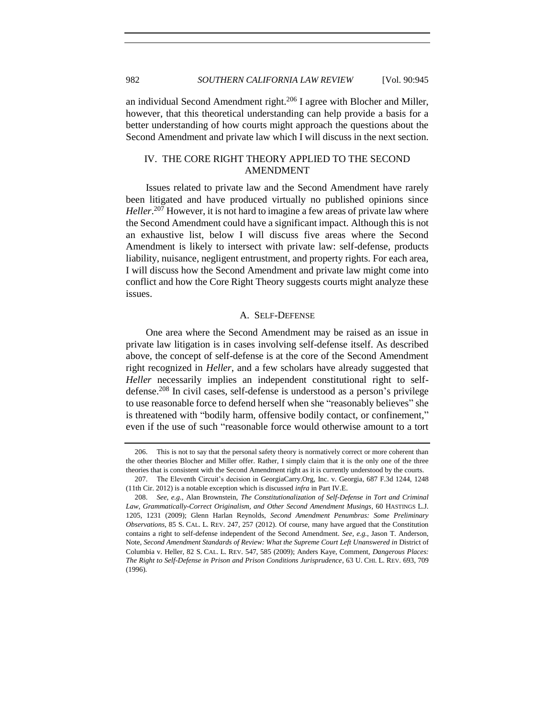an individual Second Amendment right.<sup>206</sup> I agree with Blocher and Miller, however, that this theoretical understanding can help provide a basis for a better understanding of how courts might approach the questions about the Second Amendment and private law which I will discuss in the next section.

# <span id="page-37-0"></span>IV. THE CORE RIGHT THEORY APPLIED TO THE SECOND AMENDMENT

Issues related to private law and the Second Amendment have rarely been litigated and have produced virtually no published opinions since *Heller*. <sup>207</sup> However, it is not hard to imagine a few areas of private law where the Second Amendment could have a significant impact. Although this is not an exhaustive list, below I will discuss five areas where the Second Amendment is likely to intersect with private law: self-defense, products liability, nuisance, negligent entrustment, and property rights. For each area, I will discuss how the Second Amendment and private law might come into conflict and how the Core Right Theory suggests courts might analyze these issues.

#### A. SELF-DEFENSE

<span id="page-37-1"></span>One area where the Second Amendment may be raised as an issue in private law litigation is in cases involving self-defense itself. As described above, the concept of self-defense is at the core of the Second Amendment right recognized in *Heller*, and a few scholars have already suggested that *Heller* necessarily implies an independent constitutional right to selfdefense.<sup>208</sup> In civil cases, self-defense is understood as a person's privilege to use reasonable force to defend herself when she "reasonably believes" she is threatened with "bodily harm, offensive bodily contact, or confinement," even if the use of such "reasonable force would otherwise amount to a tort

<sup>206.</sup> This is not to say that the personal safety theory is normatively correct or more coherent than the other theories Blocher and Miller offer. Rather, I simply claim that it is the only one of the three theories that is consistent with the Second Amendment right as it is currently understood by the courts.

<sup>207.</sup> The Eleventh Circuit's decision in GeorgiaCarry.Org, Inc. v. Georgia, 687 F.3d 1244, 1248 (11th Cir. 2012) is a notable exception which is discussed *infra* in Part IV.E.

<sup>208.</sup> *See, e.g.*, Alan Brownstein, *The Constitutionalization of Self-Defense in Tort and Criminal Law, Grammatically-Correct Originalism, and Other Second Amendment Musings*, 60 HASTINGS L.J. 1205, 1231 (2009); Glenn Harlan Reynolds, *Second Amendment Penumbras: Some Preliminary Observations*, 85 S. CAL. L. REV. 247, 257 (2012). Of course, many have argued that the Constitution contains a right to self-defense independent of the Second Amendment. *See, e.g.*, Jason T. Anderson, Note, *Second Amendment Standards of Review: What the Supreme Court Left Unanswered in District of* Columbia v. Heller, 82 S. CAL. L. REV. 547, 585 (2009); Anders Kaye, Comment, *Dangerous Places: The Right to Self-Defense in Prison and Prison Conditions Jurisprudence*, 63 U. CHI. L. REV. 693, 709 (1996).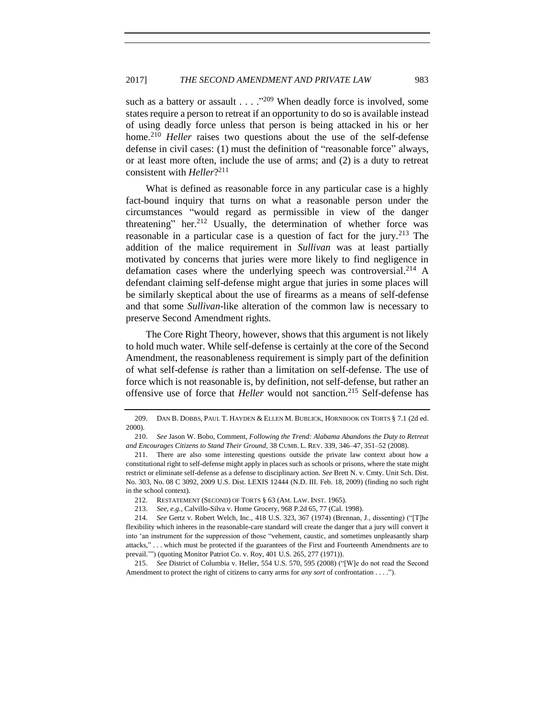<span id="page-38-0"></span>such as a battery or assault  $\ldots$  ."209 When deadly force is involved, some states require a person to retreat if an opportunity to do so is available instead of using deadly force unless that person is being attacked in his or her home.<sup>210</sup> *Heller* raises two questions about the use of the self-defense defense in civil cases: (1) must the definition of "reasonable force" always, or at least more often, include the use of arms; and (2) is a duty to retreat consistent with *Heller*? 211

What is defined as reasonable force in any particular case is a highly fact-bound inquiry that turns on what a reasonable person under the circumstances "would regard as permissible in view of the danger threatening" her.<sup>212</sup> Usually, the determination of whether force was reasonable in a particular case is a question of fact for the jury.<sup>213</sup> The addition of the malice requirement in *Sullivan* was at least partially motivated by concerns that juries were more likely to find negligence in defamation cases where the underlying speech was controversial.<sup>214</sup> A defendant claiming self-defense might argue that juries in some places will be similarly skeptical about the use of firearms as a means of self-defense and that some *Sullivan*-like alteration of the common law is necessary to preserve Second Amendment rights.

The Core Right Theory, however, shows that this argument is not likely to hold much water. While self-defense is certainly at the core of the Second Amendment, the reasonableness requirement is simply part of the definition of what self-defense *is* rather than a limitation on self-defense. The use of force which is not reasonable is, by definition, not self-defense, but rather an offensive use of force that *Heller* would not sanction.<sup>215</sup> Self-defense has

<sup>209.</sup> DAN B. DOBBS, PAUL T. HAYDEN & ELLEN M. BUBLICK, HORNBOOK ON TORTS § 7.1 (2d ed. 2000).

<sup>210.</sup> *See* Jason W. Bobo, Comment, *Following the Trend: Alabama Abandons the Duty to Retreat and Encourages Citizens to Stand Their Ground*, 38 CUMB. L. REV. 339, 346–47, 351–52 (2008).

<sup>211.</sup> There are also some interesting questions outside the private law context about how a constitutional right to self-defense might apply in places such as schools or prisons, where the state might restrict or eliminate self-defense as a defense to disciplinary action. *See* Brett N. v. Cmty. Unit Sch. Dist. No. 303, No. 08 C 3092, 2009 U.S. Dist. LEXIS 12444 (N.D. III. Feb. 18, 2009) (finding no such right in the school context).

<sup>212.</sup> RESTATEMENT (SECOND) OF TORTS § 63 (AM. LAW. INST. 1965).

<sup>213.</sup> *See, e.g.*, Calvillo-Silva v. Home Grocery, 968 P.2d 65, 77 (Cal. 1998).

<sup>214.</sup> *See* Gertz v. Robert Welch, Inc., 418 U.S. 323, 367 (1974) (Brennan, J., dissenting) ("[T]he flexibility which inheres in the reasonable-care standard will create the danger that a jury will convert it into 'an instrument for the suppression of those "vehement, caustic, and sometimes unpleasantly sharp attacks," . . . which must be protected if the guarantees of the First and Fourteenth Amendments are to prevail.'") (quoting Monitor Patriot Co. v. Roy, 401 U.S. 265, 277 (1971)).

<sup>215.</sup> *See* District of Columbia v. Heller, 554 U.S. 570, 595 (2008) ("[W]e do not read the Second Amendment to protect the right of citizens to carry arms for *any sort* of confrontation . . . .").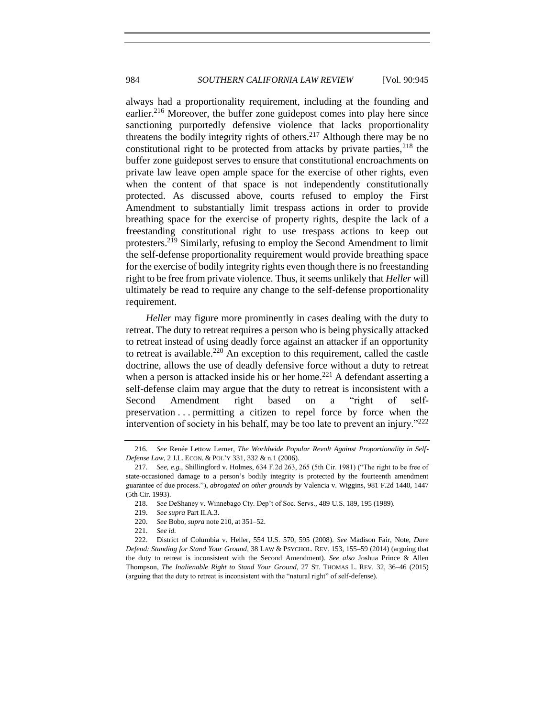always had a proportionality requirement, including at the founding and earlier.<sup>216</sup> Moreover, the buffer zone guidepost comes into play here since sanctioning purportedly defensive violence that lacks proportionality threatens the bodily integrity rights of others.<sup>217</sup> Although there may be no constitutional right to be protected from attacks by private parties,  $2^{18}$  the buffer zone guidepost serves to ensure that constitutional encroachments on private law leave open ample space for the exercise of other rights, even when the content of that space is not independently constitutionally protected. As discussed above, courts refused to employ the First Amendment to substantially limit trespass actions in order to provide breathing space for the exercise of property rights, despite the lack of a freestanding constitutional right to use trespass actions to keep out protesters.<sup>219</sup> Similarly, refusing to employ the Second Amendment to limit the self-defense proportionality requirement would provide breathing space for the exercise of bodily integrity rights even though there is no freestanding right to be free from private violence. Thus, it seems unlikely that *Heller* will ultimately be read to require any change to the self-defense proportionality requirement.

*Heller* may figure more prominently in cases dealing with the duty to retreat. The duty to retreat requires a person who is being physically attacked to retreat instead of using deadly force against an attacker if an opportunity to retreat is available.<sup>220</sup> An exception to this requirement, called the castle doctrine, allows the use of deadly defensive force without a duty to retreat when a person is attacked inside his or her home.<sup>221</sup> A defendant asserting a self-defense claim may argue that the duty to retreat is inconsistent with a Second Amendment right based on a "right of selfpreservation . . . permitting a citizen to repel force by force when the intervention of society in his behalf, may be too late to prevent an injury." $222$ 

220. *See* Bobo, *supra* note [210,](#page-38-0) at 351–52.

<sup>216.</sup> *See* Renée Lettow Lerner, *The Worldwide Popular Revolt Against Proportionality in Self-Defense Law*, 2 J.L. ECON. & POL'Y 331, 332 & n.1 (2006).

<sup>217.</sup> *See, e.g.*, Shillingford v. Holmes, 634 F.2d 263, 265 (5th Cir. 1981) ("The right to be free of state-occasioned damage to a person's bodily integrity is protected by the fourteenth amendment guarantee of due process."), *abrogated on other grounds by* Valencia v. Wiggins, 981 F.2d 1440, 1447 (5th Cir. 1993).

<sup>218.</sup> *See* DeShaney v. Winnebago Cty. Dep't of Soc. Servs*.*, 489 U.S. 189, 195 (1989).

<sup>219.</sup> *See supra* Part II.A.3.

<sup>221.</sup> *See id.*

<sup>222.</sup> District of Columbia v. Heller, 554 U.S. 570, 595 (2008). *See* Madison Fair, Note, *Dare Defend: Standing for Stand Your Ground*, 38 LAW & PSYCHOL. REV. 153, 155–59 (2014) (arguing that the duty to retreat is inconsistent with the Second Amendment). *See also* Joshua Prince & Allen Thompson, *The Inalienable Right to Stand Your Ground,* 27 ST. THOMAS L. REV. 32, 36–46 (2015) (arguing that the duty to retreat is inconsistent with the "natural right" of self-defense).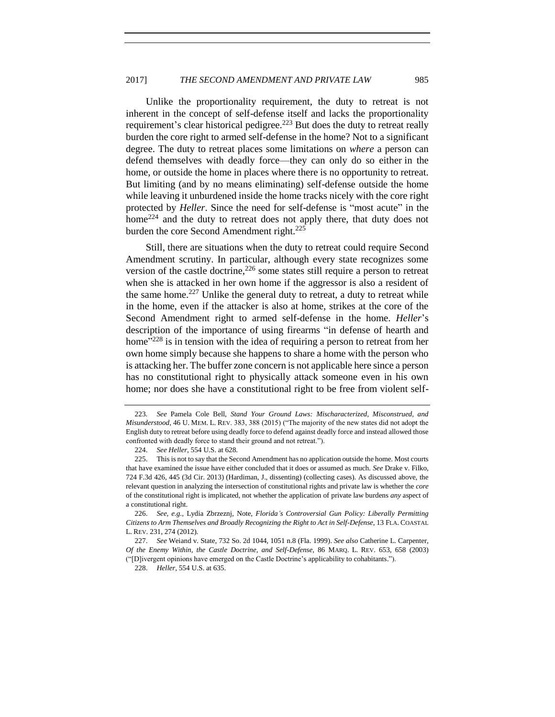Unlike the proportionality requirement, the duty to retreat is not inherent in the concept of self-defense itself and lacks the proportionality requirement's clear historical pedigree.<sup>223</sup> But does the duty to retreat really burden the core right to armed self-defense in the home? Not to a significant degree. The duty to retreat places some limitations on *where* a person can defend themselves with deadly force—they can only do so either in the home, or outside the home in places where there is no opportunity to retreat. But limiting (and by no means eliminating) self-defense outside the home while leaving it unburdened inside the home tracks nicely with the core right protected by *Heller*. Since the need for self-defense is "most acute" in the home<sup>224</sup> and the duty to retreat does not apply there, that duty does not burden the core Second Amendment right. $225$ 

Still, there are situations when the duty to retreat could require Second Amendment scrutiny. In particular, although every state recognizes some version of the castle doctrine,  $226$  some states still require a person to retreat when she is attacked in her own home if the aggressor is also a resident of the same home.<sup>227</sup> Unlike the general duty to retreat, a duty to retreat while in the home, even if the attacker is also at home, strikes at the core of the Second Amendment right to armed self-defense in the home. *Heller*'s description of the importance of using firearms "in defense of hearth and home<sup>"228</sup> is in tension with the idea of requiring a person to retreat from her own home simply because she happens to share a home with the person who is attacking her. The buffer zone concern is not applicable here since a person has no constitutional right to physically attack someone even in his own home; nor does she have a constitutional right to be free from violent self-

<sup>223</sup>*. See* Pamela Cole Bell, *Stand Your Ground Laws: Mischaracterized, Misconstrued, and Misunderstood*, 46 U. MEM. L. REV. 383, 388 (2015) ("The majority of the new states did not adopt the English duty to retreat before using deadly force to defend against deadly force and instead allowed those confronted with deadly force to stand their ground and not retreat.").

<sup>224.</sup> *See Heller*, 554 U.S. at 628.

<sup>225.</sup> This is not to say that the Second Amendment has no application outside the home. Most courts that have examined the issue have either concluded that it does or assumed as much. *See* Drake v. Filko, 724 F.3d 426, 445 (3d Cir. 2013) (Hardiman, J., dissenting) (collecting cases). As discussed above, the relevant question in analyzing the intersection of constitutional rights and private law is whether the *core* of the constitutional right is implicated, not whether the application of private law burdens *any* aspect of a constitutional right.

<sup>226.</sup> *See, e.g.*, Lydia Zbrzeznj, Note, *Florida's Controversial Gun Policy: Liberally Permitting Citizens to Arm Themselves and Broadly Recognizing the Right to Act in Self-Defense*, 13 FLA. COASTAL L. REV. 231, 274 (2012).

<sup>227.</sup> *See* Weiand v. State, 732 So. 2d 1044, 1051 n.8 (Fla. 1999). *See also* Catherine L. Carpenter, *Of the Enemy Within, the Castle Doctrine, and Self-Defense*, 86 MARQ. L. REV. 653, 658 (2003) ("[D]ivergent opinions have emerged on the Castle Doctrine's applicability to cohabitants.").

<sup>228.</sup> *Heller*, 554 U.S. at 635.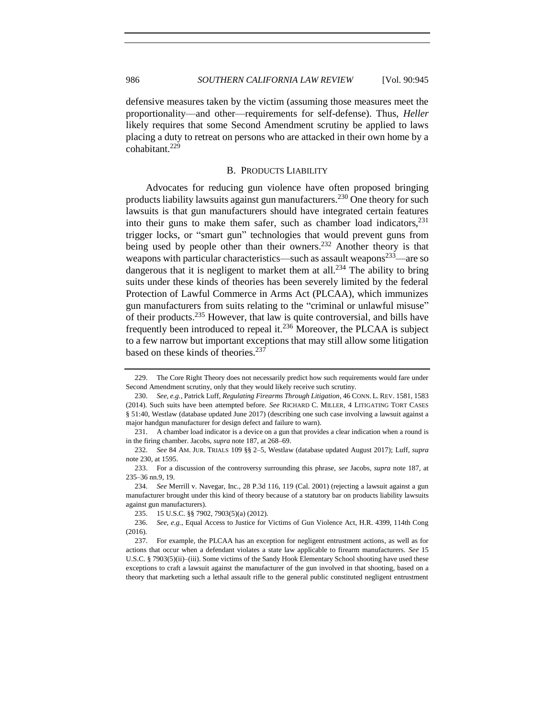defensive measures taken by the victim (assuming those measures meet the proportionality—and other—requirements for self-defense). Thus, *Heller* likely requires that some Second Amendment scrutiny be applied to laws placing a duty to retreat on persons who are attacked in their own home by a cohabitant.<sup>229</sup>

#### <span id="page-41-1"></span><span id="page-41-0"></span>B. PRODUCTS LIABILITY

Advocates for reducing gun violence have often proposed bringing products liability lawsuits against gun manufacturers.<sup>230</sup> One theory for such lawsuits is that gun manufacturers should have integrated certain features into their guns to make them safer, such as chamber load indicators,  $231$ trigger locks, or "smart gun" technologies that would prevent guns from being used by people other than their owners.<sup>232</sup> Another theory is that weapons with particular characteristics—such as assault weapons<sup>233</sup>—are so dangerous that it is negligent to market them at all.<sup>234</sup> The ability to bring suits under these kinds of theories has been severely limited by the federal Protection of Lawful Commerce in Arms Act (PLCAA), which immunizes gun manufacturers from suits relating to the "criminal or unlawful misuse" of their products.<sup>235</sup> However, that law is quite controversial, and bills have frequently been introduced to repeal it.<sup>236</sup> Moreover, the PLCAA is subject to a few narrow but important exceptions that may still allow some litigation based on these kinds of theories.<sup>237</sup>

<sup>229.</sup> The Core Right Theory does not necessarily predict how such requirements would fare under Second Amendment scrutiny, only that they would likely receive such scrutiny.

<sup>230.</sup> *See, e.g.*, Patrick Luff, *Regulating Firearms Through Litigation*, 46 CONN. L. REV. 1581, 1583 (2014). Such suits have been attempted before. *See* RICHARD C. MILLER, 4 LITIGATING TORT CASES § 51:40, Westlaw (database updated June 2017) (describing one such case involving a lawsuit against a major handgun manufacturer for design defect and failure to warn).

<sup>231.</sup> A chamber load indicator is a device on a gun that provides a clear indication when a round is in the firing chamber. Jacobs, *supra* note [187,](#page-33-0) at 268–69.

<sup>232.</sup> *See* 84 AM. JUR. TRIALS 109 §§ 2–5, Westlaw (database updated August 2017); Luff, *supra*  note [230,](#page-41-1) at 1595.

<sup>233.</sup> For a discussion of the controversy surrounding this phrase, *see* Jacobs, *supra* note [187,](#page-33-0) at 235–36 nn.9, 19.

<sup>234.</sup> *See* Merrill v. Navegar, Inc., 28 P.3d 116, 119 (Cal. 2001) (rejecting a lawsuit against a gun manufacturer brought under this kind of theory because of a statutory bar on products liability lawsuits against gun manufacturers).

<sup>235.</sup> 15 U.S.C. §§ 7902, 7903(5)(a) (2012).

<sup>236.</sup> *See, e.g.*, Equal Access to Justice for Victims of Gun Violence Act, H.R. 4399, 114th Cong (2016).

<sup>237.</sup> For example, the PLCAA has an exception for negligent entrustment actions, as well as for actions that occur when a defendant violates a state law applicable to firearm manufacturers. *See* 15 U.S.C. § 7903(5)(ii)–(iii). Some victims of the Sandy Hook Elementary School shooting have used these exceptions to craft a lawsuit against the manufacturer of the gun involved in that shooting, based on a theory that marketing such a lethal assault rifle to the general public constituted negligent entrustment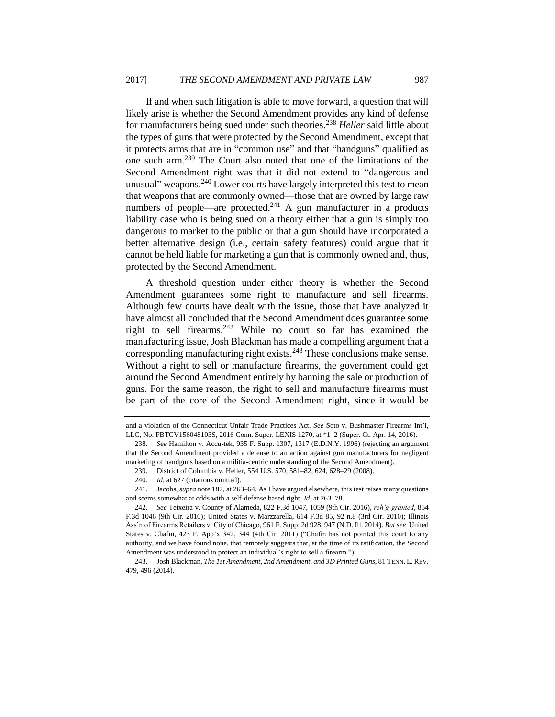If and when such litigation is able to move forward, a question that will likely arise is whether the Second Amendment provides any kind of defense for manufacturers being sued under such theories.<sup>238</sup> *Heller* said little about the types of guns that were protected by the Second Amendment, except that it protects arms that are in "common use" and that "handguns" qualified as one such arm.<sup>239</sup> The Court also noted that one of the limitations of the Second Amendment right was that it did not extend to "dangerous and unusual" weapons.<sup>240</sup> Lower courts have largely interpreted this test to mean that weapons that are commonly owned—those that are owned by large raw numbers of people—are protected. $^{241}$  A gun manufacturer in a products liability case who is being sued on a theory either that a gun is simply too dangerous to market to the public or that a gun should have incorporated a better alternative design (i.e., certain safety features) could argue that it cannot be held liable for marketing a gun that is commonly owned and, thus, protected by the Second Amendment.

A threshold question under either theory is whether the Second Amendment guarantees some right to manufacture and sell firearms. Although few courts have dealt with the issue, those that have analyzed it have almost all concluded that the Second Amendment does guarantee some right to sell firearms.  $242$  While no court so far has examined the manufacturing issue, Josh Blackman has made a compelling argument that a corresponding manufacturing right exists. $^{243}$  These conclusions make sense. Without a right to sell or manufacture firearms, the government could get around the Second Amendment entirely by banning the sale or production of guns. For the same reason, the right to sell and manufacture firearms must be part of the core of the Second Amendment right, since it would be

and a violation of the Connecticut Unfair Trade Practices Act. *See* Soto v. Bushmaster Firearms Int'l, LLC, No. FBTCV156048103S, 2016 Conn. Super. LEXIS 1270, at \*1–2 (Super. Ct. Apr. 14, 2016).

<sup>238.</sup> *See* Hamilton v. Accu-tek, 935 F. Supp. 1307, 1317 (E.D.N.Y. 1996) (rejecting an argument that the Second Amendment provided a defense to an action against gun manufacturers for negligent marketing of handguns based on a militia-centric understanding of the Second Amendment).

<sup>239.</sup> District of Columbia v. Heller, 554 U.S. 570, 581–82, 624, 628–29 (2008).

<sup>240.</sup> *Id.* at 627 (citations omitted).

<sup>241.</sup> Jacobs, *supra* note [187,](#page-33-0) at 263–64. As I have argued elsewhere, this test raises many questions and seems somewhat at odds with a self-defense based right. *Id.* at 263–78.

<sup>242.</sup> *See* Teixeira v. County of Alameda, 822 F.3d 1047, 1059 (9th Cir. 2016), *reh'g granted*, 854 F.3d 1046 (9th Cir. 2016); United States v. Marzzarella, 614 F.3d 85, 92 n.8 (3rd Cir. 2010); Illinois Ass'n of Firearms Retailers v. City of Chicago, 961 F. Supp. 2d 928, 947 (N.D. Ill. 2014). *But see* United States v. Chafin, 423 F. App'x 342, 344 (4th Cir. 2011) ("Chafin has not pointed this court to any authority, and we have found none, that remotely suggests that, at the time of its ratification, the Second Amendment was understood to protect an individual's right to sell a firearm.").

<sup>243.</sup> Josh Blackman, *The 1st Amendment, 2nd Amendment, and 3D Printed Guns*, 81 TENN. L. REV. 479, 496 (2014).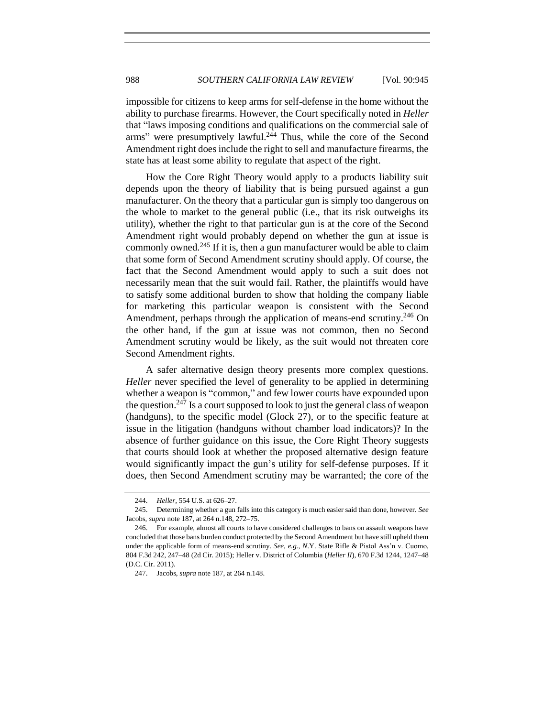impossible for citizens to keep arms for self-defense in the home without the ability to purchase firearms. However, the Court specifically noted in *Heller* that "laws imposing conditions and qualifications on the commercial sale of arms" were presumptively lawful.<sup>244</sup> Thus, while the core of the Second Amendment right does include the right to sell and manufacture firearms, the state has at least some ability to regulate that aspect of the right.

How the Core Right Theory would apply to a products liability suit depends upon the theory of liability that is being pursued against a gun manufacturer. On the theory that a particular gun is simply too dangerous on the whole to market to the general public (i.e., that its risk outweighs its utility), whether the right to that particular gun is at the core of the Second Amendment right would probably depend on whether the gun at issue is commonly owned.<sup>245</sup> If it is, then a gun manufacturer would be able to claim that some form of Second Amendment scrutiny should apply. Of course, the fact that the Second Amendment would apply to such a suit does not necessarily mean that the suit would fail. Rather, the plaintiffs would have to satisfy some additional burden to show that holding the company liable for marketing this particular weapon is consistent with the Second Amendment, perhaps through the application of means-end scrutiny.<sup>246</sup> On the other hand, if the gun at issue was not common, then no Second Amendment scrutiny would be likely, as the suit would not threaten core Second Amendment rights.

A safer alternative design theory presents more complex questions. *Heller* never specified the level of generality to be applied in determining whether a weapon is "common," and few lower courts have expounded upon the question.<sup>247</sup> Is a court supposed to look to just the general class of weapon (handguns), to the specific model (Glock 27), or to the specific feature at issue in the litigation (handguns without chamber load indicators)? In the absence of further guidance on this issue, the Core Right Theory suggests that courts should look at whether the proposed alternative design feature would significantly impact the gun's utility for self-defense purposes. If it does, then Second Amendment scrutiny may be warranted; the core of the

<sup>244.</sup> *Heller*, 554 U.S. at 626–27.

<sup>245.</sup> Determining whether a gun falls into this category is much easier said than done, however. *See*  Jacobs, *supra* note [187,](#page-33-0) at 264 n.148, 272–75.

<sup>246.</sup> For example, almost all courts to have considered challenges to bans on assault weapons have concluded that those bans burden conduct protected by the Second Amendment but have still upheld them under the applicable form of means-end scrutiny. *See, e.g.*, *N*.Y. State Rifle & Pistol Ass'n v. Cuomo, 804 F.3d 242, 247–48 (2d Cir. 2015); Heller v. District of Columbia (*Heller II*), 670 F.3d 1244, 1247–48 (D.C. Cir. 2011).

<sup>247.</sup> Jacobs, *supra* note [187,](#page-33-0) at 264 n.148.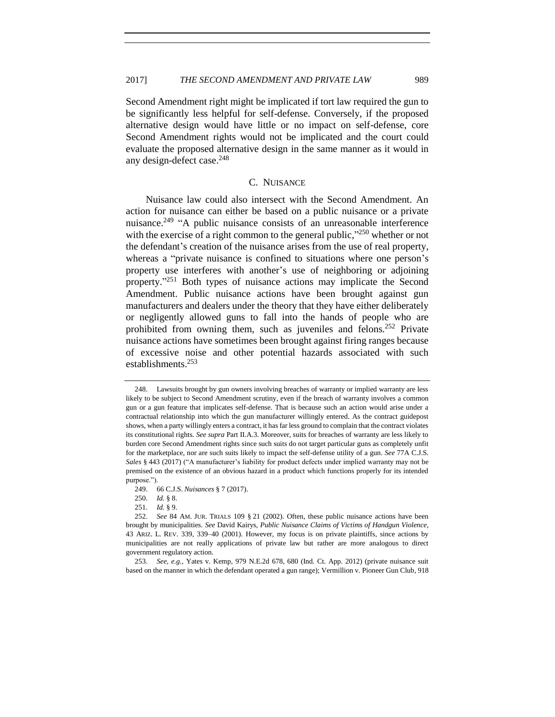Second Amendment right might be implicated if tort law required the gun to be significantly less helpful for self-defense. Conversely, if the proposed alternative design would have little or no impact on self-defense, core Second Amendment rights would not be implicated and the court could evaluate the proposed alternative design in the same manner as it would in any design-defect case. 248

## C. NUISANCE

<span id="page-44-0"></span>Nuisance law could also intersect with the Second Amendment. An action for nuisance can either be based on a public nuisance or a private nuisance.<sup>249</sup> "A public nuisance consists of an unreasonable interference with the exercise of a right common to the general public," $250$  whether or not the defendant's creation of the nuisance arises from the use of real property, whereas a "private nuisance is confined to situations where one person's property use interferes with another's use of neighboring or adjoining property."<sup>251</sup> Both types of nuisance actions may implicate the Second Amendment. Public nuisance actions have been brought against gun manufacturers and dealers under the theory that they have either deliberately or negligently allowed guns to fall into the hands of people who are prohibited from owning them, such as juveniles and felons.<sup>252</sup> Private nuisance actions have sometimes been brought against firing ranges because of excessive noise and other potential hazards associated with such establishments.<sup>253</sup>

<sup>248.</sup> Lawsuits brought by gun owners involving breaches of warranty or implied warranty are less likely to be subject to Second Amendment scrutiny, even if the breach of warranty involves a common gun or a gun feature that implicates self-defense. That is because such an action would arise under a contractual relationship into which the gun manufacturer willingly entered. As the contract guidepost shows, when a party willingly enters a contract, it has far less ground to complain that the contract violates its constitutional rights. *See supra* Part II.A.3. Moreover, suits for breaches of warranty are less likely to burden core Second Amendment rights since such suits do not target particular guns as completely unfit for the marketplace, nor are such suits likely to impact the self-defense utility of a gun. *See* 77A C.J.S. *Sales* § 443 (2017) ("A manufacturer's liability for product defects under implied warranty may not be premised on the existence of an obvious hazard in a product which functions properly for its intended purpose.").

<sup>249.</sup> 66 C.J.S. *Nuisances* § 7 (2017).

<sup>250.</sup> *Id.* § 8.

<sup>251.</sup> *Id.* § 9.

<sup>252.</sup> *See* 84 AM. JUR. TRIALS 109 § 21 (2002). Often, these public nuisance actions have been brought by municipalities. *See* David Kairys, *Public Nuisance Claims of Victims of Handgun Violence*, 43 ARIZ. L. REV. 339, 339–40 (2001). However, my focus is on private plaintiffs, since actions by municipalities are not really applications of private law but rather are more analogous to direct government regulatory action.

<sup>253.</sup> *See, e.g.*, Yates v. Kemp, 979 N.E.2d 678, 680 (Ind. Ct. App. 2012) (private nuisance suit based on the manner in which the defendant operated a gun range); Vermillion v. Pioneer Gun Club, 918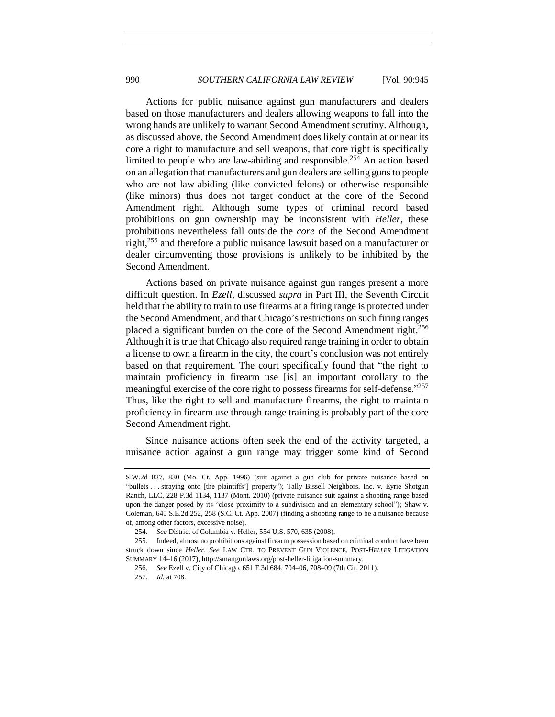Actions for public nuisance against gun manufacturers and dealers based on those manufacturers and dealers allowing weapons to fall into the wrong hands are unlikely to warrant Second Amendment scrutiny. Although, as discussed above, the Second Amendment does likely contain at or near its core a right to manufacture and sell weapons, that core right is specifically limited to people who are law-abiding and responsible.<sup>254</sup> An action based on an allegation that manufacturers and gun dealers are selling guns to people who are not law-abiding (like convicted felons) or otherwise responsible (like minors) thus does not target conduct at the core of the Second Amendment right. Although some types of criminal record based prohibitions on gun ownership may be inconsistent with *Heller*, these prohibitions nevertheless fall outside the *core* of the Second Amendment right, <sup>255</sup> and therefore a public nuisance lawsuit based on a manufacturer or dealer circumventing those provisions is unlikely to be inhibited by the Second Amendment.

Actions based on private nuisance against gun ranges present a more difficult question. In *Ezell*, discussed *supra* in Part III, the Seventh Circuit held that the ability to train to use firearms at a firing range is protected under the Second Amendment, and that Chicago's restrictions on such firing ranges placed a significant burden on the core of the Second Amendment right.<sup>256</sup> Although it is true that Chicago also required range training in order to obtain a license to own a firearm in the city, the court's conclusion was not entirely based on that requirement. The court specifically found that "the right to maintain proficiency in firearm use [is] an important corollary to the meaningful exercise of the core right to possess firearms for self-defense."<sup>257</sup> Thus, like the right to sell and manufacture firearms, the right to maintain proficiency in firearm use through range training is probably part of the core Second Amendment right.

Since nuisance actions often seek the end of the activity targeted, a nuisance action against a gun range may trigger some kind of Second

S.W.2d 827, 830 (Mo. Ct. App. 1996) (suit against a gun club for private nuisance based on "bullets . . . straying onto [the plaintiffs'] property"); Tally Bissell Neighbors, Inc. v. Eyrie Shotgun Ranch, LLC, 228 P.3d 1134, 1137 (Mont. 2010) (private nuisance suit against a shooting range based upon the danger posed by its "close proximity to a subdivision and an elementary school"); Shaw v. Coleman, 645 S.E.2d 252, 258 (S.C. Ct. App. 2007) (finding a shooting range to be a nuisance because of, among other factors, excessive noise).

<sup>254.</sup> *See* District of Columbia v. Heller, 554 U.S. 570, 635 (2008).

<sup>255.</sup> Indeed, almost no prohibitions against firearm possession based on criminal conduct have been struck down since *Heller*. *See* LAW CTR. TO PREVENT GUN VIOLENCE, POST-*HELLER* LITIGATION SUMMARY 14–16 (2017), http://smartgunlaws.org/post-heller-litigation-summary.

<sup>256.</sup> *See* Ezell v. City of Chicago, 651 F.3d 684, 704–06, 708–09 (7th Cir. 2011).

<sup>257.</sup> *Id.* at 708.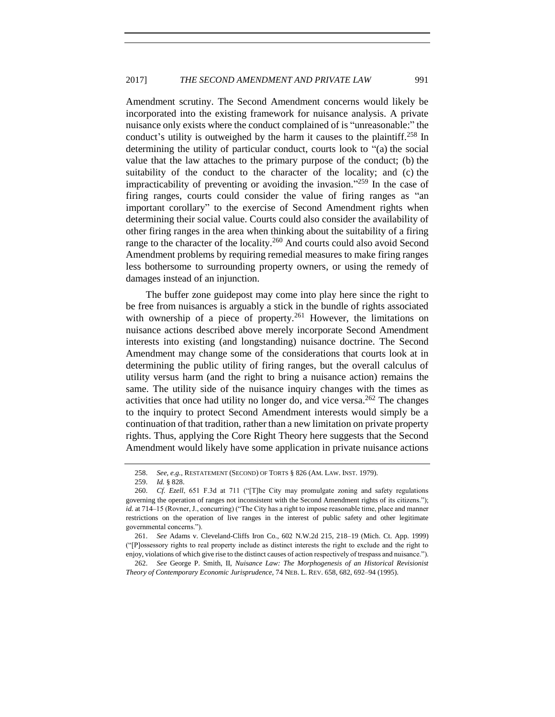Amendment scrutiny. The Second Amendment concerns would likely be incorporated into the existing framework for nuisance analysis. A private nuisance only exists where the conduct complained of is "unreasonable:" the conduct's utility is outweighed by the harm it causes to the plaintiff.<sup>258</sup> In determining the utility of particular conduct, courts look to "(a) the social value that the law attaches to the primary purpose of the conduct; (b) the suitability of the conduct to the character of the locality; and (c) the impracticability of preventing or avoiding the invasion." <sup>259</sup> In the case of firing ranges, courts could consider the value of firing ranges as "an important corollary" to the exercise of Second Amendment rights when determining their social value. Courts could also consider the availability of other firing ranges in the area when thinking about the suitability of a firing range to the character of the locality.<sup>260</sup> And courts could also avoid Second Amendment problems by requiring remedial measures to make firing ranges less bothersome to surrounding property owners, or using the remedy of damages instead of an injunction.

The buffer zone guidepost may come into play here since the right to be free from nuisances is arguably a stick in the bundle of rights associated with ownership of a piece of property.<sup>261</sup> However, the limitations on nuisance actions described above merely incorporate Second Amendment interests into existing (and longstanding) nuisance doctrine. The Second Amendment may change some of the considerations that courts look at in determining the public utility of firing ranges, but the overall calculus of utility versus harm (and the right to bring a nuisance action) remains the same. The utility side of the nuisance inquiry changes with the times as activities that once had utility no longer do, and vice versa.<sup>262</sup> The changes to the inquiry to protect Second Amendment interests would simply be a continuation of that tradition, rather than a new limitation on private property rights. Thus, applying the Core Right Theory here suggests that the Second Amendment would likely have some application in private nuisance actions

<sup>258.</sup> *See, e.g.*, RESTATEMENT (SECOND) OF TORTS § 826 (AM. LAW. INST. 1979).

<sup>259.</sup> *Id.* § 828.

<sup>260.</sup> *Cf. Ezell*, 651 F.3d at 711 ("[T]he City may promulgate zoning and safety regulations governing the operation of ranges not inconsistent with the Second Amendment rights of its citizens."); *id.* at 714–15 (Rovner, J., concurring) ("The City has a right to impose reasonable time, place and manner restrictions on the operation of live ranges in the interest of public safety and other legitimate governmental concerns.").

<sup>261.</sup> *See* Adams v. Cleveland-Cliffs Iron Co., 602 N.W.2d 215, 218–19 (Mich. Ct. App. 1999) ("[P]ossessory rights to real property include as distinct interests the right to exclude and the right to enjoy, violations of which give rise to the distinct causes of action respectively of trespass and nuisance.").

<sup>262.</sup> *See* George P. Smith, II, *Nuisance Law: The Morphogenesis of an Historical Revisionist Theory of Contemporary Economic Jurisprudence*, 74 NEB. L. REV. 658, 682, 692–94 (1995).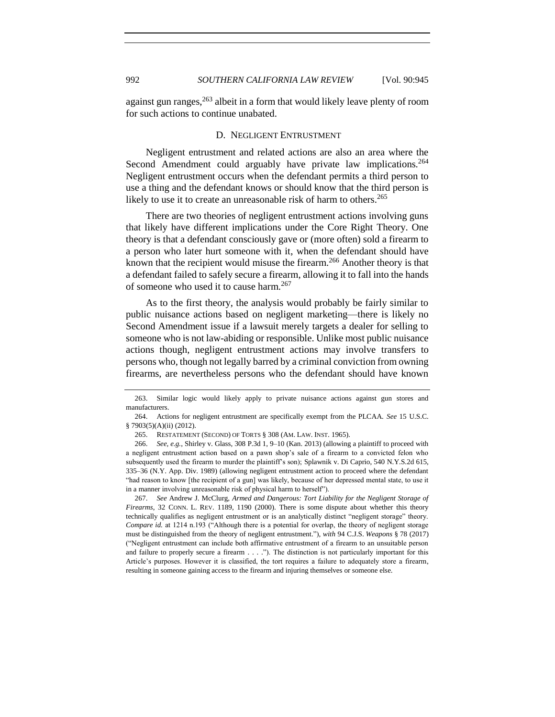against gun ranges,  $263$  albeit in a form that would likely leave plenty of room for such actions to continue unabated.

#### <span id="page-47-0"></span>D. NEGLIGENT ENTRUSTMENT

Negligent entrustment and related actions are also an area where the Second Amendment could arguably have private law implications.<sup>264</sup> Negligent entrustment occurs when the defendant permits a third person to use a thing and the defendant knows or should know that the third person is likely to use it to create an unreasonable risk of harm to others.<sup>265</sup>

There are two theories of negligent entrustment actions involving guns that likely have different implications under the Core Right Theory. One theory is that a defendant consciously gave or (more often) sold a firearm to a person who later hurt someone with it, when the defendant should have known that the recipient would misuse the firearm.<sup>266</sup> Another theory is that a defendant failed to safely secure a firearm, allowing it to fall into the hands of someone who used it to cause harm.<sup>267</sup>

As to the first theory, the analysis would probably be fairly similar to public nuisance actions based on negligent marketing—there is likely no Second Amendment issue if a lawsuit merely targets a dealer for selling to someone who is not law-abiding or responsible. Unlike most public nuisance actions though, negligent entrustment actions may involve transfers to persons who, though not legally barred by a criminal conviction from owning firearms, are nevertheless persons who the defendant should have known

267. *See* Andrew J. McClurg, *Armed and Dangerous: Tort Liability for the Negligent Storage of Firearms*, 32 CONN. L. REV. 1189, 1190 (2000). There is some dispute about whether this theory technically qualifies as negligent entrustment or is an analytically distinct "negligent storage" theory. *Compare id.* at 1214 n.193 ("Although there is a potential for overlap, the theory of negligent storage must be distinguished from the theory of negligent entrustment."), *with* 94 C.J.S. *Weapons* § 78 (2017) ("Negligent entrustment can include both affirmative entrustment of a firearm to an unsuitable person and failure to properly secure a firearm . . . ."). The distinction is not particularly important for this Article's purposes. However it is classified, the tort requires a failure to adequately store a firearm, resulting in someone gaining access to the firearm and injuring themselves or someone else.

<sup>263.</sup> Similar logic would likely apply to private nuisance actions against gun stores and manufacturers.

<sup>264.</sup> Actions for negligent entrustment are specifically exempt from the PLCAA. *See* 15 U.S.C. § 7903(5)(A)(ii) (2012).

<sup>265.</sup> RESTATEMENT (SECOND) OF TORTS § 308 (AM. LAW. INST. 1965).

<sup>266.</sup> *See, e.g.*, Shirley v. Glass, 308 P.3d 1, 9–10 (Kan. 2013) (allowing a plaintiff to proceed with a negligent entrustment action based on a pawn shop's sale of a firearm to a convicted felon who subsequently used the firearm to murder the plaintiff's son); Splawnik v. Di Caprio, 540 N.Y.S.2d 615, 335–36 (N.Y. App. Div. 1989) (allowing negligent entrustment action to proceed where the defendant "had reason to know [the recipient of a gun] was likely, because of her depressed mental state, to use it in a manner involving unreasonable risk of physical harm to herself").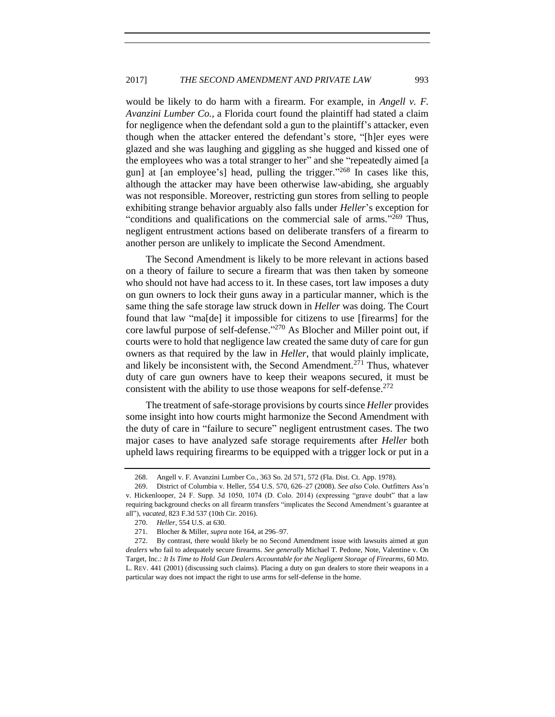would be likely to do harm with a firearm. For example, in *Angell v. F. Avanzini Lumber Co.*, a Florida court found the plaintiff had stated a claim for negligence when the defendant sold a gun to the plaintiff's attacker, even though when the attacker entered the defendant's store, "[h]er eyes were glazed and she was laughing and giggling as she hugged and kissed one of the employees who was a total stranger to her" and she "repeatedly aimed [a gun] at [an employee's] head, pulling the trigger." <sup>268</sup> In cases like this, although the attacker may have been otherwise law-abiding, she arguably was not responsible. Moreover, restricting gun stores from selling to people exhibiting strange behavior arguably also falls under *Heller*'s exception for "conditions and qualifications on the commercial sale of arms."<sup>269</sup> Thus, negligent entrustment actions based on deliberate transfers of a firearm to another person are unlikely to implicate the Second Amendment.

The Second Amendment is likely to be more relevant in actions based on a theory of failure to secure a firearm that was then taken by someone who should not have had access to it. In these cases, tort law imposes a duty on gun owners to lock their guns away in a particular manner, which is the same thing the safe storage law struck down in *Heller* was doing. The Court found that law "ma[de] it impossible for citizens to use [firearms] for the core lawful purpose of self-defense." <sup>270</sup> As Blocher and Miller point out, if courts were to hold that negligence law created the same duty of care for gun owners as that required by the law in *Heller*, that would plainly implicate, and likely be inconsistent with, the Second Amendment.<sup>271</sup> Thus, whatever duty of care gun owners have to keep their weapons secured, it must be consistent with the ability to use those weapons for self-defense. $272$ 

The treatment of safe-storage provisions by courts since *Heller* provides some insight into how courts might harmonize the Second Amendment with the duty of care in "failure to secure" negligent entrustment cases. The two major cases to have analyzed safe storage requirements after *Heller* both upheld laws requiring firearms to be equipped with a trigger lock or put in a

<sup>268.</sup> Angell v. F. Avanzini Lumber Co*.*, 363 So. 2d 571, 572 (Fla. Dist. Ct. App. 1978).

<sup>269.</sup> District of Columbia v. Heller, 554 U.S. 570, 626–27 (2008). *See also* Colo. Outfitters Ass'n v. Hickenlooper, 24 F. Supp. 3d 1050, 1074 (D. Colo. 2014) (expressing "grave doubt" that a law requiring background checks on all firearm transfers "implicates the Second Amendment's guarantee at all"), *vacated*, 823 F.3d 537 (10th Cir. 2016).

<sup>270.</sup> *Heller*, 554 U.S. at 630.

<sup>271.</sup> Blocher & Miller, *supra* note [164,](#page-30-0) at 296–97.

<sup>272.</sup> By contrast, there would likely be no Second Amendment issue with lawsuits aimed at gun *dealers* who fail to adequately secure firearms. *See generally* Michael T. Pedone, Note, Valentine v. On Target, Inc.*: It Is Time to Hold Gun Dealers Accountable for the Negligent Storage of Firearms*, 60 MD. L. REV. 441 (2001) (discussing such claims). Placing a duty on gun dealers to store their weapons in a particular way does not impact the right to use arms for self-defense in the home.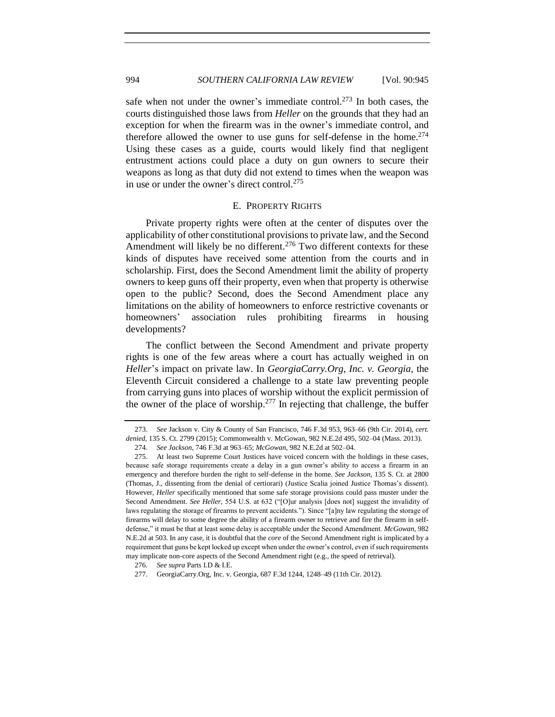994 *SOUTHERN CALIFORNIA LAW REVIEW* [Vol. 90:945

safe when not under the owner's immediate control.<sup>273</sup> In both cases, the courts distinguished those laws from *Heller* on the grounds that they had an exception for when the firearm was in the owner's immediate control, and therefore allowed the owner to use guns for self-defense in the home.<sup>274</sup> Using these cases as a guide, courts would likely find that negligent entrustment actions could place a duty on gun owners to secure their weapons as long as that duty did not extend to times when the weapon was in use or under the owner's direct control.<sup>275</sup>

#### E. PROPERTY RIGHTS

<span id="page-49-0"></span>Private property rights were often at the center of disputes over the applicability of other constitutional provisions to private law, and the Second Amendment will likely be no different.<sup>276</sup> Two different contexts for these kinds of disputes have received some attention from the courts and in scholarship. First, does the Second Amendment limit the ability of property owners to keep guns off their property, even when that property is otherwise open to the public? Second, does the Second Amendment place any limitations on the ability of homeowners to enforce restrictive covenants or homeowners' association rules prohibiting firearms in housing developments?

The conflict between the Second Amendment and private property rights is one of the few areas where a court has actually weighed in on *Heller*'s impact on private law. In *GeorgiaCarry.Org, Inc. v. Georgia*, the Eleventh Circuit considered a challenge to a state law preventing people from carrying guns into places of worship without the explicit permission of the owner of the place of worship.<sup>277</sup> In rejecting that challenge, the buffer

<sup>273.</sup> *See* Jackson v. City & County of San Francisco, 746 F.3d 953, 963–66 (9th Cir. 2014), *cert. denied*, 135 S. Ct. 2799 (2015); Commonwealth v. McGowan, 982 N.E.2d 495, 502–04 (Mass. 2013).

<sup>274.</sup> *See Jackson*, 746 F.3d at 963–65; *McGowan*, 982 N.E.2d at 502–04.

<sup>275.</sup> At least two Supreme Court Justices have voiced concern with the holdings in these cases, because safe storage requirements create a delay in a gun owner's ability to access a firearm in an emergency and therefore burden the right to self-defense in the home. *See Jackson*, 135 S. Ct. at 2800 (Thomas, J., dissenting from the denial of certiorari) (Justice Scalia joined Justice Thomas's dissent). However, *Heller* specifically mentioned that some safe storage provisions could pass muster under the Second Amendment. *See Heller,* 554 U.S. at 632 ("[O]ur analysis [does not] suggest the invalidity of laws regulating the storage of firearms to prevent accidents."). Since "[a]ny law regulating the storage of firearms will delay to some degree the ability of a firearm owner to retrieve and fire the firearm in selfdefense," it must be that at least some delay is acceptable under the Second Amendment. *McGowan*, 982 N.E.2d at 503. In any case, it is doubtful that the *core* of the Second Amendment right is implicated by a requirement that guns be kept locked up except when under the owner's control, even if such requirements may implicate non-core aspects of the Second Amendment right (e.g., the speed of retrieval).

<sup>276.</sup> *See supra* Parts I.D & I.E.

<sup>277.</sup> GeorgiaCarry.Org, Inc. v. Georgia, 687 F.3d 1244, 1248–49 (11th Cir. 2012).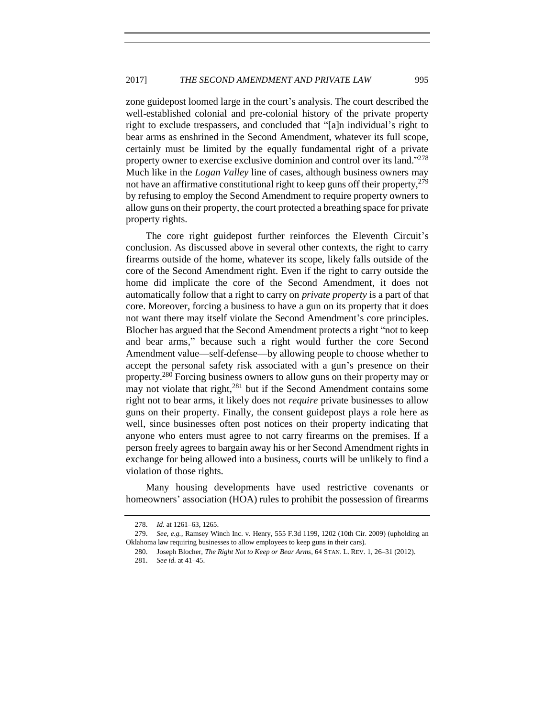zone guidepost loomed large in the court's analysis. The court described the well-established colonial and pre-colonial history of the private property right to exclude trespassers, and concluded that "[a]n individual's right to bear arms as enshrined in the Second Amendment, whatever its full scope, certainly must be limited by the equally fundamental right of a private property owner to exercise exclusive dominion and control over its land."<sup>278</sup> Much like in the *Logan Valley* line of cases, although business owners may not have an affirmative constitutional right to keep guns off their property,  $279$ by refusing to employ the Second Amendment to require property owners to allow guns on their property, the court protected a breathing space for private property rights.

The core right guidepost further reinforces the Eleventh Circuit's conclusion. As discussed above in several other contexts, the right to carry firearms outside of the home, whatever its scope, likely falls outside of the core of the Second Amendment right. Even if the right to carry outside the home did implicate the core of the Second Amendment, it does not automatically follow that a right to carry on *private property* is a part of that core. Moreover, forcing a business to have a gun on its property that it does not want there may itself violate the Second Amendment's core principles. Blocher has argued that the Second Amendment protects a right "not to keep and bear arms," because such a right would further the core Second Amendment value—self-defense—by allowing people to choose whether to accept the personal safety risk associated with a gun's presence on their property.<sup>280</sup> Forcing business owners to allow guns on their property may or may not violate that right,<sup>281</sup> but if the Second Amendment contains some right not to bear arms, it likely does not *require* private businesses to allow guns on their property. Finally, the consent guidepost plays a role here as well, since businesses often post notices on their property indicating that anyone who enters must agree to not carry firearms on the premises. If a person freely agrees to bargain away his or her Second Amendment rights in exchange for being allowed into a business, courts will be unlikely to find a violation of those rights.

Many housing developments have used restrictive covenants or homeowners' association (HOA) rules to prohibit the possession of firearms

<sup>278.</sup> *Id.* at 1261–63, 1265.

<sup>279.</sup> *See, e.g.*, Ramsey Winch Inc. v. Henry, 555 F.3d 1199, 1202 (10th Cir. 2009) (upholding an Oklahoma law requiring businesses to allow employees to keep guns in their cars).

<sup>280.</sup> Joseph Blocher, *The Right Not to Keep or Bear Arms*, 64 STAN. L. REV. 1, 26–31 (2012).

<sup>281.</sup> *See id.* at 41–45.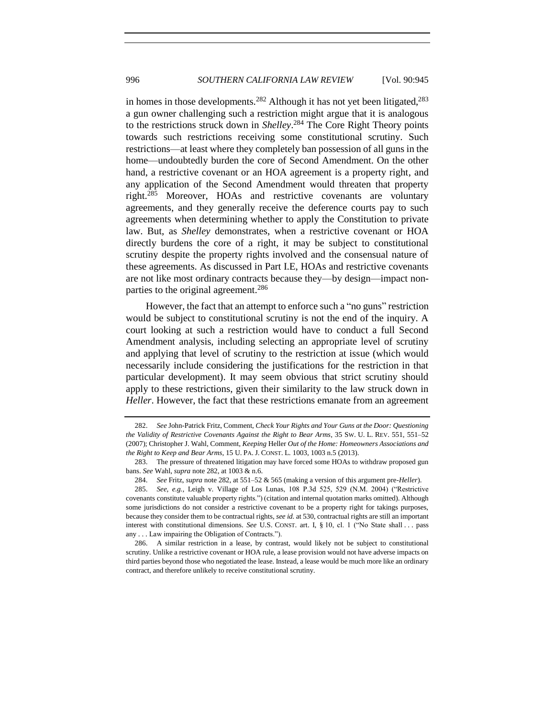<span id="page-51-0"></span>in homes in those developments.<sup>282</sup> Although it has not yet been litigated,<sup>283</sup> a gun owner challenging such a restriction might argue that it is analogous to the restrictions struck down in *Shelley*. <sup>284</sup> The Core Right Theory points towards such restrictions receiving some constitutional scrutiny. Such restrictions—at least where they completely ban possession of all guns in the home—undoubtedly burden the core of Second Amendment. On the other hand, a restrictive covenant or an HOA agreement is a property right, and any application of the Second Amendment would threaten that property right. $285$  Moreover, HOAs and restrictive covenants are voluntary agreements, and they generally receive the deference courts pay to such agreements when determining whether to apply the Constitution to private law. But, as *Shelley* demonstrates, when a restrictive covenant or HOA directly burdens the core of a right, it may be subject to constitutional scrutiny despite the property rights involved and the consensual nature of these agreements. As discussed in Part I.E, HOAs and restrictive covenants are not like most ordinary contracts because they—by design—impact nonparties to the original agreement.<sup>286</sup>

However, the fact that an attempt to enforce such a "no guns" restriction would be subject to constitutional scrutiny is not the end of the inquiry. A court looking at such a restriction would have to conduct a full Second Amendment analysis, including selecting an appropriate level of scrutiny and applying that level of scrutiny to the restriction at issue (which would necessarily include considering the justifications for the restriction in that particular development). It may seem obvious that strict scrutiny should apply to these restrictions, given their similarity to the law struck down in *Heller*. However, the fact that these restrictions emanate from an agreement

<sup>282.</sup> *See* John-Patrick Fritz, Comment, *Check Your Rights and Your Guns at the Door: Questioning the Validity of Restrictive Covenants Against the Right to Bear Arms*, 35 SW. U. L. REV. 551, 551–52 (2007); Christopher J. Wahl, Comment, *Keeping* Heller *Out of the Home: Homeowners Associations and the Right to Keep and Bear Arms*, 15 U. PA. J. CONST. L. 1003, 1003 n.5 (2013).

<sup>283.</sup> The pressure of threatened litigation may have forced some HOAs to withdraw proposed gun bans. *See* Wahl, *supra* note [282,](#page-51-0) at 1003 & n.6.

<sup>284.</sup> *See* Fritz, *supra* note [282,](#page-51-0) at 551–52 & 565 (making a version of this argument pre-*Heller*).

<sup>285.</sup> *See, e.g.*, Leigh v. Village of Los Lunas, 108 P.3d 525, 529 (N.M. 2004) ("Restrictive covenants constitute valuable property rights.") (citation and internal quotation marks omitted). Although some jurisdictions do not consider a restrictive covenant to be a property right for takings purposes, because they consider them to be contractual rights, *see id.* at 530, contractual rights are still an important interest with constitutional dimensions. *See* U.S. CONST. art. I, § 10, cl. 1 ("No State shall . . . pass any . . . Law impairing the Obligation of Contracts.").

<sup>286.</sup> A similar restriction in a lease, by contrast, would likely not be subject to constitutional scrutiny. Unlike a restrictive covenant or HOA rule, a lease provision would not have adverse impacts on third parties beyond those who negotiated the lease. Instead, a lease would be much more like an ordinary contract, and therefore unlikely to receive constitutional scrutiny.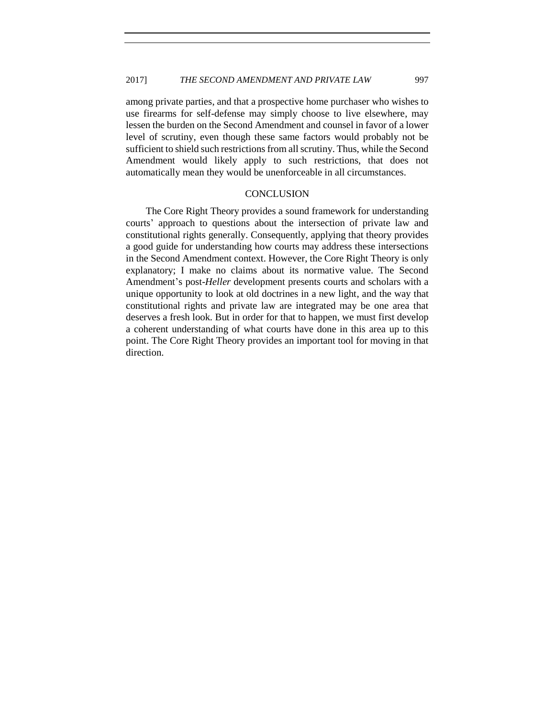among private parties, and that a prospective home purchaser who wishes to use firearms for self-defense may simply choose to live elsewhere, may lessen the burden on the Second Amendment and counsel in favor of a lower level of scrutiny, even though these same factors would probably not be sufficient to shield such restrictions from all scrutiny. Thus, while the Second Amendment would likely apply to such restrictions, that does not automatically mean they would be unenforceable in all circumstances.

## **CONCLUSION**

<span id="page-52-0"></span>The Core Right Theory provides a sound framework for understanding courts' approach to questions about the intersection of private law and constitutional rights generally. Consequently, applying that theory provides a good guide for understanding how courts may address these intersections in the Second Amendment context. However, the Core Right Theory is only explanatory; I make no claims about its normative value. The Second Amendment's post-*Heller* development presents courts and scholars with a unique opportunity to look at old doctrines in a new light, and the way that constitutional rights and private law are integrated may be one area that deserves a fresh look. But in order for that to happen, we must first develop a coherent understanding of what courts have done in this area up to this point. The Core Right Theory provides an important tool for moving in that direction.